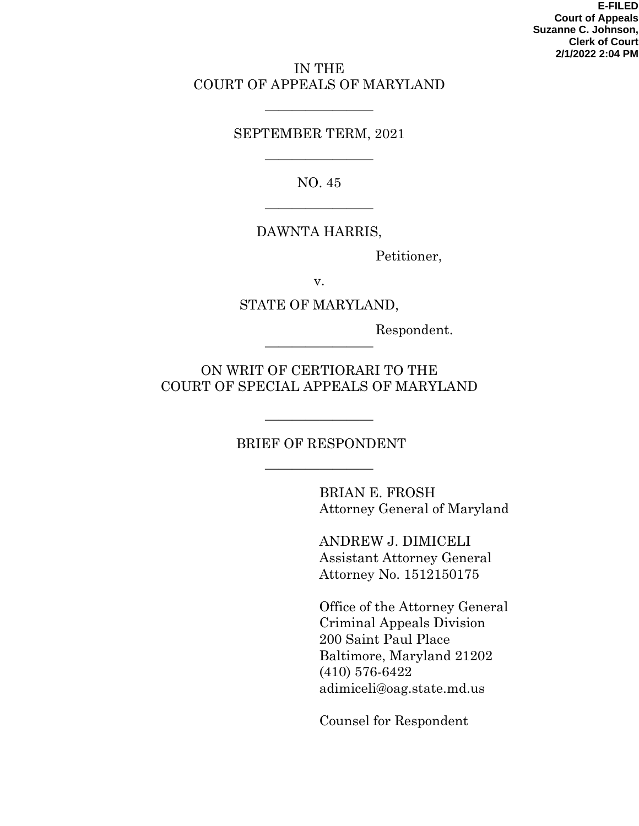**E-FILED Court of Appeals Suzanne C. Johnson, Clerk of Court 2/1/2022 2:04 PM**

### IN THE COURT OF APPEALS OF MARYLAND

### SEPTEMBER TERM, 2021

————————

NO. 45

————————

————————

### DAWNTA HARRIS,

Petitioner,

v.

#### STATE OF MARYLAND,

Respondent.

ON WRIT OF CERTIORARI TO THE COURT OF SPECIAL APPEALS OF MARYLAND

————————

# BRIEF OF RESPONDENT

————————

————————

BRIAN E. FROSH Attorney General of Maryland

ANDREW J. DIMICELI Assistant Attorney General Attorney No. 1512150175

Office of the Attorney General Criminal Appeals Division 200 Saint Paul Place Baltimore, Maryland 21202 (410) 576-6422 adimiceli@oag.state.md.us

Counsel for Respondent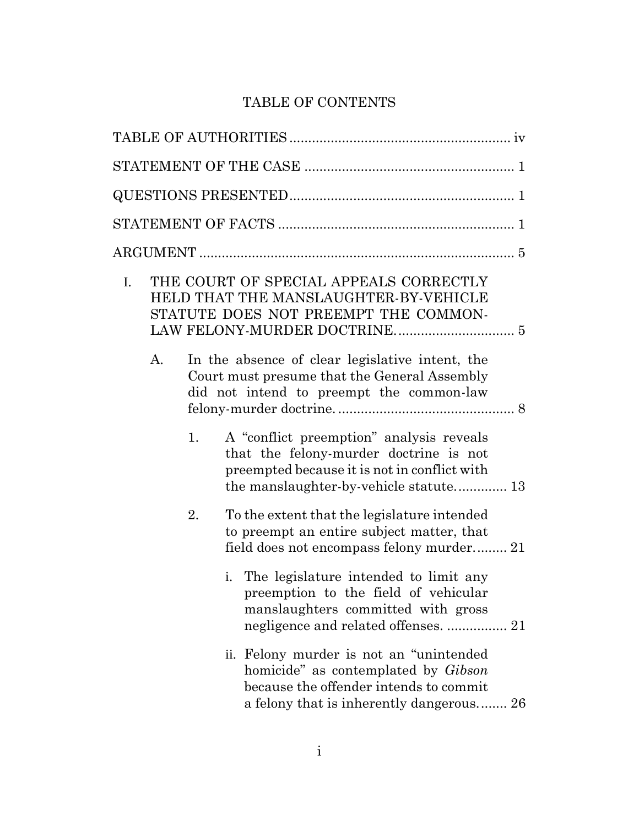# TABLE OF CONTENTS

| $\mathbf{I}$ . |    | THE COURT OF SPECIAL APPEALS CORRECTLY<br>HELD THAT THE MANSLAUGHTER-BY-VEHICLE<br>STATUTE DOES NOT PREEMPT THE COMMON-                                                      |
|----------------|----|------------------------------------------------------------------------------------------------------------------------------------------------------------------------------|
| $\mathbf{A}$ . |    | In the absence of clear legislative intent, the<br>Court must presume that the General Assembly<br>did not intend to preempt the common-law                                  |
|                | 1. | A "conflict preemption" analysis reveals<br>that the felony-murder doctrine is not<br>preempted because it is not in conflict with<br>the manslaughter-by-vehicle statute 13 |
|                | 2. | To the extent that the legislature intended<br>to preempt an entire subject matter, that<br>field does not encompass felony murder 21                                        |
|                | i. | The legislature intended to limit any<br>preemption to the field of vehicular<br>manslaughters committed with gross<br>negligence and related offenses.  21                  |
|                |    | ii. Felony murder is not an "unintended<br>homicide" as contemplated by <i>Gibson</i><br>because the offender intends to commit<br>a felony that is inherently dangerous 26  |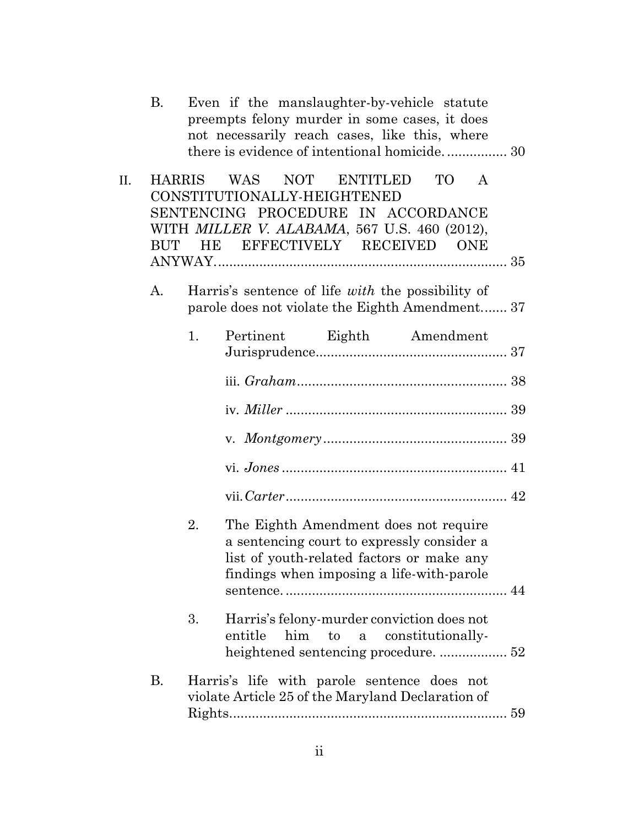|    | В.            |    | Even if the manslaughter-by-vehicle statute<br>preempts felony murder in some cases, it does<br>not necessarily reach cases, like this, where<br>there is evidence of intentional homicide 30       |  |
|----|---------------|----|-----------------------------------------------------------------------------------------------------------------------------------------------------------------------------------------------------|--|
| П. | <b>HARRIS</b> |    | NOT ENTITLED<br>WAS<br>TO T<br>$\mathbf{A}$<br>CONSTITUTIONALLY-HEIGHTENED<br>SENTENCING PROCEDURE IN ACCORDANCE<br>WITH MILLER V. ALABAMA, 567 U.S. 460 (2012),<br>BUT HE EFFECTIVELY RECEIVED ONE |  |
|    | A.            |    | Harris's sentence of life <i>with</i> the possibility of<br>parole does not violate the Eighth Amendment 37                                                                                         |  |
|    |               | 1. | Pertinent Eighth Amendment                                                                                                                                                                          |  |
|    |               |    |                                                                                                                                                                                                     |  |
|    |               |    |                                                                                                                                                                                                     |  |
|    |               |    |                                                                                                                                                                                                     |  |
|    |               |    |                                                                                                                                                                                                     |  |
|    |               |    |                                                                                                                                                                                                     |  |
|    |               | 2. | The Eighth Amendment does not require<br>a sentencing court to expressly consider a<br>list of youth-related factors or make any<br>findings when imposing a life-with-parole                       |  |
|    |               | 3. | Harris's felony-murder conviction does not<br>him to a constitutionally-<br>entitle                                                                                                                 |  |
|    | <b>B.</b>     |    | Harris's life with parole sentence does not<br>violate Article 25 of the Maryland Declaration of                                                                                                    |  |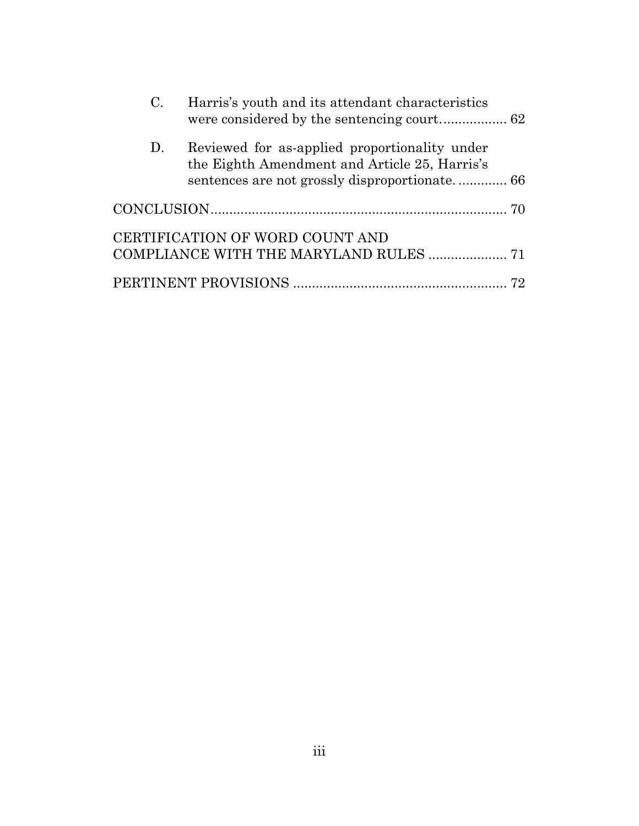| $C_{\cdot}$ | Harris's youth and its attendant characteristics                                               |  |
|-------------|------------------------------------------------------------------------------------------------|--|
| D.          | Reviewed for as-applied proportionality under<br>the Eighth Amendment and Article 25, Harris's |  |
|             |                                                                                                |  |
|             | CERTIFICATION OF WORD COUNT AND                                                                |  |
|             | COMPLIANCE WITH THE MARYLAND RULES  71                                                         |  |
|             |                                                                                                |  |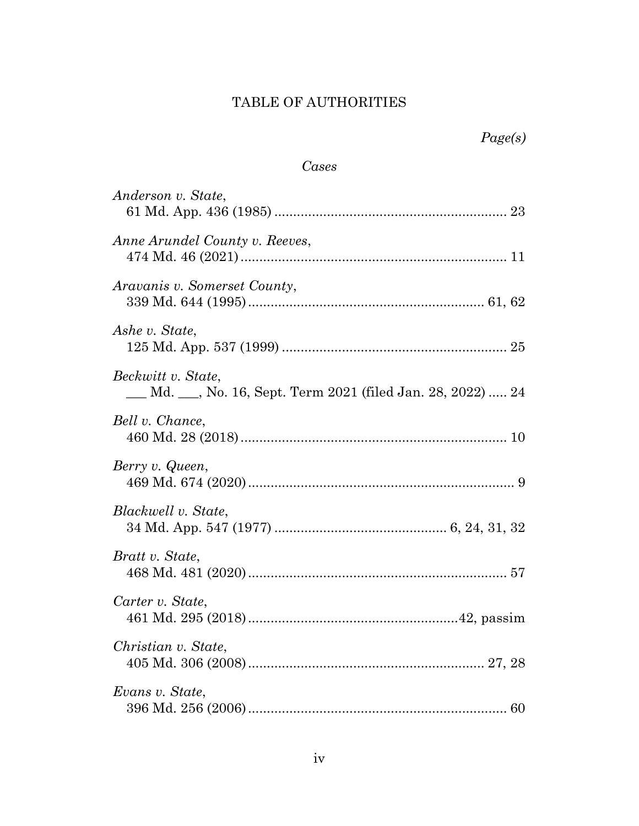# TABLE OF AUTHORITIES

# *Cases*

<span id="page-4-0"></span>

| Anderson v. State,                                                                  |
|-------------------------------------------------------------------------------------|
| Anne Arundel County v. Reeves,                                                      |
| Aravanis v. Somerset County,                                                        |
| Ashe v. State,                                                                      |
| Beckwitt v. State,<br><u>Md. , No. 16, Sept. Term 2021 (filed Jan. 28, 2022)</u> 24 |
| Bell v. Chance,                                                                     |
| Berry v. Queen,                                                                     |
| Blackwell v. State,                                                                 |
| Bratt v. State,                                                                     |
| Carter v. State,                                                                    |
| Christian v. State,                                                                 |
| Evans v. State,                                                                     |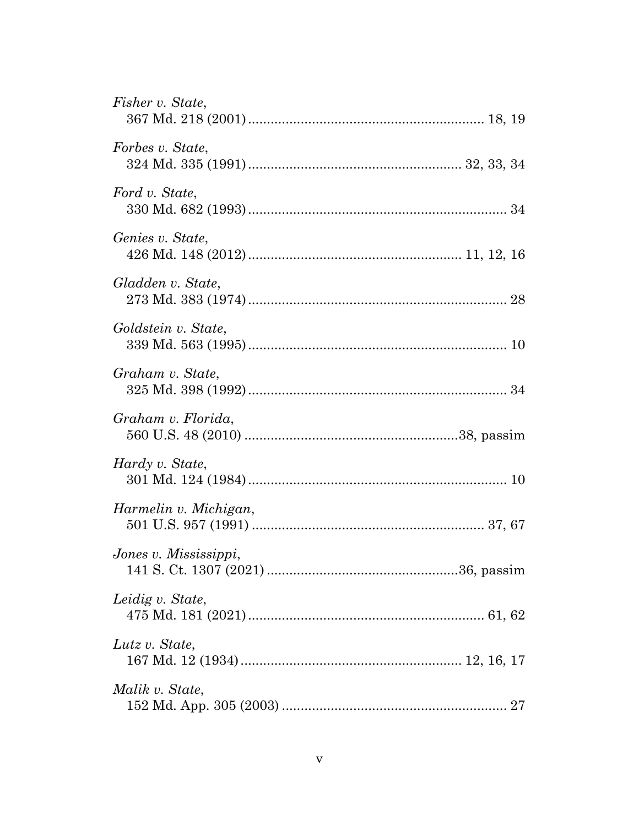| Fisher v. State,      |
|-----------------------|
| Forbes v. State,      |
| Ford v. State,        |
| Genies v. State,      |
| Gladden v. State,     |
| Goldstein v. State,   |
| Graham v. State,      |
| Graham v. Florida,    |
| Hardy v. State,       |
| Harmelin v. Michigan, |
| Jones v. Mississippi, |
| Leidig v. State,      |
| Lutz v. State,        |
| Malik v. State,       |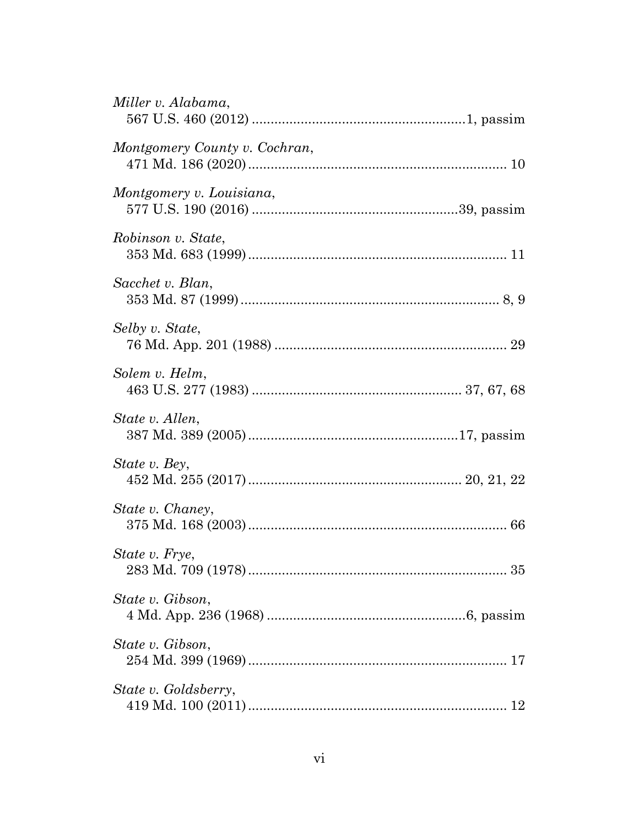| Miller v. Alabama,            |
|-------------------------------|
| Montgomery County v. Cochran, |
| Montgomery v. Louisiana,      |
| Robinson v. State,            |
| Sacchet v. Blan,              |
| Selby v. State,               |
| Solem v. Helm,                |
| State v. Allen,               |
| State v. Bey,                 |
| State v. Chaney,              |
| State v. Frye,                |
| State v. Gibson,              |
| State v. Gibson,              |
| State v. Goldsberry,          |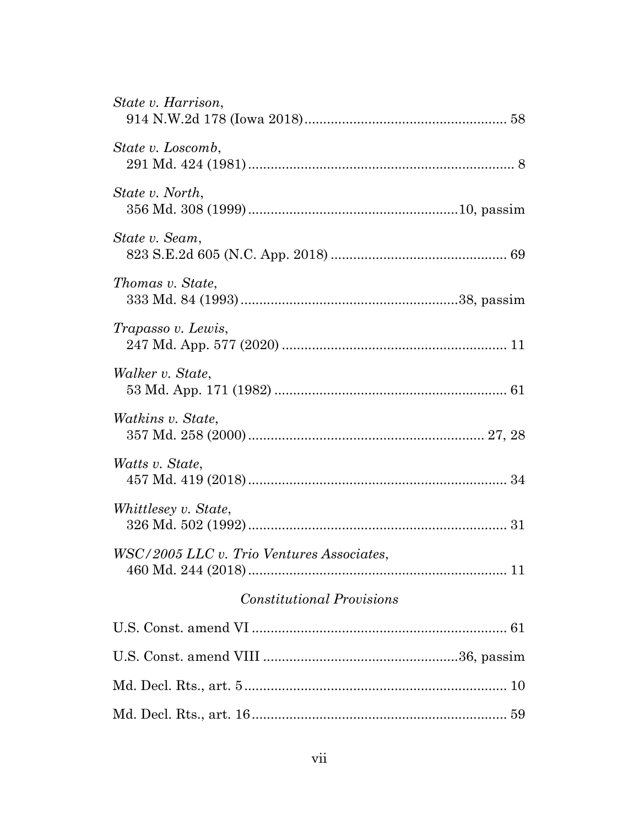| WSC/2005 LLC v. Trio Ventures Associates, |
|-------------------------------------------|
|                                           |
|                                           |
|                                           |
|                                           |
|                                           |
|                                           |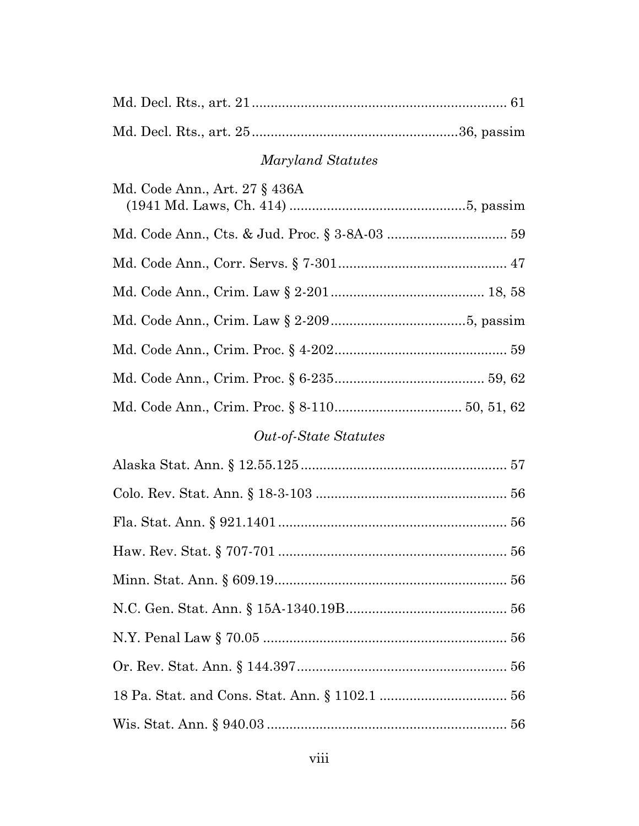Md. Decl. Rts., art. 25.......................................................36, passim

# *Maryland Statutes*

| Md. Code Ann., Art. 27 § 436A |  |
|-------------------------------|--|
|                               |  |
|                               |  |
|                               |  |
|                               |  |
|                               |  |
|                               |  |
|                               |  |
|                               |  |

# *Out-of-State Statutes*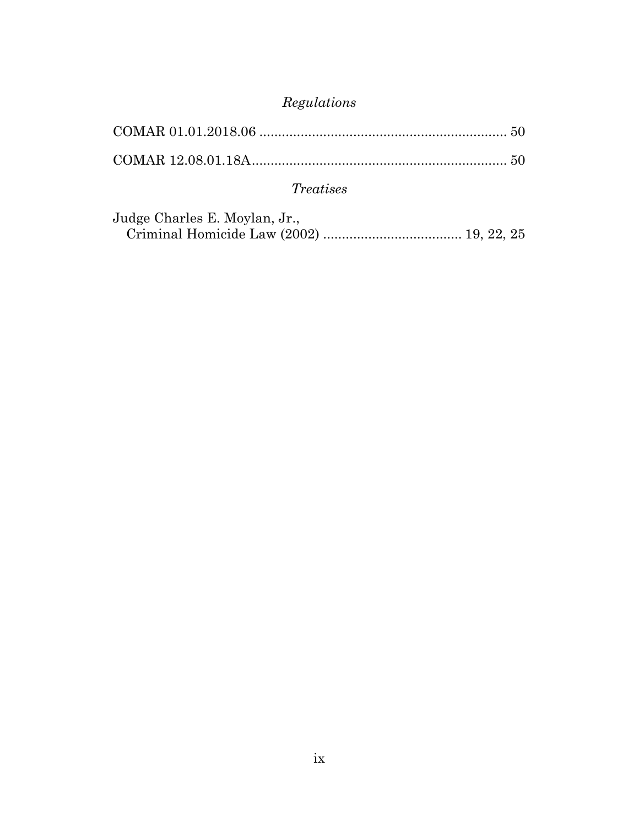# *Regulations*

| <i>Treatises</i> |  |
|------------------|--|

| Judge Charles E. Moylan, Jr., |  |
|-------------------------------|--|
|                               |  |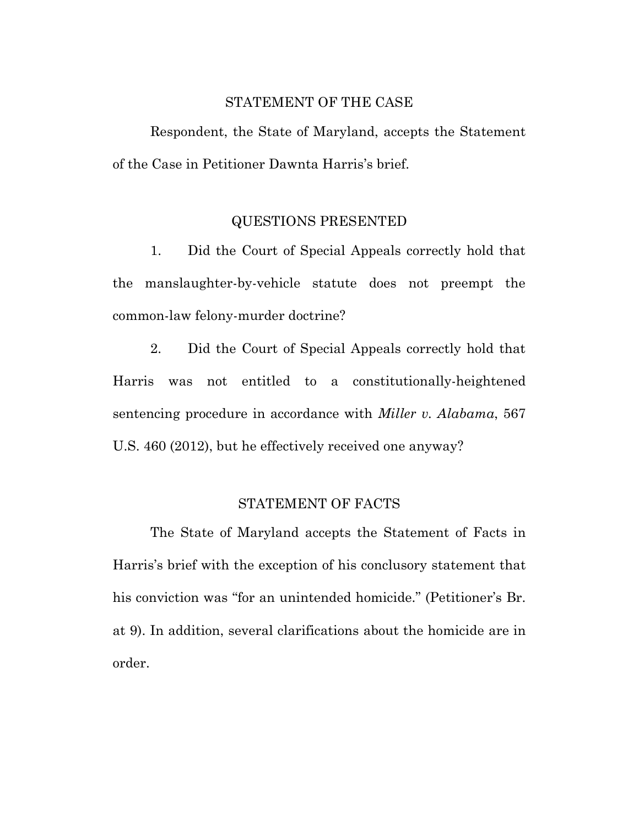### STATEMENT OF THE CASE

<span id="page-10-0"></span>Respondent, the State of Maryland, accepts the Statement of the Case in Petitioner Dawnta Harris's brief.

### QUESTIONS PRESENTED

<span id="page-10-1"></span>1. Did the Court of Special Appeals correctly hold that the manslaughter-by-vehicle statute does not preempt the common-law felony-murder doctrine?

2. Did the Court of Special Appeals correctly hold that Harris was not entitled to a constitutionally-heightened sentencing procedure in accordance with *Miller v. Alabama*, 567 U.S. 460 (2012), but he effectively received one anyway?

### STATEMENT OF FACTS

<span id="page-10-2"></span>The State of Maryland accepts the Statement of Facts in Harris's brief with the exception of his conclusory statement that his conviction was "for an unintended homicide." (Petitioner's Br. at 9). In addition, several clarifications about the homicide are in order.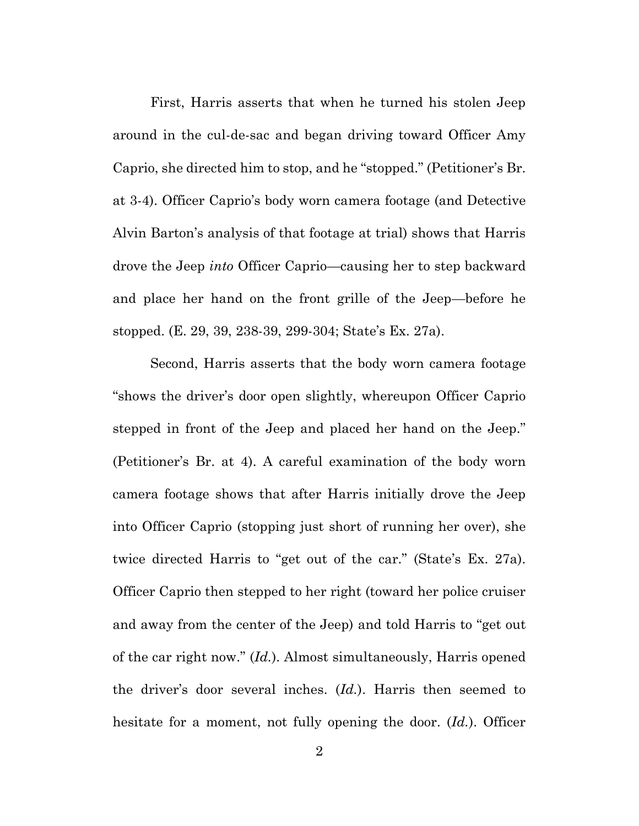First, Harris asserts that when he turned his stolen Jeep around in the cul-de-sac and began driving toward Officer Amy Caprio, she directed him to stop, and he "stopped." (Petitioner's Br. at 3-4). Officer Caprio's body worn camera footage (and Detective Alvin Barton's analysis of that footage at trial) shows that Harris drove the Jeep *into* Officer Caprio—causing her to step backward and place her hand on the front grille of the Jeep—before he stopped. (E. 29, 39, 238-39, 299-304; State's Ex. 27a).

Second, Harris asserts that the body worn camera footage "shows the driver's door open slightly, whereupon Officer Caprio stepped in front of the Jeep and placed her hand on the Jeep." (Petitioner's Br. at 4). A careful examination of the body worn camera footage shows that after Harris initially drove the Jeep into Officer Caprio (stopping just short of running her over), she twice directed Harris to "get out of the car." (State's Ex. 27a). Officer Caprio then stepped to her right (toward her police cruiser and away from the center of the Jeep) and told Harris to "get out of the car right now." (*Id.*). Almost simultaneously, Harris opened the driver's door several inches. (*Id.*). Harris then seemed to hesitate for a moment, not fully opening the door. (*Id.*). Officer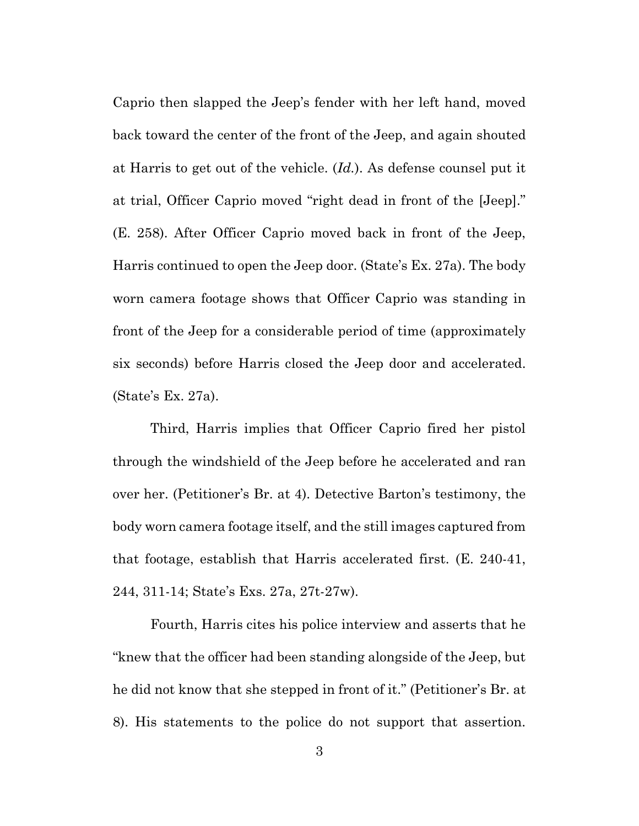Caprio then slapped the Jeep's fender with her left hand, moved back toward the center of the front of the Jeep, and again shouted at Harris to get out of the vehicle. (*Id.*). As defense counsel put it at trial, Officer Caprio moved "right dead in front of the [Jeep]." (E. 258). After Officer Caprio moved back in front of the Jeep, Harris continued to open the Jeep door. (State's Ex. 27a). The body worn camera footage shows that Officer Caprio was standing in front of the Jeep for a considerable period of time (approximately six seconds) before Harris closed the Jeep door and accelerated. (State's Ex. 27a).

Third, Harris implies that Officer Caprio fired her pistol through the windshield of the Jeep before he accelerated and ran over her. (Petitioner's Br. at 4). Detective Barton's testimony, the body worn camera footage itself, and the still images captured from that footage, establish that Harris accelerated first. (E. 240-41, 244, 311-14; State's Exs. 27a, 27t-27w).

Fourth, Harris cites his police interview and asserts that he "knew that the officer had been standing alongside of the Jeep, but he did not know that she stepped in front of it." (Petitioner's Br. at 8). His statements to the police do not support that assertion.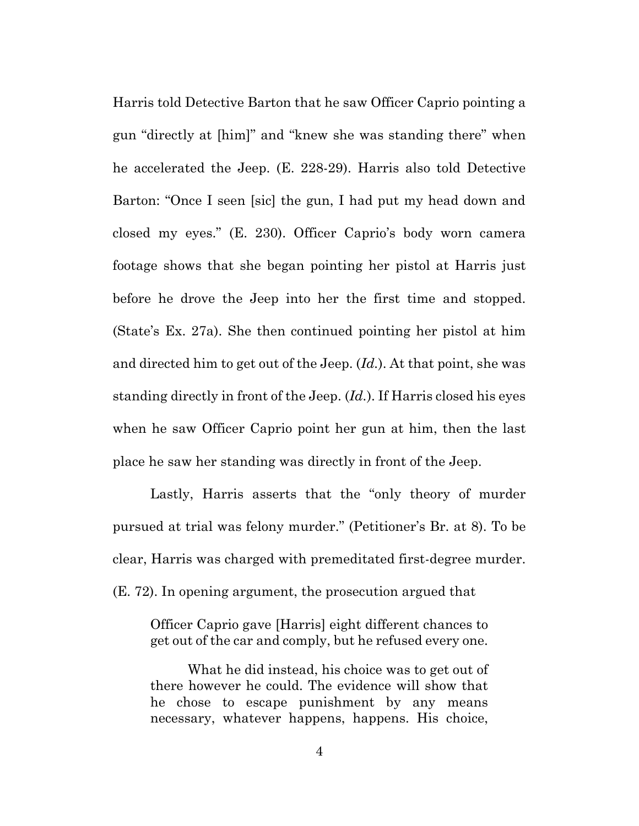Harris told Detective Barton that he saw Officer Caprio pointing a gun "directly at [him]" and "knew she was standing there" when he accelerated the Jeep. (E. 228-29). Harris also told Detective Barton: "Once I seen [sic] the gun, I had put my head down and closed my eyes." (E. 230). Officer Caprio's body worn camera footage shows that she began pointing her pistol at Harris just before he drove the Jeep into her the first time and stopped. (State's Ex. 27a). She then continued pointing her pistol at him and directed him to get out of the Jeep. (*Id.*). At that point, she was standing directly in front of the Jeep. (*Id.*). If Harris closed his eyes when he saw Officer Caprio point her gun at him, then the last place he saw her standing was directly in front of the Jeep.

Lastly, Harris asserts that the "only theory of murder pursued at trial was felony murder." (Petitioner's Br. at 8). To be clear, Harris was charged with premeditated first-degree murder. (E. 72). In opening argument, the prosecution argued that

Officer Caprio gave [Harris] eight different chances to get out of the car and comply, but he refused every one.

What he did instead, his choice was to get out of there however he could. The evidence will show that he chose to escape punishment by any means necessary, whatever happens, happens. His choice,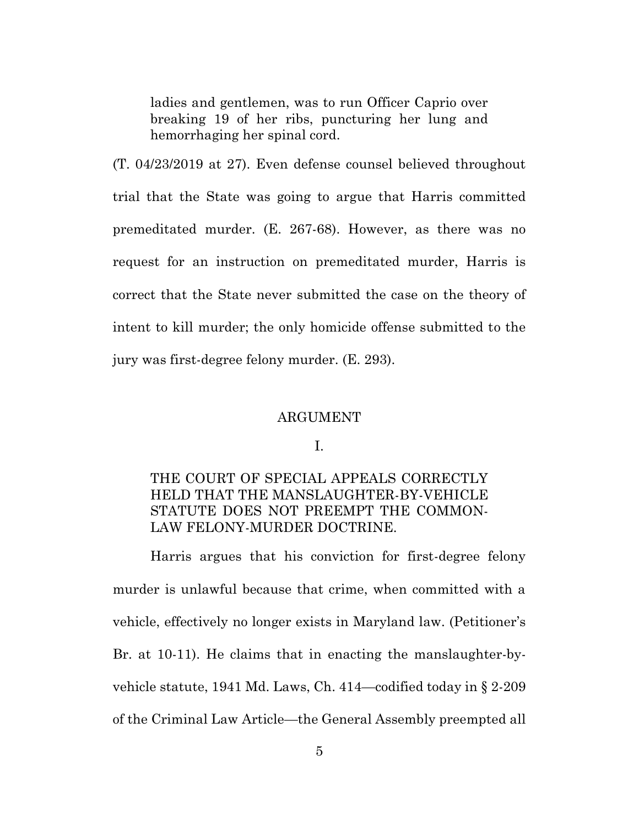ladies and gentlemen, was to run Officer Caprio over breaking 19 of her ribs, puncturing her lung and hemorrhaging her spinal cord.

(T. 04/23/2019 at 27). Even defense counsel believed throughout trial that the State was going to argue that Harris committed premeditated murder. (E. 267-68). However, as there was no request for an instruction on premeditated murder, Harris is correct that the State never submitted the case on the theory of intent to kill murder; the only homicide offense submitted to the jury was first-degree felony murder. (E. 293).

#### ARGUMENT

#### I.

# <span id="page-14-1"></span><span id="page-14-0"></span>THE COURT OF SPECIAL APPEALS CORRECTLY HELD THAT THE MANSLAUGHTER-BY-VEHICLE STATUTE DOES NOT PREEMPT THE COMMON-LAW FELONY-MURDER DOCTRINE.

Harris argues that his conviction for first-degree felony murder is unlawful because that crime, when committed with a vehicle, effectively no longer exists in Maryland law. (Petitioner's Br. at 10-11). He claims that in enacting the manslaughter-byvehicle statute, 1941 Md. Laws, Ch. 414—codified today in § 2-209 of the Criminal Law Article—the General Assembly preempted all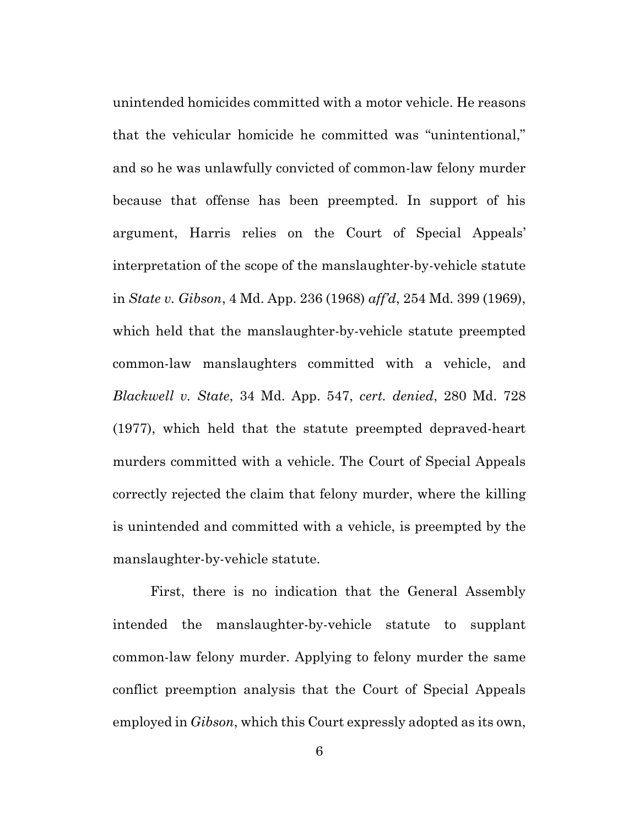unintended homicides committed with a motor vehicle. He reasons that the vehicular homicide he committed was "unintentional," and so he was unlawfully convicted of common-law felony murder because that offense has been preempted. In support of his argument, Harris relies on the Court of Special Appeals' interpretation of the scope of the manslaughter-by-vehicle statute in *State v. Gibson*, 4 Md. App. 236 (1968) *aff'd*, 254 Md. 399 (1969), which held that the manslaughter-by-vehicle statute preempted common-law manslaughters committed with a vehicle, and *Blackwell v. State*, 34 Md. App. 547, *cert. denied*, 280 Md. 728 (1977), which held that the statute preempted depraved-heart murders committed with a vehicle. The Court of Special Appeals correctly rejected the claim that felony murder, where the killing is unintended and committed with a vehicle, is preempted by the manslaughter-by-vehicle statute.

First, there is no indication that the General Assembly intended the manslaughter-by-vehicle statute to supplant common-law felony murder. Applying to felony murder the same conflict preemption analysis that the Court of Special Appeals employed in *Gibson*, which this Court expressly adopted as its own,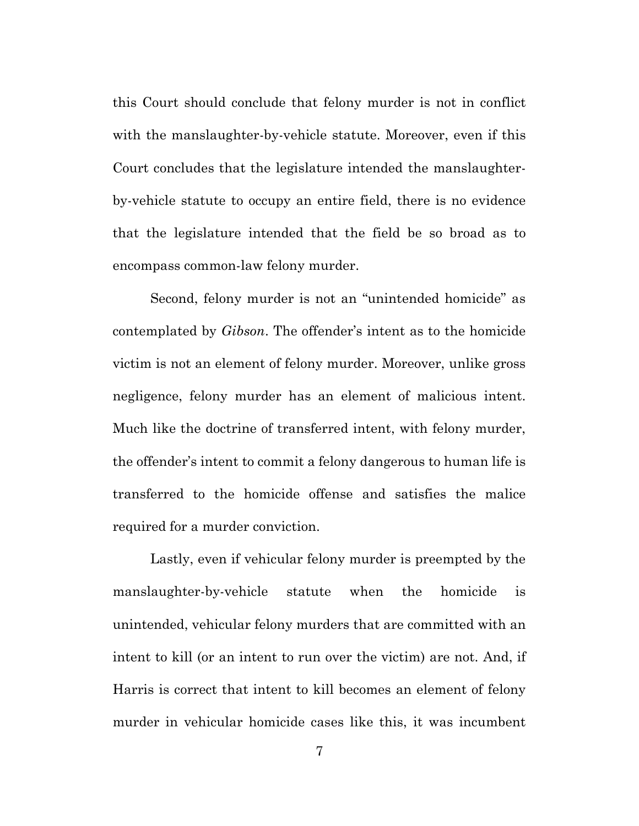this Court should conclude that felony murder is not in conflict with the manslaughter-by-vehicle statute. Moreover, even if this Court concludes that the legislature intended the manslaughterby-vehicle statute to occupy an entire field, there is no evidence that the legislature intended that the field be so broad as to encompass common-law felony murder.

Second, felony murder is not an "unintended homicide" as contemplated by *Gibson*. The offender's intent as to the homicide victim is not an element of felony murder. Moreover, unlike gross negligence, felony murder has an element of malicious intent. Much like the doctrine of transferred intent, with felony murder, the offender's intent to commit a felony dangerous to human life is transferred to the homicide offense and satisfies the malice required for a murder conviction.

Lastly, even if vehicular felony murder is preempted by the manslaughter-by-vehicle statute when the homicide is unintended, vehicular felony murders that are committed with an intent to kill (or an intent to run over the victim) are not. And, if Harris is correct that intent to kill becomes an element of felony murder in vehicular homicide cases like this, it was incumbent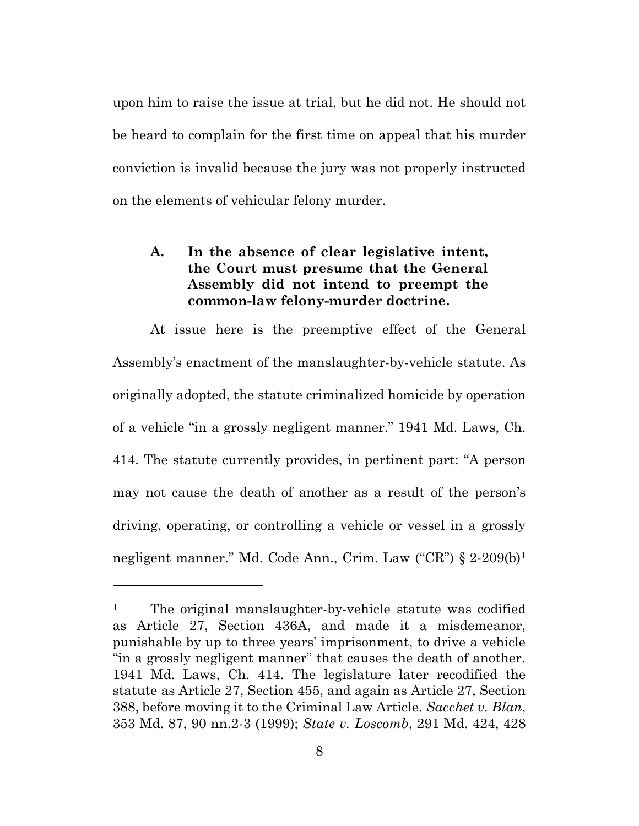upon him to raise the issue at trial, but he did not. He should not be heard to complain for the first time on appeal that his murder conviction is invalid because the jury was not properly instructed on the elements of vehicular felony murder.

# <span id="page-17-0"></span>**A. In the absence of clear legislative intent, the Court must presume that the General Assembly did not intend to preempt the common-law felony-murder doctrine.**

At issue here is the preemptive effect of the General Assembly's enactment of the manslaughter-by-vehicle statute. As originally adopted, the statute criminalized homicide by operation of a vehicle "in a grossly negligent manner." 1941 Md. Laws, Ch. 414. The statute currently provides, in pertinent part: "A person may not cause the death of another as a result of the person's driving, operating, or controlling a vehicle or vessel in a grossly negligent manner." Md. Code Ann., Crim. Law ("CR") § 2-209(b)**<sup>1</sup>**

<sup>&</sup>lt;sup>1</sup> The original manslaughter-by-vehicle statute was codified as Article 27, Section 436A, and made it a misdemeanor, punishable by up to three years' imprisonment, to drive a vehicle "in a grossly negligent manner" that causes the death of another. 1941 Md. Laws, Ch. 414. The legislature later recodified the statute as Article 27, Section 455, and again as Article 27, Section 388, before moving it to the Criminal Law Article. *Sacchet v. Blan*, 353 Md. 87, 90 nn.2-3 (1999); *State v. Loscomb*, 291 Md. 424, 428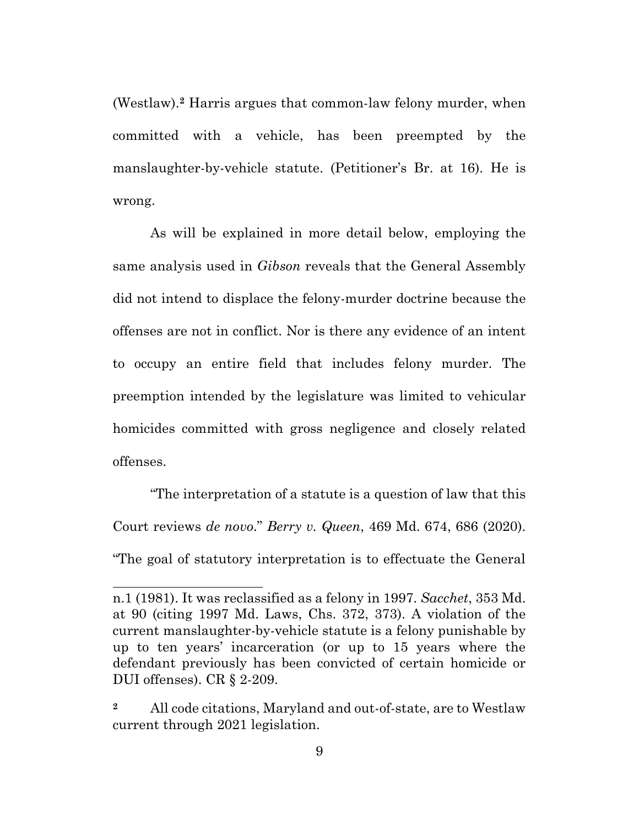(Westlaw).**<sup>2</sup>** Harris argues that common-law felony murder, when committed with a vehicle, has been preempted by the manslaughter-by-vehicle statute. (Petitioner's Br. at 16). He is wrong.

As will be explained in more detail below, employing the same analysis used in *Gibson* reveals that the General Assembly did not intend to displace the felony-murder doctrine because the offenses are not in conflict. Nor is there any evidence of an intent to occupy an entire field that includes felony murder. The preemption intended by the legislature was limited to vehicular homicides committed with gross negligence and closely related offenses.

"The interpretation of a statute is a question of law that this Court reviews *de novo*." *Berry v. Queen*, 469 Md. 674, 686 (2020). "The goal of statutory interpretation is to effectuate the General

n.1 (1981). It was reclassified as a felony in 1997. *Sacchet*, 353 Md. at 90 (citing 1997 Md. Laws, Chs. 372, 373). A violation of the current manslaughter-by-vehicle statute is a felony punishable by up to ten years' incarceration (or up to 15 years where the defendant previously has been convicted of certain homicide or DUI offenses). CR § 2-209.

**<sup>2</sup>** All code citations, Maryland and out-of-state, are to Westlaw current through 2021 legislation.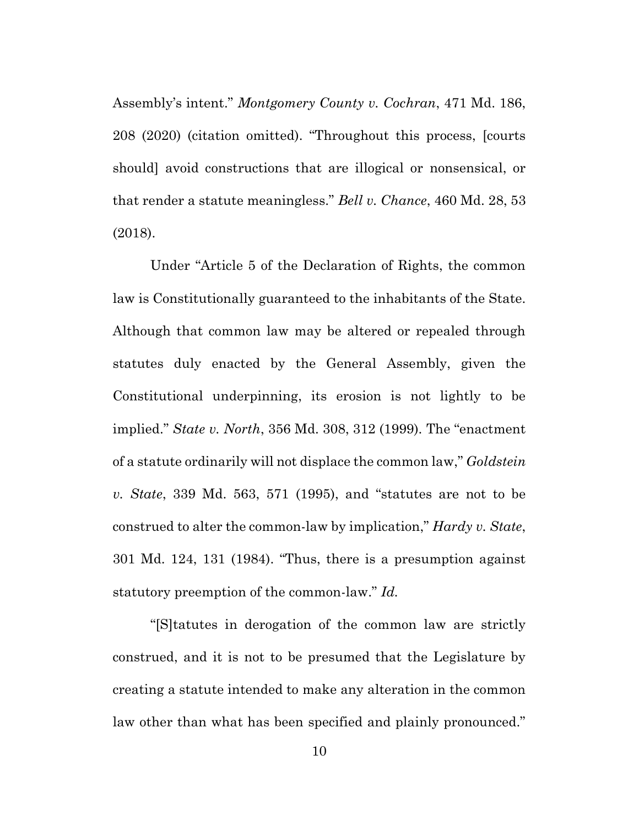Assembly's intent." *Montgomery County v. Cochran*, 471 Md. 186, 208 (2020) (citation omitted). "Throughout this process, [courts should] avoid constructions that are illogical or nonsensical, or that render a statute meaningless." *Bell v. Chance*, 460 Md. 28, 53 (2018).

Under "Article 5 of the Declaration of Rights, the common law is Constitutionally guaranteed to the inhabitants of the State. Although that common law may be altered or repealed through statutes duly enacted by the General Assembly, given the Constitutional underpinning, its erosion is not lightly to be implied." *State v. North*, 356 Md. 308, 312 (1999). The "enactment of a statute ordinarily will not displace the common law," *Goldstein v. State*, 339 Md. 563, 571 (1995), and "statutes are not to be construed to alter the common-law by implication," *Hardy v. State*, 301 Md. 124, 131 (1984). "Thus, there is a presumption against statutory preemption of the common-law." *Id.*

"[S]tatutes in derogation of the common law are strictly construed, and it is not to be presumed that the Legislature by creating a statute intended to make any alteration in the common law other than what has been specified and plainly pronounced."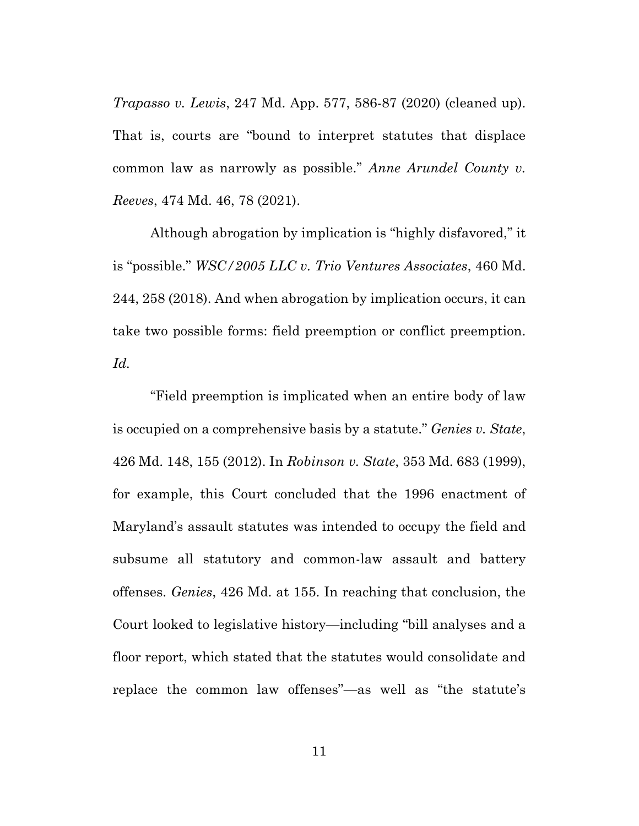*Trapasso v. Lewis*, 247 Md. App. 577, 586-87 (2020) (cleaned up). That is, courts are "bound to interpret statutes that displace common law as narrowly as possible." *Anne Arundel County v. Reeves*, 474 Md. 46, 78 (2021).

Although abrogation by implication is "highly disfavored," it is "possible." *WSC/2005 LLC v. Trio Ventures Associates*, 460 Md. 244, 258 (2018). And when abrogation by implication occurs, it can take two possible forms: field preemption or conflict preemption. *Id.*

"Field preemption is implicated when an entire body of law is occupied on a comprehensive basis by a statute." *Genies v. State*, 426 Md. 148, 155 (2012). In *Robinson v. State*, 353 Md. 683 (1999), for example, this Court concluded that the 1996 enactment of Maryland's assault statutes was intended to occupy the field and subsume all statutory and common-law assault and battery offenses. *Genies*, 426 Md. at 155. In reaching that conclusion, the Court looked to legislative history—including "bill analyses and a floor report, which stated that the statutes would consolidate and replace the common law offenses"—as well as "the statute's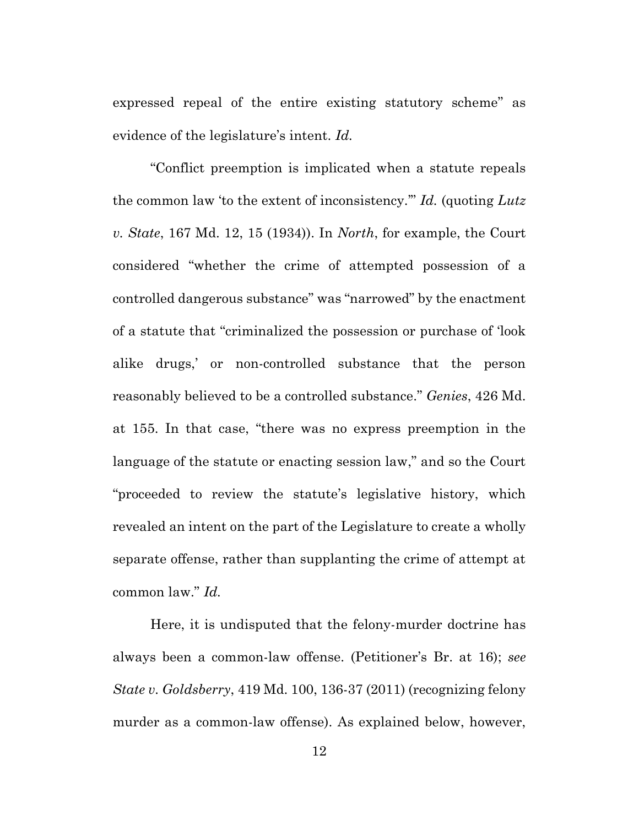expressed repeal of the entire existing statutory scheme" as evidence of the legislature's intent. *Id.*

"Conflict preemption is implicated when a statute repeals the common law 'to the extent of inconsistency.'" *Id.* (quoting *Lutz v. State*, 167 Md. 12, 15 (1934)). In *North*, for example, the Court considered "whether the crime of attempted possession of a controlled dangerous substance" was "narrowed" by the enactment of a statute that "criminalized the possession or purchase of 'look alike drugs,' or non-controlled substance that the person reasonably believed to be a controlled substance." *Genies*, 426 Md. at 155. In that case, "there was no express preemption in the language of the statute or enacting session law," and so the Court "proceeded to review the statute's legislative history, which revealed an intent on the part of the Legislature to create a wholly separate offense, rather than supplanting the crime of attempt at common law." *Id.*

Here, it is undisputed that the felony-murder doctrine has always been a common-law offense. (Petitioner's Br. at 16); *see State v. Goldsberry*, 419 Md. 100, 136-37 (2011) (recognizing felony murder as a common-law offense). As explained below, however,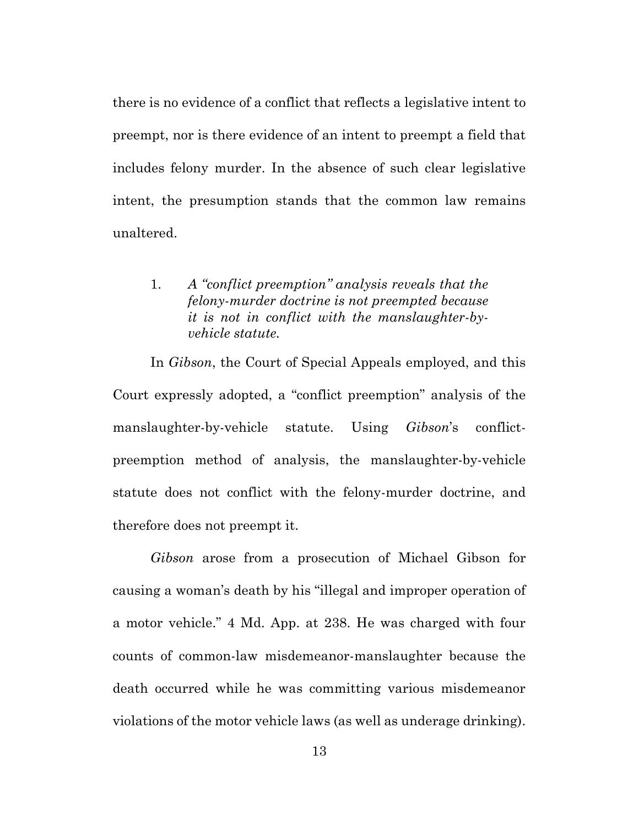there is no evidence of a conflict that reflects a legislative intent to preempt, nor is there evidence of an intent to preempt a field that includes felony murder. In the absence of such clear legislative intent, the presumption stands that the common law remains unaltered.

# <span id="page-22-0"></span>1. *A "conflict preemption" analysis reveals that the felony-murder doctrine is not preempted because it is not in conflict with the manslaughter-byvehicle statute.*

In *Gibson*, the Court of Special Appeals employed, and this Court expressly adopted, a "conflict preemption" analysis of the manslaughter-by-vehicle statute. Using *Gibson*'s conflictpreemption method of analysis, the manslaughter-by-vehicle statute does not conflict with the felony-murder doctrine, and therefore does not preempt it.

*Gibson* arose from a prosecution of Michael Gibson for causing a woman's death by his "illegal and improper operation of a motor vehicle." 4 Md. App. at 238. He was charged with four counts of common-law misdemeanor-manslaughter because the death occurred while he was committing various misdemeanor violations of the motor vehicle laws (as well as underage drinking).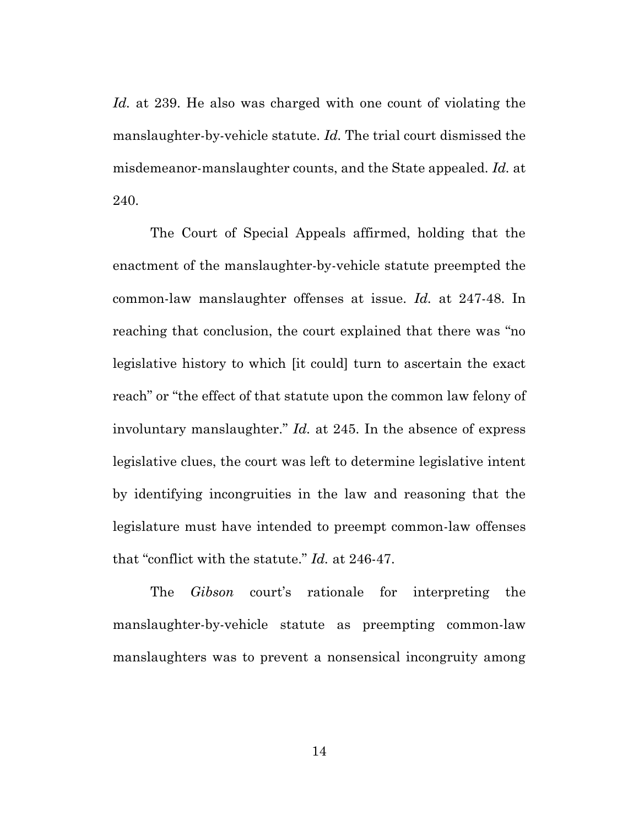*Id.* at 239. He also was charged with one count of violating the manslaughter-by-vehicle statute. *Id.* The trial court dismissed the misdemeanor-manslaughter counts, and the State appealed. *Id.* at 240.

The Court of Special Appeals affirmed, holding that the enactment of the manslaughter-by-vehicle statute preempted the common-law manslaughter offenses at issue. *Id.* at 247-48. In reaching that conclusion, the court explained that there was "no legislative history to which [it could] turn to ascertain the exact reach" or "the effect of that statute upon the common law felony of involuntary manslaughter." *Id.* at 245. In the absence of express legislative clues, the court was left to determine legislative intent by identifying incongruities in the law and reasoning that the legislature must have intended to preempt common-law offenses that "conflict with the statute." *Id.* at 246-47.

The *Gibson* court's rationale for interpreting the manslaughter-by-vehicle statute as preempting common-law manslaughters was to prevent a nonsensical incongruity among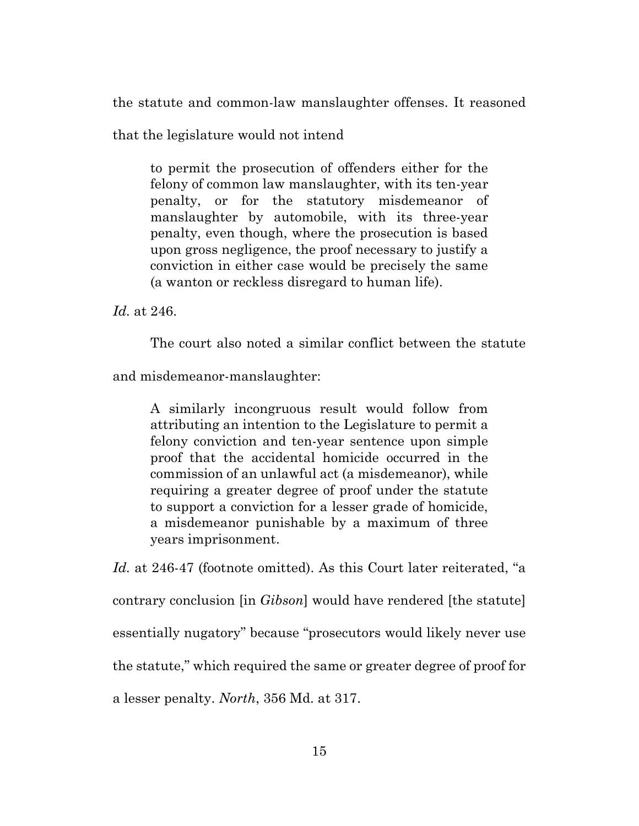the statute and common-law manslaughter offenses. It reasoned

that the legislature would not intend

to permit the prosecution of offenders either for the felony of common law manslaughter, with its ten-year penalty, or for the statutory misdemeanor of manslaughter by automobile, with its three-year penalty, even though, where the prosecution is based upon gross negligence, the proof necessary to justify a conviction in either case would be precisely the same (a wanton or reckless disregard to human life).

*Id.* at 246.

The court also noted a similar conflict between the statute

and misdemeanor-manslaughter:

A similarly incongruous result would follow from attributing an intention to the Legislature to permit a felony conviction and ten-year sentence upon simple proof that the accidental homicide occurred in the commission of an unlawful act (a misdemeanor), while requiring a greater degree of proof under the statute to support a conviction for a lesser grade of homicide, a misdemeanor punishable by a maximum of three years imprisonment.

*Id.* at 246-47 (footnote omitted). As this Court later reiterated, "a contrary conclusion [in *Gibson*] would have rendered [the statute] essentially nugatory" because "prosecutors would likely never use the statute," which required the same or greater degree of proof for a lesser penalty. *North*, 356 Md. at 317.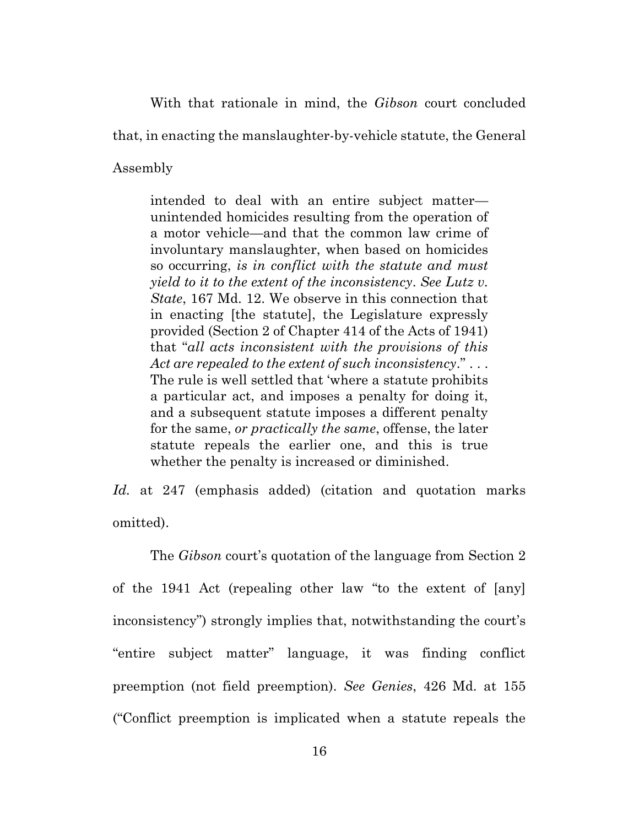With that rationale in mind, the *Gibson* court concluded

that, in enacting the manslaughter-by-vehicle statute, the General

Assembly

intended to deal with an entire subject matter unintended homicides resulting from the operation of a motor vehicle—and that the common law crime of involuntary manslaughter, when based on homicides so occurring, *is in conflict with the statute and must yield to it to the extent of the inconsistency*. *See Lutz v. State*, 167 Md. 12. We observe in this connection that in enacting [the statute], the Legislature expressly provided (Section 2 of Chapter 414 of the Acts of 1941) that "*all acts inconsistent with the provisions of this Act are repealed to the extent of such inconsistency*." . . . The rule is well settled that 'where a statute prohibits a particular act, and imposes a penalty for doing it, and a subsequent statute imposes a different penalty for the same, *or practically the same*, offense, the later statute repeals the earlier one, and this is true whether the penalty is increased or diminished.

*Id.* at 247 (emphasis added) (citation and quotation marks omitted).

The *Gibson* court's quotation of the language from Section 2 of the 1941 Act (repealing other law "to the extent of [any] inconsistency") strongly implies that, notwithstanding the court's "entire subject matter" language, it was finding conflict preemption (not field preemption). *See Genies*, 426 Md. at 155 ("Conflict preemption is implicated when a statute repeals the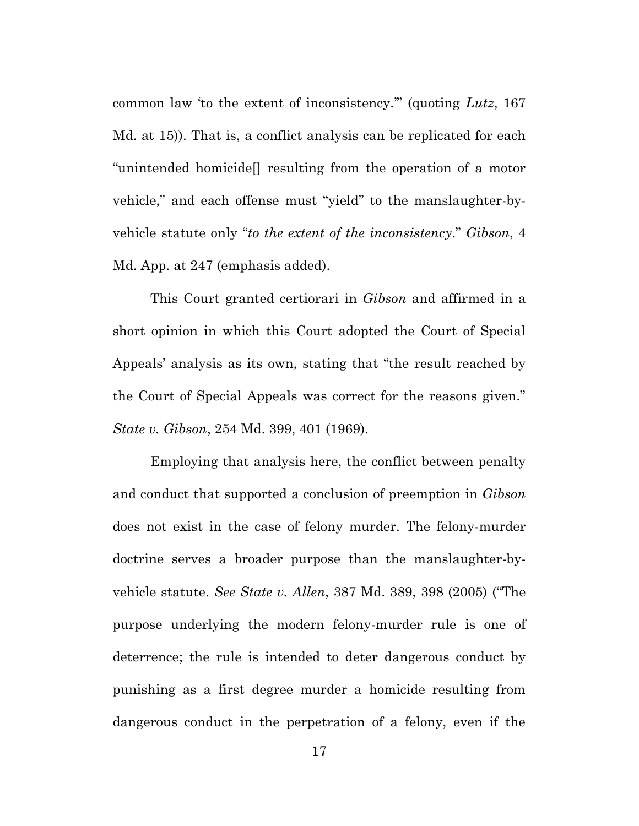common law 'to the extent of inconsistency.'" (quoting *Lutz*, 167 Md. at 15)). That is, a conflict analysis can be replicated for each "unintended homicide[] resulting from the operation of a motor vehicle," and each offense must "yield" to the manslaughter-byvehicle statute only "*to the extent of the inconsistency*." *Gibson*, 4 Md. App. at 247 (emphasis added).

This Court granted certiorari in *Gibson* and affirmed in a short opinion in which this Court adopted the Court of Special Appeals' analysis as its own, stating that "the result reached by the Court of Special Appeals was correct for the reasons given." *State v. Gibson*, 254 Md. 399, 401 (1969).

Employing that analysis here, the conflict between penalty and conduct that supported a conclusion of preemption in *Gibson* does not exist in the case of felony murder. The felony-murder doctrine serves a broader purpose than the manslaughter-byvehicle statute. *See State v. Allen*, 387 Md. 389, 398 (2005) ("The purpose underlying the modern felony-murder rule is one of deterrence; the rule is intended to deter dangerous conduct by punishing as a first degree murder a homicide resulting from dangerous conduct in the perpetration of a felony, even if the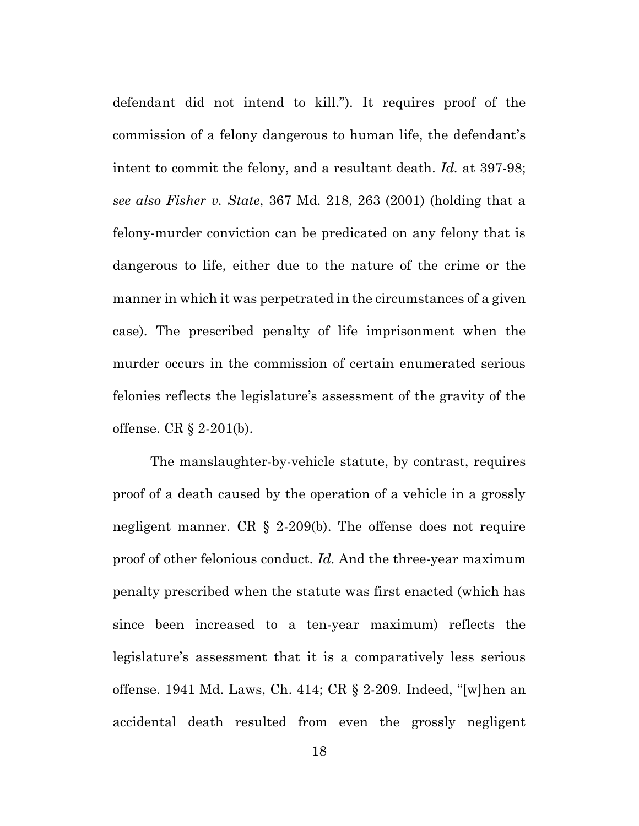defendant did not intend to kill."). It requires proof of the commission of a felony dangerous to human life, the defendant's intent to commit the felony, and a resultant death. *Id.* at 397-98; *see also Fisher v. State*, 367 Md. 218, 263 (2001) (holding that a felony-murder conviction can be predicated on any felony that is dangerous to life, either due to the nature of the crime or the manner in which it was perpetrated in the circumstances of a given case). The prescribed penalty of life imprisonment when the murder occurs in the commission of certain enumerated serious felonies reflects the legislature's assessment of the gravity of the offense. CR § 2-201(b).

The manslaughter-by-vehicle statute, by contrast, requires proof of a death caused by the operation of a vehicle in a grossly negligent manner. CR § 2-209(b). The offense does not require proof of other felonious conduct. *Id.* And the three-year maximum penalty prescribed when the statute was first enacted (which has since been increased to a ten-year maximum) reflects the legislature's assessment that it is a comparatively less serious offense. 1941 Md. Laws, Ch. 414; CR § 2-209. Indeed, "[w]hen an accidental death resulted from even the grossly negligent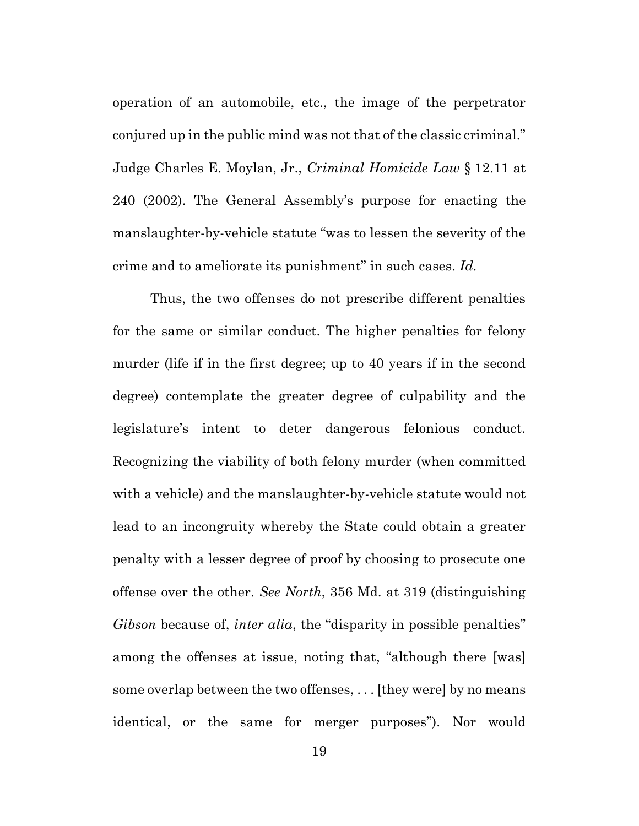operation of an automobile, etc., the image of the perpetrator conjured up in the public mind was not that of the classic criminal." Judge Charles E. Moylan, Jr., *Criminal Homicide Law* § 12.11 at 240 (2002). The General Assembly's purpose for enacting the manslaughter-by-vehicle statute "was to lessen the severity of the crime and to ameliorate its punishment" in such cases. *Id.*

Thus, the two offenses do not prescribe different penalties for the same or similar conduct. The higher penalties for felony murder (life if in the first degree; up to 40 years if in the second degree) contemplate the greater degree of culpability and the legislature's intent to deter dangerous felonious conduct. Recognizing the viability of both felony murder (when committed with a vehicle) and the manslaughter-by-vehicle statute would not lead to an incongruity whereby the State could obtain a greater penalty with a lesser degree of proof by choosing to prosecute one offense over the other. *See North*, 356 Md. at 319 (distinguishing *Gibson* because of, *inter alia*, the "disparity in possible penalties" among the offenses at issue, noting that, "although there [was] some overlap between the two offenses, . . . [they were] by no means identical, or the same for merger purposes"). Nor would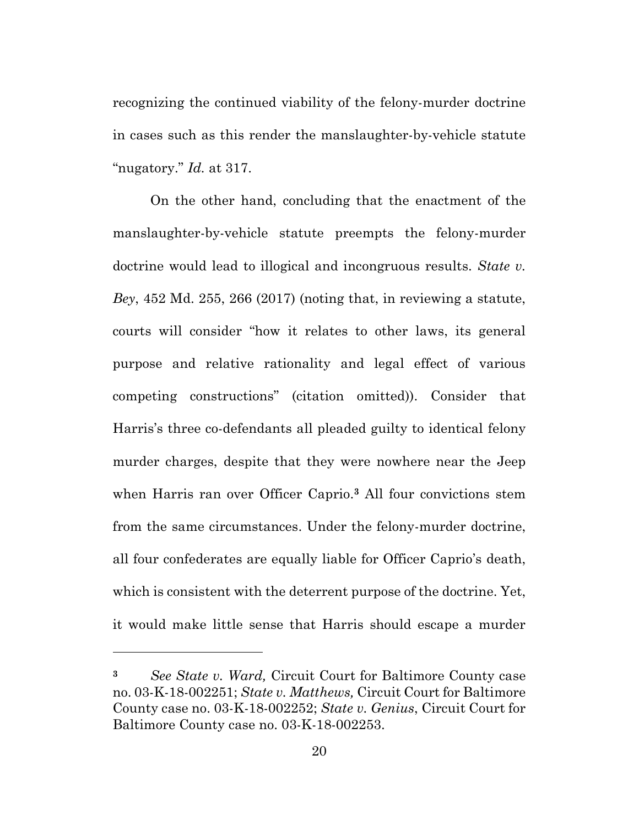recognizing the continued viability of the felony-murder doctrine in cases such as this render the manslaughter-by-vehicle statute "nugatory." *Id.* at 317.

On the other hand, concluding that the enactment of the manslaughter-by-vehicle statute preempts the felony-murder doctrine would lead to illogical and incongruous results. *State v. Bey*, 452 Md. 255, 266 (2017) (noting that, in reviewing a statute, courts will consider "how it relates to other laws, its general purpose and relative rationality and legal effect of various competing constructions" (citation omitted)). Consider that Harris's three co-defendants all pleaded guilty to identical felony murder charges, despite that they were nowhere near the Jeep when Harris ran over Officer Caprio. **<sup>3</sup>** All four convictions stem from the same circumstances. Under the felony-murder doctrine, all four confederates are equally liable for Officer Caprio's death, which is consistent with the deterrent purpose of the doctrine. Yet, it would make little sense that Harris should escape a murder

**<sup>3</sup>** *See State v. Ward,* Circuit Court for Baltimore County case no. 03-K-18-002251; *State v. Matthews,* Circuit Court for Baltimore County case no. 03-K-18-002252; *State v. Genius*, Circuit Court for Baltimore County case no. 03-K-18-002253.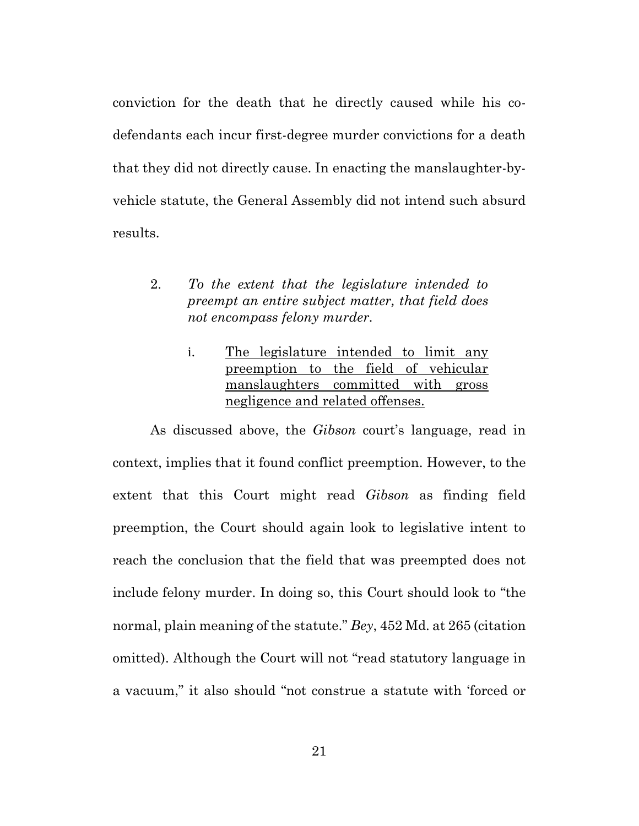conviction for the death that he directly caused while his codefendants each incur first-degree murder convictions for a death that they did not directly cause. In enacting the manslaughter-byvehicle statute, the General Assembly did not intend such absurd results.

- <span id="page-30-1"></span><span id="page-30-0"></span>2. *To the extent that the legislature intended to preempt an entire subject matter, that field does not encompass felony murder.*
	- i. The legislature intended to limit any preemption to the field of vehicular manslaughters committed with gross negligence and related offenses.

As discussed above, the *Gibson* court's language, read in context, implies that it found conflict preemption. However, to the extent that this Court might read *Gibson* as finding field preemption, the Court should again look to legislative intent to reach the conclusion that the field that was preempted does not include felony murder. In doing so, this Court should look to "the normal, plain meaning of the statute." *Bey*, 452 Md. at 265 (citation omitted). Although the Court will not "read statutory language in a vacuum," it also should "not construe a statute with 'forced or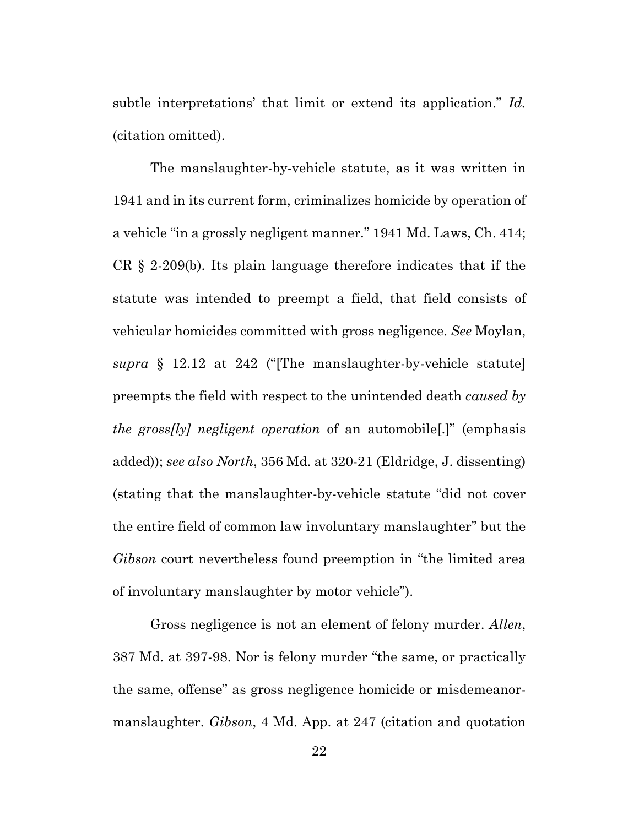subtle interpretations' that limit or extend its application." *Id.* (citation omitted).

The manslaughter-by-vehicle statute, as it was written in 1941 and in its current form, criminalizes homicide by operation of a vehicle "in a grossly negligent manner." 1941 Md. Laws, Ch. 414; CR § 2-209(b). Its plain language therefore indicates that if the statute was intended to preempt a field, that field consists of vehicular homicides committed with gross negligence. *See* Moylan, *supra* § 12.12 at 242 ("[The manslaughter-by-vehicle statute] preempts the field with respect to the unintended death *caused by the gross[ly] negligent operation* of an automobile[.]" (emphasis added)); *see also North*, 356 Md. at 320-21 (Eldridge, J. dissenting) (stating that the manslaughter-by-vehicle statute "did not cover the entire field of common law involuntary manslaughter" but the *Gibson* court nevertheless found preemption in "the limited area of involuntary manslaughter by motor vehicle").

Gross negligence is not an element of felony murder. *Allen*, 387 Md. at 397-98. Nor is felony murder "the same, or practically the same, offense" as gross negligence homicide or misdemeanormanslaughter. *Gibson*, 4 Md. App. at 247 (citation and quotation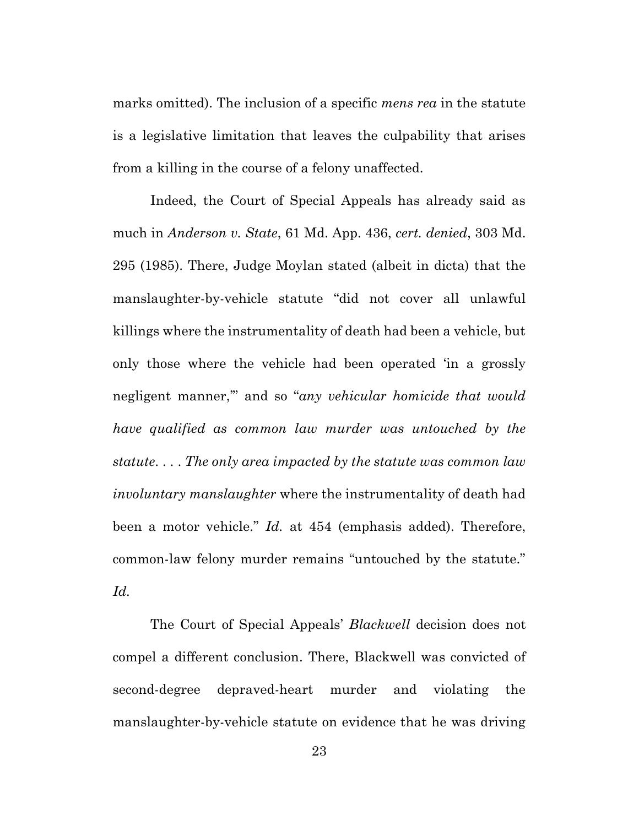marks omitted). The inclusion of a specific *mens rea* in the statute is a legislative limitation that leaves the culpability that arises from a killing in the course of a felony unaffected.

Indeed, the Court of Special Appeals has already said as much in *Anderson v. State*, 61 Md. App. 436, *cert. denied*, 303 Md. 295 (1985). There, Judge Moylan stated (albeit in dicta) that the manslaughter-by-vehicle statute "did not cover all unlawful killings where the instrumentality of death had been a vehicle, but only those where the vehicle had been operated 'in a grossly negligent manner,'" and so "*any vehicular homicide that would have qualified as common law murder was untouched by the statute*. . . . *The only area impacted by the statute was common law involuntary manslaughter* where the instrumentality of death had been a motor vehicle." *Id.* at 454 (emphasis added). Therefore, common-law felony murder remains "untouched by the statute." *Id.*

The Court of Special Appeals' *Blackwell* decision does not compel a different conclusion. There, Blackwell was convicted of second-degree depraved-heart murder and violating the manslaughter-by-vehicle statute on evidence that he was driving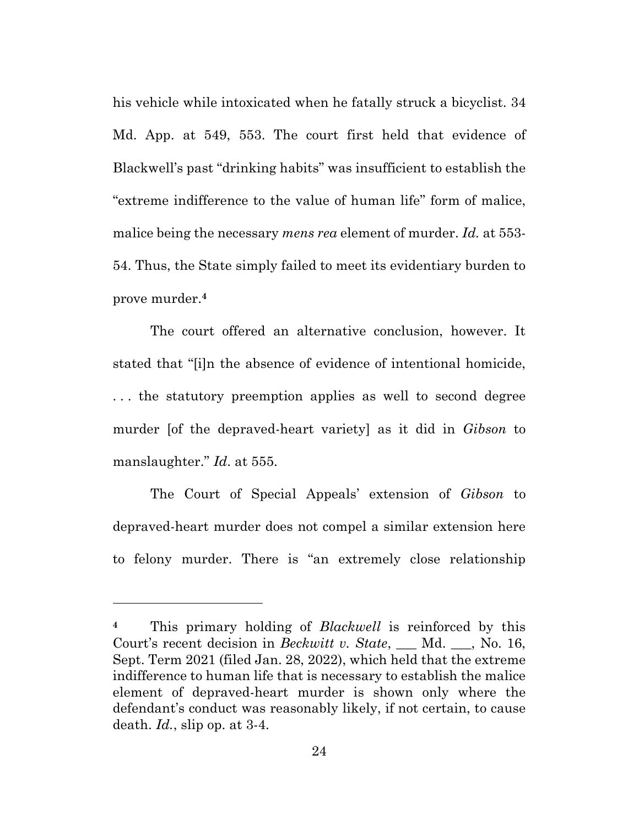his vehicle while intoxicated when he fatally struck a bicyclist. 34 Md. App. at 549, 553. The court first held that evidence of Blackwell's past "drinking habits" was insufficient to establish the "extreme indifference to the value of human life" form of malice, malice being the necessary *mens rea* element of murder. *Id.* at 553- 54. Thus, the State simply failed to meet its evidentiary burden to prove murder.**<sup>4</sup>**

The court offered an alternative conclusion, however. It stated that "[i]n the absence of evidence of intentional homicide, ... the statutory preemption applies as well to second degree murder [of the depraved-heart variety] as it did in *Gibson* to manslaughter." *Id*. at 555.

The Court of Special Appeals' extension of *Gibson* to depraved-heart murder does not compel a similar extension here to felony murder. There is "an extremely close relationship

**<sup>4</sup>** This primary holding of *Blackwell* is reinforced by this Court's recent decision in *Beckwitt v. State*, \_\_\_ Md. \_\_\_, No. 16, Sept. Term 2021 (filed Jan. 28, 2022), which held that the extreme indifference to human life that is necessary to establish the malice element of depraved-heart murder is shown only where the defendant's conduct was reasonably likely, if not certain, to cause death. *Id.*, slip op. at 3-4.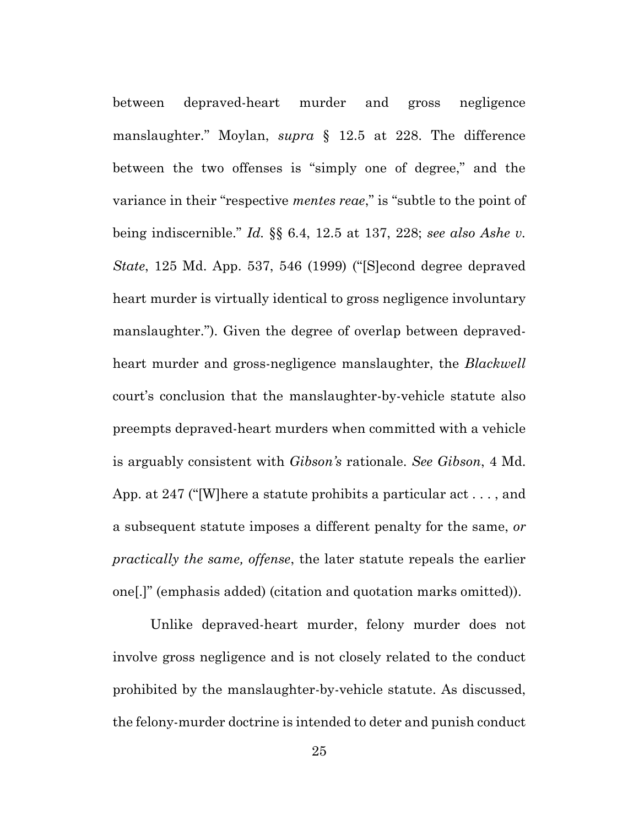between depraved-heart murder and gross negligence manslaughter." Moylan, *supra* § 12.5 at 228. The difference between the two offenses is "simply one of degree," and the variance in their "respective *mentes reae*," is "subtle to the point of being indiscernible." *Id.* §§ 6.4, 12.5 at 137, 228; *see also Ashe v. State*, 125 Md. App. 537, 546 (1999) ("[S]econd degree depraved heart murder is virtually identical to gross negligence involuntary manslaughter."). Given the degree of overlap between depravedheart murder and gross-negligence manslaughter, the *Blackwell* court's conclusion that the manslaughter-by-vehicle statute also preempts depraved-heart murders when committed with a vehicle is arguably consistent with *Gibson's* rationale. *See Gibson*, 4 Md. App. at 247 ("[W]here a statute prohibits a particular act . . . , and a subsequent statute imposes a different penalty for the same, *or practically the same, offense*, the later statute repeals the earlier one[.]" (emphasis added) (citation and quotation marks omitted)).

Unlike depraved-heart murder, felony murder does not involve gross negligence and is not closely related to the conduct prohibited by the manslaughter-by-vehicle statute. As discussed, the felony-murder doctrine is intended to deter and punish conduct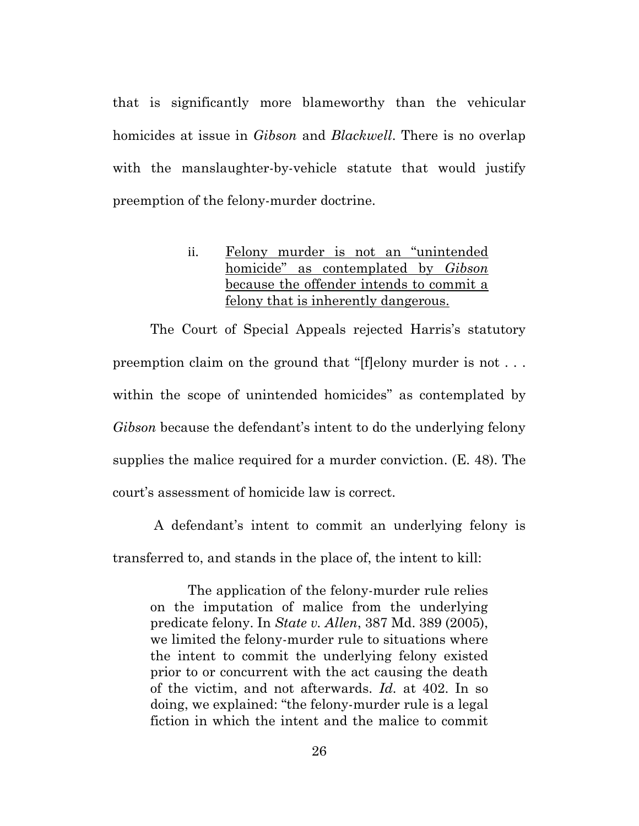that is significantly more blameworthy than the vehicular homicides at issue in *Gibson* and *Blackwell*. There is no overlap with the manslaughter-by-vehicle statute that would justify preemption of the felony-murder doctrine.

### <span id="page-35-0"></span>ii. Felony murder is not an "unintended homicide" as contemplated by *Gibson* because the offender intends to commit a felony that is inherently dangerous.

The Court of Special Appeals rejected Harris's statutory preemption claim on the ground that "[f]elony murder is not . . . within the scope of unintended homicides" as contemplated by *Gibson* because the defendant's intent to do the underlying felony supplies the malice required for a murder conviction. (E. 48). The court's assessment of homicide law is correct.

A defendant's intent to commit an underlying felony is transferred to, and stands in the place of, the intent to kill:

The application of the felony-murder rule relies on the imputation of malice from the underlying predicate felony. In *State v. Allen*, 387 Md. 389 (2005), we limited the felony-murder rule to situations where the intent to commit the underlying felony existed prior to or concurrent with the act causing the death of the victim, and not afterwards. *Id.* at 402. In so doing, we explained: "the felony-murder rule is a legal fiction in which the intent and the malice to commit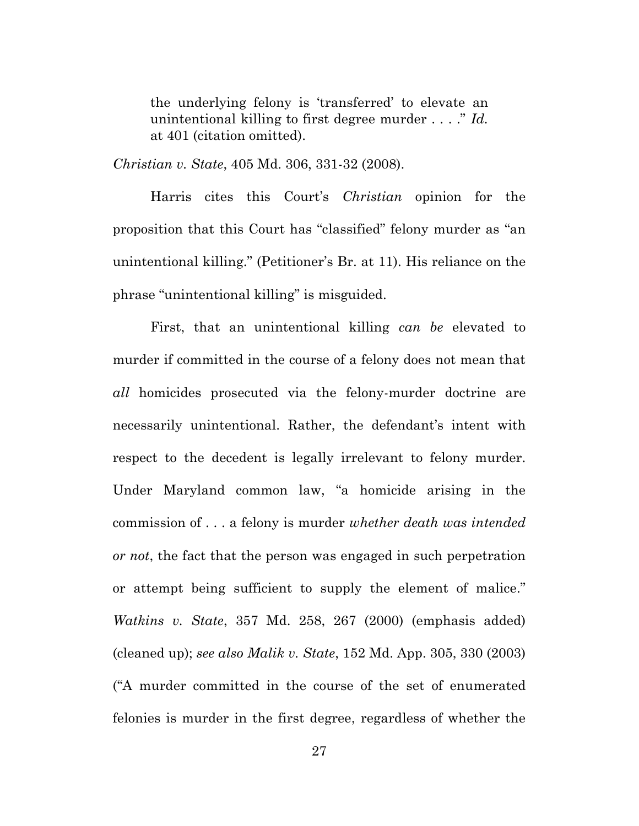the underlying felony is 'transferred' to elevate an unintentional killing to first degree murder . . . ." *Id.* at 401 (citation omitted).

*Christian v. State*, 405 Md. 306, 331-32 (2008).

Harris cites this Court's *Christian* opinion for the proposition that this Court has "classified" felony murder as "an unintentional killing." (Petitioner's Br. at 11). His reliance on the phrase "unintentional killing" is misguided.

First, that an unintentional killing *can be* elevated to murder if committed in the course of a felony does not mean that *all* homicides prosecuted via the felony-murder doctrine are necessarily unintentional. Rather, the defendant's intent with respect to the decedent is legally irrelevant to felony murder. Under Maryland common law, "a homicide arising in the commission of . . . a felony is murder *whether death was intended or not*, the fact that the person was engaged in such perpetration or attempt being sufficient to supply the element of malice." *Watkins v. State*, 357 Md. 258, 267 (2000) (emphasis added) (cleaned up); *see also Malik v. State*, 152 Md. App. 305, 330 (2003) ("A murder committed in the course of the set of enumerated felonies is murder in the first degree, regardless of whether the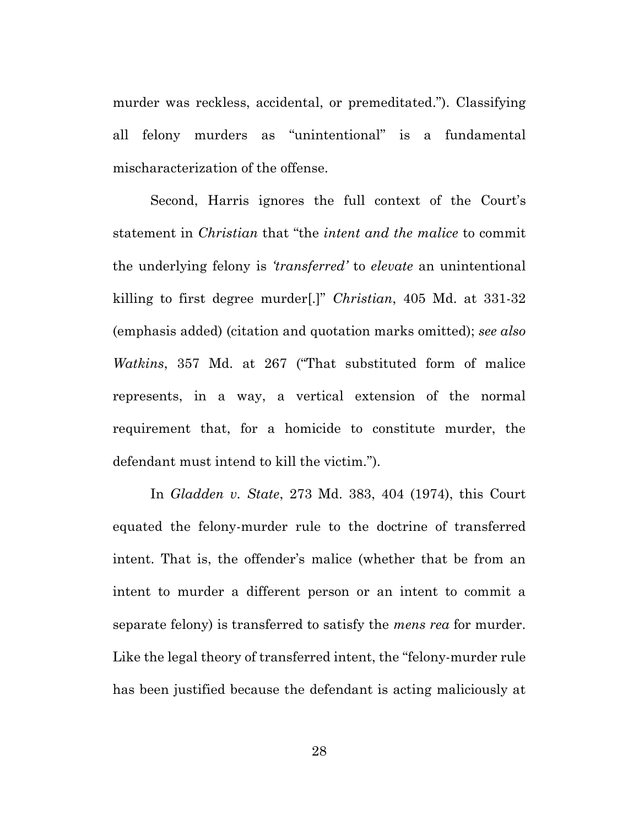murder was reckless, accidental, or premeditated."). Classifying all felony murders as "unintentional" is a fundamental mischaracterization of the offense.

Second, Harris ignores the full context of the Court's statement in *Christian* that "the *intent and the malice* to commit the underlying felony is *'transferred'* to *elevate* an unintentional killing to first degree murder[.]" *Christian*, 405 Md. at 331-32 (emphasis added) (citation and quotation marks omitted); *see also Watkins*, 357 Md. at 267 ("That substituted form of malice represents, in a way, a vertical extension of the normal requirement that, for a homicide to constitute murder, the defendant must intend to kill the victim.").

In *Gladden v. State*, 273 Md. 383, 404 (1974), this Court equated the felony-murder rule to the doctrine of transferred intent. That is, the offender's malice (whether that be from an intent to murder a different person or an intent to commit a separate felony) is transferred to satisfy the *mens rea* for murder. Like the legal theory of transferred intent, the "felony-murder rule has been justified because the defendant is acting maliciously at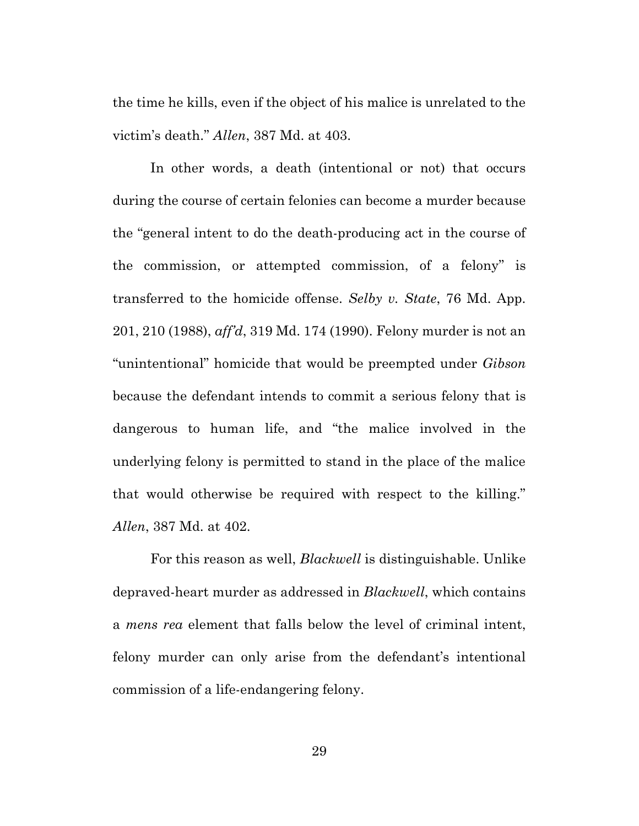the time he kills, even if the object of his malice is unrelated to the victim's death." *Allen*, 387 Md. at 403.

In other words, a death (intentional or not) that occurs during the course of certain felonies can become a murder because the "general intent to do the death-producing act in the course of the commission, or attempted commission, of a felony" is transferred to the homicide offense. *Selby v. State*, 76 Md. App. 201, 210 (1988), *aff'd*, 319 Md. 174 (1990). Felony murder is not an "unintentional" homicide that would be preempted under *Gibson*  because the defendant intends to commit a serious felony that is dangerous to human life, and "the malice involved in the underlying felony is permitted to stand in the place of the malice that would otherwise be required with respect to the killing." *Allen*, 387 Md. at 402.

For this reason as well, *Blackwell* is distinguishable. Unlike depraved-heart murder as addressed in *Blackwell*, which contains a *mens rea* element that falls below the level of criminal intent, felony murder can only arise from the defendant's intentional commission of a life-endangering felony.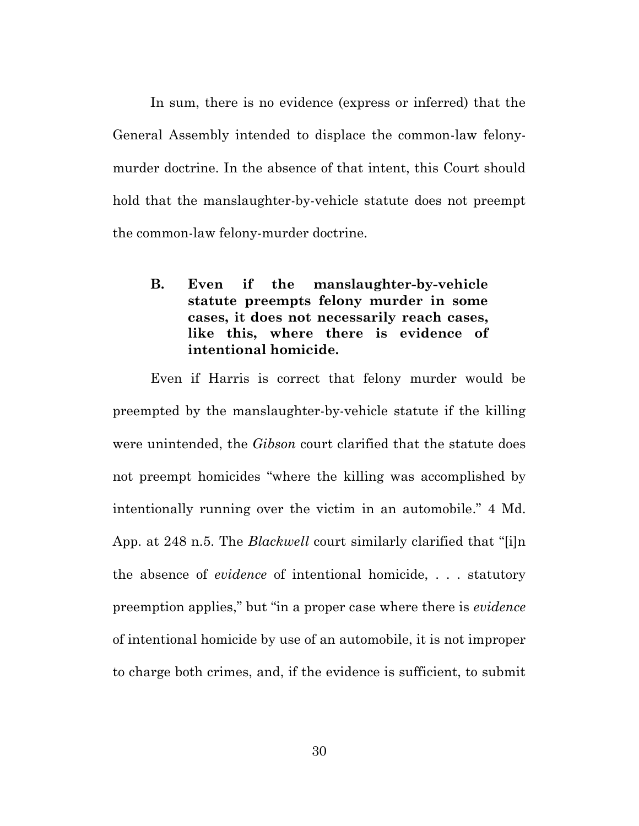In sum, there is no evidence (express or inferred) that the General Assembly intended to displace the common-law felonymurder doctrine. In the absence of that intent, this Court should hold that the manslaughter-by-vehicle statute does not preempt the common-law felony-murder doctrine.

# **B. Even if the manslaughter-by-vehicle statute preempts felony murder in some cases, it does not necessarily reach cases, like this, where there is evidence of intentional homicide.**

Even if Harris is correct that felony murder would be preempted by the manslaughter-by-vehicle statute if the killing were unintended, the *Gibson* court clarified that the statute does not preempt homicides "where the killing was accomplished by intentionally running over the victim in an automobile." 4 Md. App. at 248 n.5. The *Blackwell* court similarly clarified that "[i]n the absence of *evidence* of intentional homicide, . . . statutory preemption applies," but "in a proper case where there is *evidence* of intentional homicide by use of an automobile, it is not improper to charge both crimes, and, if the evidence is sufficient, to submit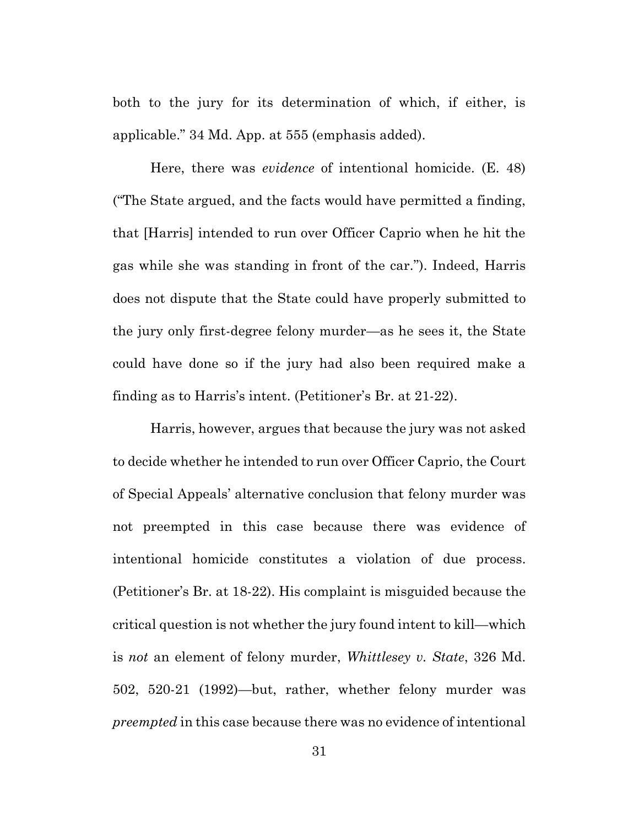both to the jury for its determination of which, if either, is applicable." 34 Md. App. at 555 (emphasis added).

Here, there was *evidence* of intentional homicide. (E. 48) ("The State argued, and the facts would have permitted a finding, that [Harris] intended to run over Officer Caprio when he hit the gas while she was standing in front of the car."). Indeed, Harris does not dispute that the State could have properly submitted to the jury only first-degree felony murder—as he sees it, the State could have done so if the jury had also been required make a finding as to Harris's intent. (Petitioner's Br. at 21-22).

Harris, however, argues that because the jury was not asked to decide whether he intended to run over Officer Caprio, the Court of Special Appeals' alternative conclusion that felony murder was not preempted in this case because there was evidence of intentional homicide constitutes a violation of due process. (Petitioner's Br. at 18-22). His complaint is misguided because the critical question is not whether the jury found intent to kill—which is *not* an element of felony murder, *Whittlesey v. State*, 326 Md. 502, 520-21 (1992)—but, rather, whether felony murder was *preempted* in this case because there was no evidence of intentional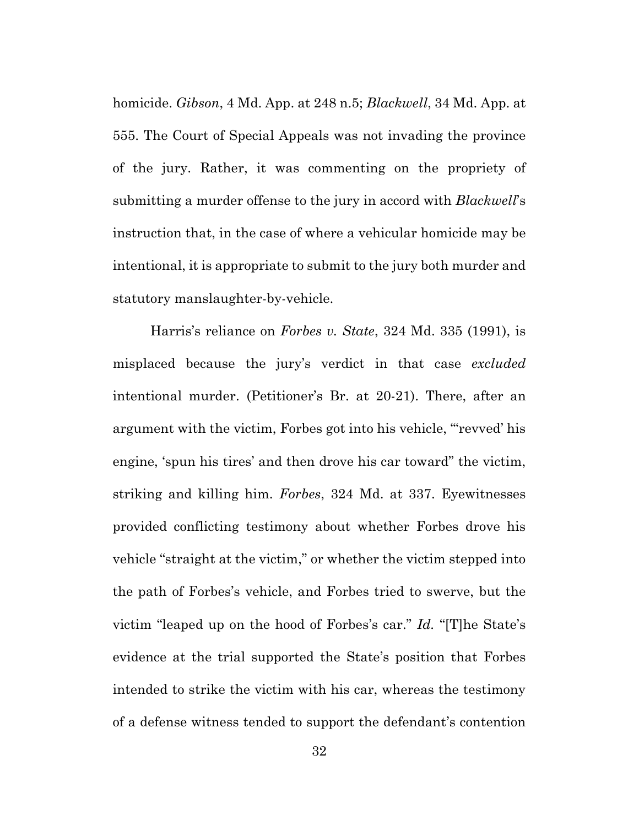homicide. *Gibson*, 4 Md. App. at 248 n.5; *Blackwell*, 34 Md. App. at 555. The Court of Special Appeals was not invading the province of the jury. Rather, it was commenting on the propriety of submitting a murder offense to the jury in accord with *Blackwell*'s instruction that, in the case of where a vehicular homicide may be intentional, it is appropriate to submit to the jury both murder and statutory manslaughter-by-vehicle.

Harris's reliance on *Forbes v. State*, 324 Md. 335 (1991), is misplaced because the jury's verdict in that case *excluded* intentional murder. (Petitioner's Br. at 20-21). There, after an argument with the victim, Forbes got into his vehicle, "'revved' his engine, 'spun his tires' and then drove his car toward" the victim, striking and killing him. *Forbes*, 324 Md. at 337. Eyewitnesses provided conflicting testimony about whether Forbes drove his vehicle "straight at the victim," or whether the victim stepped into the path of Forbes's vehicle, and Forbes tried to swerve, but the victim "leaped up on the hood of Forbes's car." *Id.* "[T]he State's evidence at the trial supported the State's position that Forbes intended to strike the victim with his car, whereas the testimony of a defense witness tended to support the defendant's contention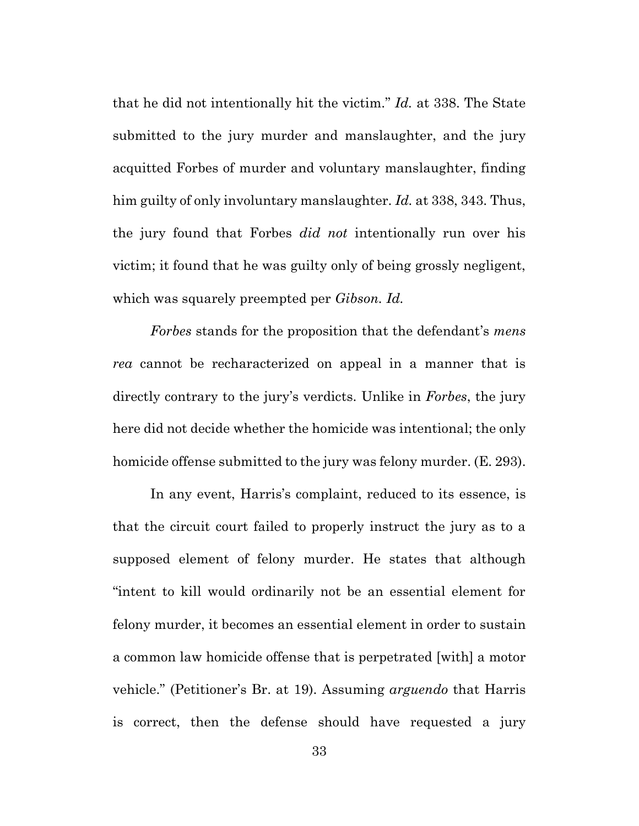that he did not intentionally hit the victim." *Id.* at 338. The State submitted to the jury murder and manslaughter, and the jury acquitted Forbes of murder and voluntary manslaughter, finding him guilty of only involuntary manslaughter. *Id.* at 338, 343. Thus, the jury found that Forbes *did not* intentionally run over his victim; it found that he was guilty only of being grossly negligent, which was squarely preempted per *Gibson. Id.*

*Forbes* stands for the proposition that the defendant's *mens rea* cannot be recharacterized on appeal in a manner that is directly contrary to the jury's verdicts. Unlike in *Forbes*, the jury here did not decide whether the homicide was intentional; the only homicide offense submitted to the jury was felony murder. (E. 293).

In any event, Harris's complaint, reduced to its essence, is that the circuit court failed to properly instruct the jury as to a supposed element of felony murder. He states that although "intent to kill would ordinarily not be an essential element for felony murder, it becomes an essential element in order to sustain a common law homicide offense that is perpetrated [with] a motor vehicle." (Petitioner's Br. at 19). Assuming *arguendo* that Harris is correct, then the defense should have requested a jury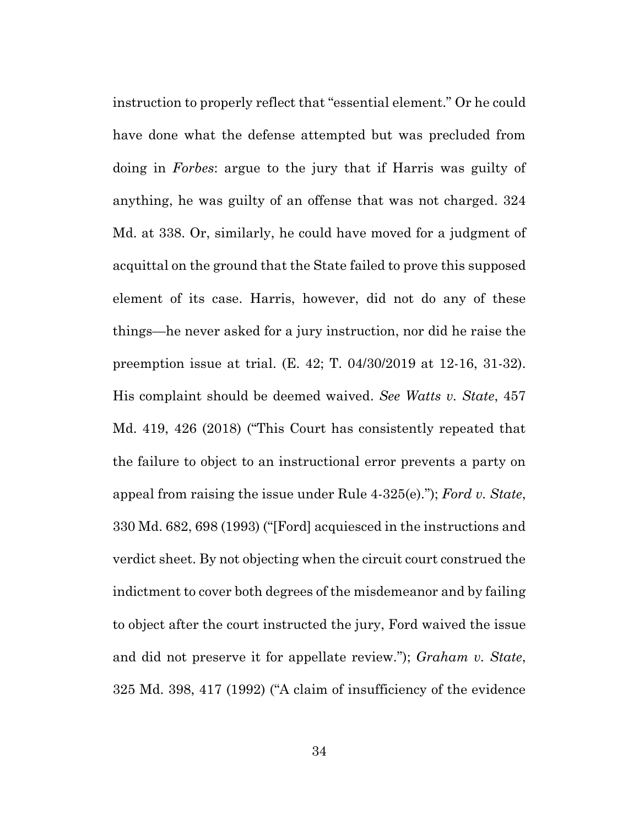instruction to properly reflect that "essential element." Or he could have done what the defense attempted but was precluded from doing in *Forbes*: argue to the jury that if Harris was guilty of anything, he was guilty of an offense that was not charged. 324 Md. at 338. Or, similarly, he could have moved for a judgment of acquittal on the ground that the State failed to prove this supposed element of its case. Harris, however, did not do any of these things—he never asked for a jury instruction, nor did he raise the preemption issue at trial. (E. 42; T. 04/30/2019 at 12-16, 31-32). His complaint should be deemed waived. *See Watts v. State*, 457 Md. 419, 426 (2018) ("This Court has consistently repeated that the failure to object to an instructional error prevents a party on appeal from raising the issue under Rule 4-325(e)."); *Ford v. State*, 330 Md. 682, 698 (1993) ("[Ford] acquiesced in the instructions and verdict sheet. By not objecting when the circuit court construed the indictment to cover both degrees of the misdemeanor and by failing to object after the court instructed the jury, Ford waived the issue and did not preserve it for appellate review."); *Graham v. State*, 325 Md. 398, 417 (1992) ("A claim of insufficiency of the evidence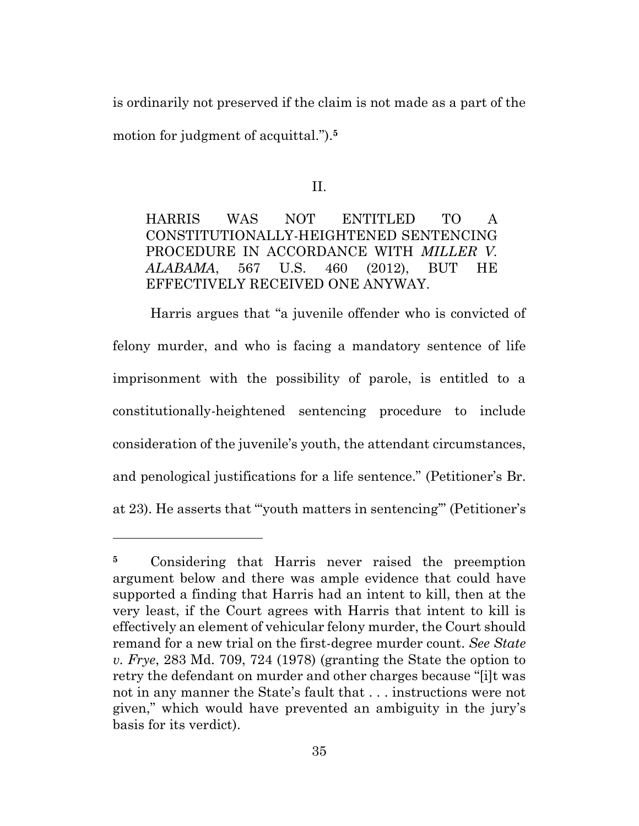is ordinarily not preserved if the claim is not made as a part of the motion for judgment of acquittal.").**<sup>5</sup>**

II.

HARRIS WAS NOT ENTITLED TO A CONSTITUTIONALLY-HEIGHTENED SENTENCING PROCEDURE IN ACCORDANCE WITH *MILLER V. ALABAMA*, 567 U.S. 460 (2012), BUT HE EFFECTIVELY RECEIVED ONE ANYWAY.

Harris argues that "a juvenile offender who is convicted of felony murder, and who is facing a mandatory sentence of life imprisonment with the possibility of parole, is entitled to a constitutionally-heightened sentencing procedure to include consideration of the juvenile's youth, the attendant circumstances, and penological justifications for a life sentence." (Petitioner's Br. at 23). He asserts that "'youth matters in sentencing'" (Petitioner's

**<sup>5</sup>** Considering that Harris never raised the preemption argument below and there was ample evidence that could have supported a finding that Harris had an intent to kill, then at the very least, if the Court agrees with Harris that intent to kill is effectively an element of vehicular felony murder, the Court should remand for a new trial on the first-degree murder count. *See State v. Frye*, 283 Md. 709, 724 (1978) (granting the State the option to retry the defendant on murder and other charges because "[i]t was not in any manner the State's fault that . . . instructions were not given," which would have prevented an ambiguity in the jury's basis for its verdict).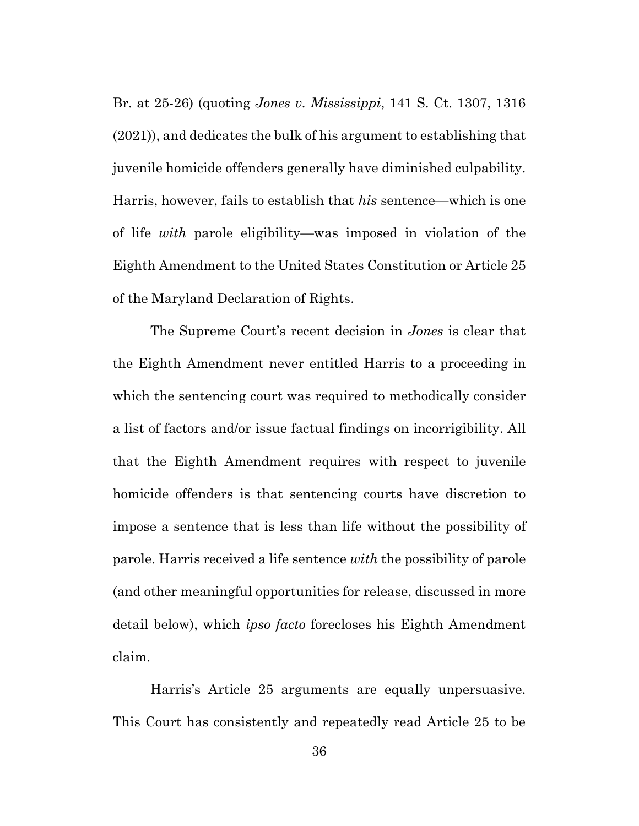Br. at 25-26) (quoting *Jones v. Mississippi*, 141 S. Ct. 1307, 1316 (2021)), and dedicates the bulk of his argument to establishing that juvenile homicide offenders generally have diminished culpability. Harris, however, fails to establish that *his* sentence—which is one of life *with* parole eligibility—was imposed in violation of the Eighth Amendment to the United States Constitution or Article 25 of the Maryland Declaration of Rights.

The Supreme Court's recent decision in *Jones* is clear that the Eighth Amendment never entitled Harris to a proceeding in which the sentencing court was required to methodically consider a list of factors and/or issue factual findings on incorrigibility. All that the Eighth Amendment requires with respect to juvenile homicide offenders is that sentencing courts have discretion to impose a sentence that is less than life without the possibility of parole. Harris received a life sentence *with* the possibility of parole (and other meaningful opportunities for release, discussed in more detail below), which *ipso facto* forecloses his Eighth Amendment claim.

Harris's Article 25 arguments are equally unpersuasive. This Court has consistently and repeatedly read Article 25 to be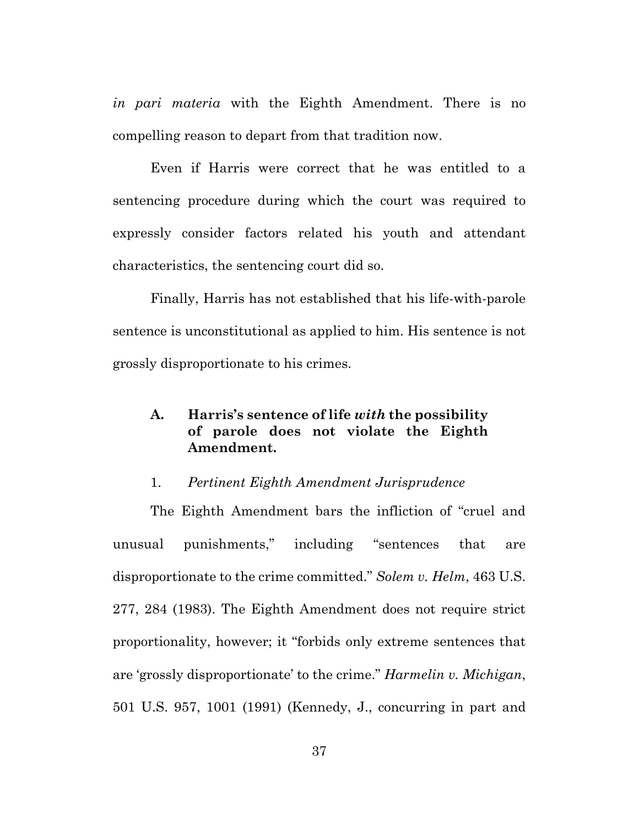*in pari materia* with the Eighth Amendment. There is no compelling reason to depart from that tradition now.

Even if Harris were correct that he was entitled to a sentencing procedure during which the court was required to expressly consider factors related his youth and attendant characteristics, the sentencing court did so.

Finally, Harris has not established that his life-with-parole sentence is unconstitutional as applied to him. His sentence is not grossly disproportionate to his crimes.

# **A. Harris's sentence of life** *with* **the possibility of parole does not violate the Eighth Amendment.**

#### 1. *Pertinent Eighth Amendment Jurisprudence*

The Eighth Amendment bars the infliction of "cruel and unusual punishments," including "sentences that are disproportionate to the crime committed." *Solem v. Helm*, 463 U.S. 277, 284 (1983). The Eighth Amendment does not require strict proportionality, however; it "forbids only extreme sentences that are 'grossly disproportionate' to the crime." *Harmelin v. Michigan*, 501 U.S. 957, 1001 (1991) (Kennedy, J., concurring in part and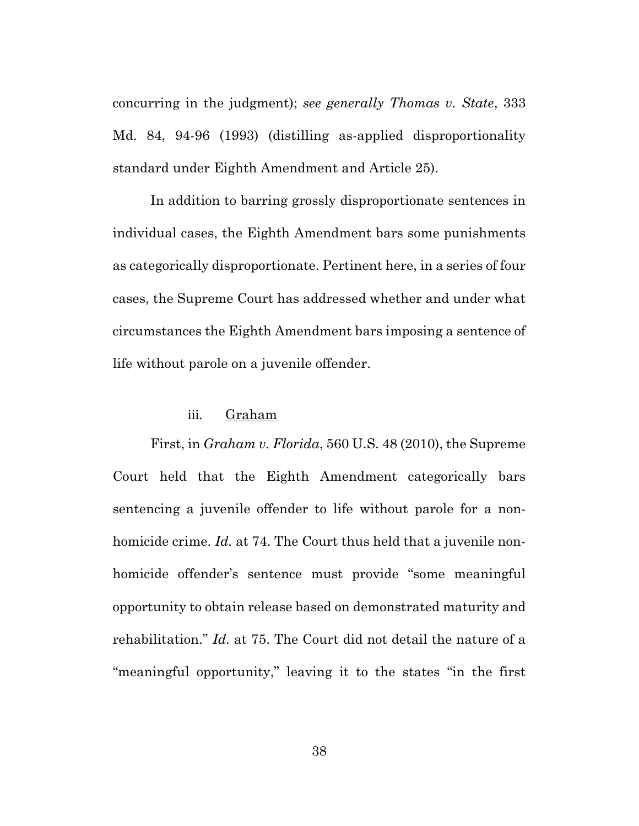concurring in the judgment); *see generally Thomas v. State*, 333 Md. 84, 94-96 (1993) (distilling as-applied disproportionality standard under Eighth Amendment and Article 25).

In addition to barring grossly disproportionate sentences in individual cases, the Eighth Amendment bars some punishments as categorically disproportionate. Pertinent here, in a series of four cases, the Supreme Court has addressed whether and under what circumstances the Eighth Amendment bars imposing a sentence of life without parole on a juvenile offender.

#### iii. Graham

First, in *Graham v. Florida*, 560 U.S. 48 (2010), the Supreme Court held that the Eighth Amendment categorically bars sentencing a juvenile offender to life without parole for a nonhomicide crime. *Id.* at 74. The Court thus held that a juvenile nonhomicide offender's sentence must provide "some meaningful opportunity to obtain release based on demonstrated maturity and rehabilitation." *Id.* at 75. The Court did not detail the nature of a "meaningful opportunity," leaving it to the states "in the first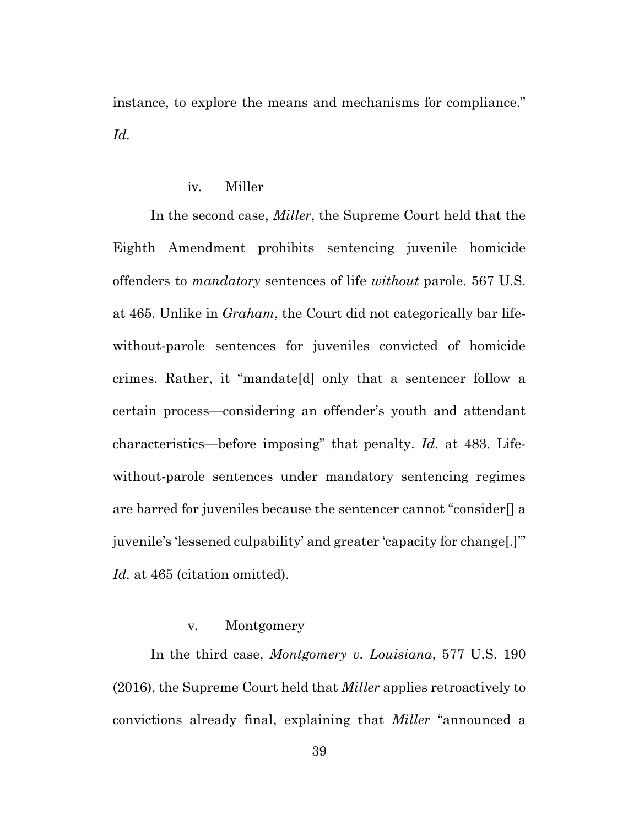instance, to explore the means and mechanisms for compliance." *Id.*

## iv. Miller

In the second case, *Miller*, the Supreme Court held that the Eighth Amendment prohibits sentencing juvenile homicide offenders to *mandatory* sentences of life *without* parole. 567 U.S. at 465. Unlike in *Graham*, the Court did not categorically bar lifewithout-parole sentences for juveniles convicted of homicide crimes. Rather, it "mandate[d] only that a sentencer follow a certain process—considering an offender's youth and attendant characteristics—before imposing" that penalty. *Id.* at 483. Lifewithout-parole sentences under mandatory sentencing regimes are barred for juveniles because the sentencer cannot "consider[] a juvenile's 'lessened culpability' and greater 'capacity for change[.]'" *Id.* at 465 (citation omitted).

## v. Montgomery

In the third case, *Montgomery v. Louisiana*, 577 U.S. 190 (2016), the Supreme Court held that *Miller* applies retroactively to convictions already final, explaining that *Miller* "announced a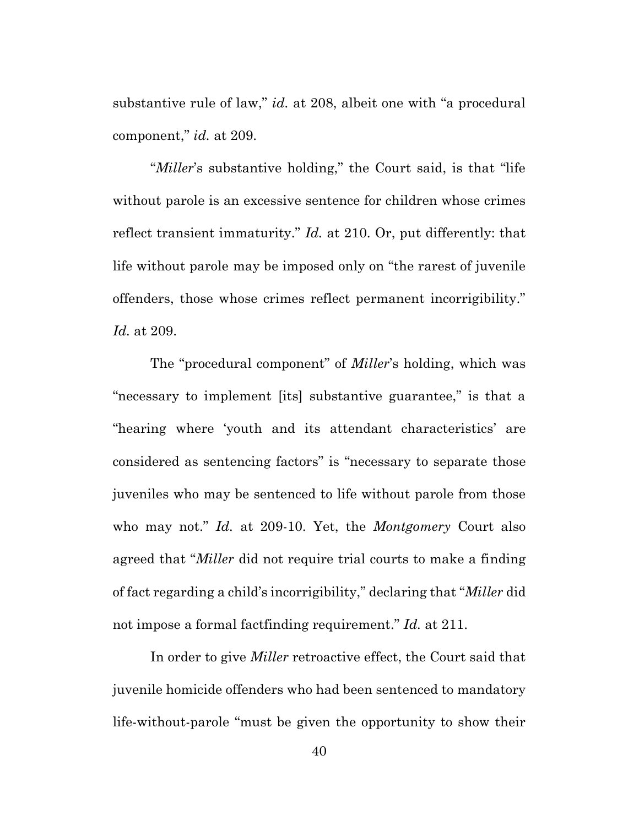substantive rule of law," *id.* at 208, albeit one with "a procedural component," *id.* at 209.

"*Miller*'s substantive holding," the Court said, is that "life without parole is an excessive sentence for children whose crimes reflect transient immaturity." *Id.* at 210. Or, put differently: that life without parole may be imposed only on "the rarest of juvenile offenders, those whose crimes reflect permanent incorrigibility." *Id.* at 209.

The "procedural component" of *Miller*'s holding, which was "necessary to implement [its] substantive guarantee," is that a "hearing where 'youth and its attendant characteristics' are considered as sentencing factors" is "necessary to separate those juveniles who may be sentenced to life without parole from those who may not." *Id.* at 209-10. Yet, the *Montgomery* Court also agreed that "*Miller* did not require trial courts to make a finding of fact regarding a child's incorrigibility," declaring that "*Miller* did not impose a formal factfinding requirement." *Id.* at 211.

In order to give *Miller* retroactive effect, the Court said that juvenile homicide offenders who had been sentenced to mandatory life-without-parole "must be given the opportunity to show their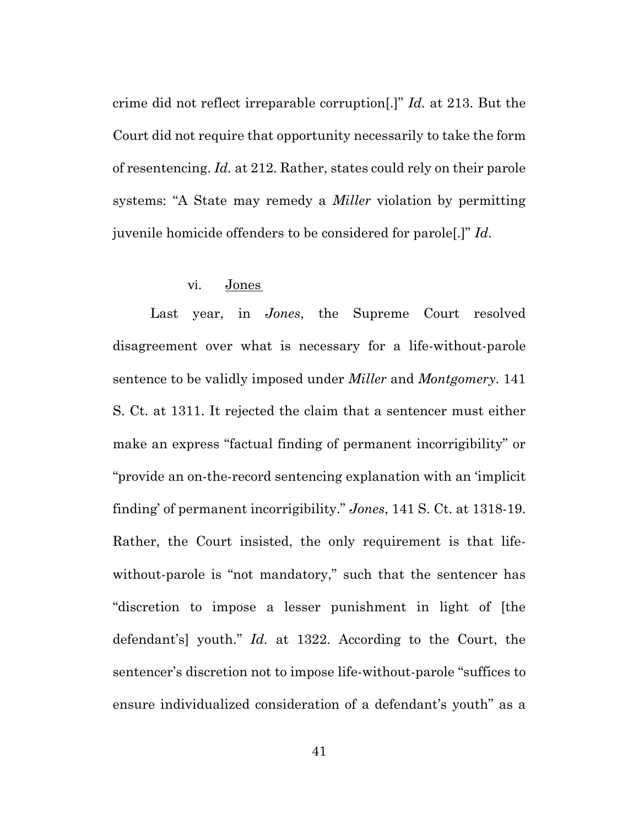crime did not reflect irreparable corruption[.]" *Id.* at 213. But the Court did not require that opportunity necessarily to take the form of resentencing. *Id.* at 212. Rather, states could rely on their parole systems: "A State may remedy a *Miller* violation by permitting juvenile homicide offenders to be considered for parole[.]" *Id.*

#### vi. Jones

Last year, in *Jones*, the Supreme Court resolved disagreement over what is necessary for a life-without-parole sentence to be validly imposed under *Miller* and *Montgomery*. 141 S. Ct. at 1311. It rejected the claim that a sentencer must either make an express "factual finding of permanent incorrigibility" or "provide an on-the-record sentencing explanation with an 'implicit finding' of permanent incorrigibility." *Jones*, 141 S. Ct. at 1318-19. Rather, the Court insisted, the only requirement is that lifewithout-parole is "not mandatory," such that the sentencer has "discretion to impose a lesser punishment in light of [the defendant's] youth." *Id.* at 1322. According to the Court, the sentencer's discretion not to impose life-without-parole "suffices to ensure individualized consideration of a defendant's youth" as a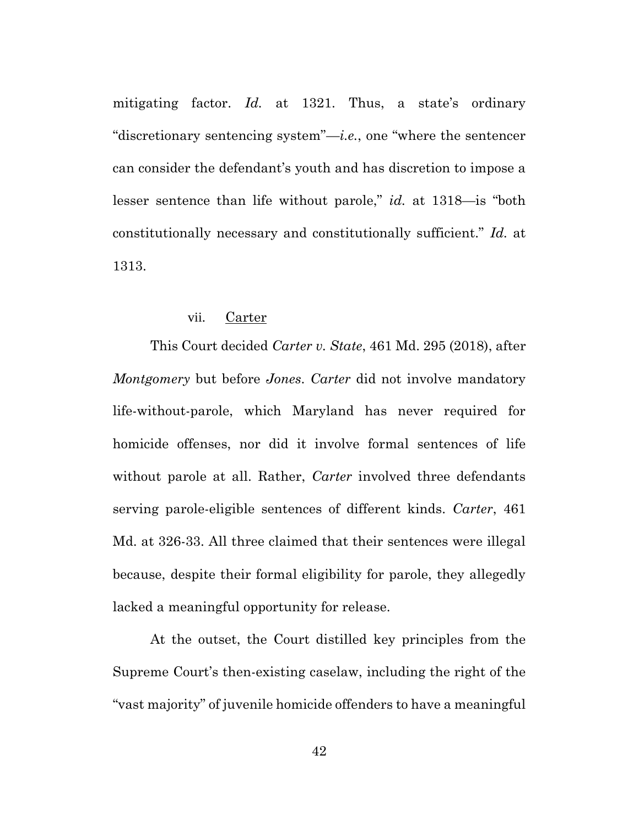mitigating factor. *Id.* at 1321. Thus, a state's ordinary "discretionary sentencing system"—*i.e.*, one "where the sentencer can consider the defendant's youth and has discretion to impose a lesser sentence than life without parole," *id.* at 1318—is "both constitutionally necessary and constitutionally sufficient." *Id.* at 1313.

## vii. Carter

This Court decided *Carter v. State*, 461 Md. 295 (2018), after *Montgomery* but before *Jones*. *Carter* did not involve mandatory life-without-parole, which Maryland has never required for homicide offenses, nor did it involve formal sentences of life without parole at all. Rather, *Carter* involved three defendants serving parole-eligible sentences of different kinds. *Carter*, 461 Md. at 326-33. All three claimed that their sentences were illegal because, despite their formal eligibility for parole, they allegedly lacked a meaningful opportunity for release.

At the outset, the Court distilled key principles from the Supreme Court's then-existing caselaw, including the right of the "vast majority" of juvenile homicide offenders to have a meaningful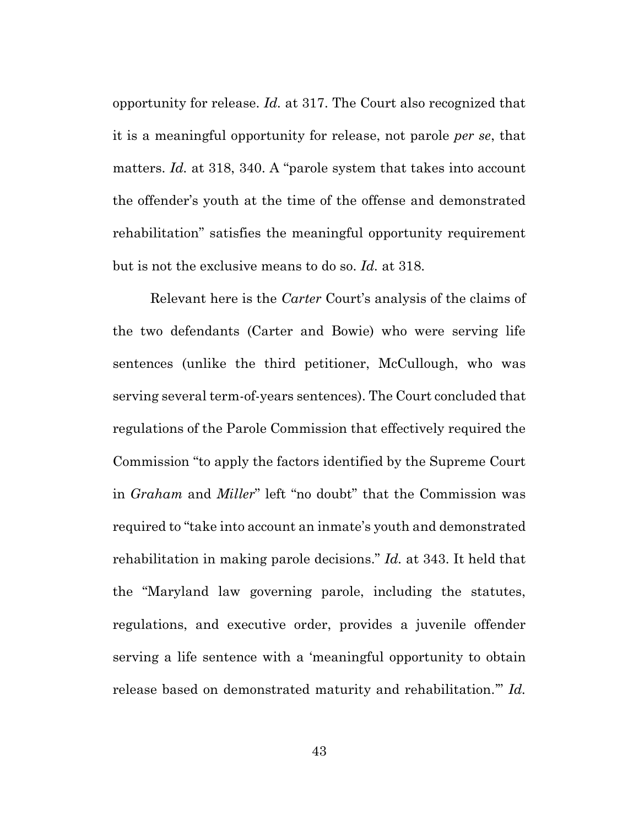opportunity for release. *Id.* at 317. The Court also recognized that it is a meaningful opportunity for release, not parole *per se*, that matters. *Id.* at 318, 340. A "parole system that takes into account the offender's youth at the time of the offense and demonstrated rehabilitation" satisfies the meaningful opportunity requirement but is not the exclusive means to do so. *Id.* at 318.

Relevant here is the *Carter* Court's analysis of the claims of the two defendants (Carter and Bowie) who were serving life sentences (unlike the third petitioner, McCullough, who was serving several term-of-years sentences). The Court concluded that regulations of the Parole Commission that effectively required the Commission "to apply the factors identified by the Supreme Court in *Graham* and *Miller*" left "no doubt" that the Commission was required to "take into account an inmate's youth and demonstrated rehabilitation in making parole decisions." *Id.* at 343. It held that the "Maryland law governing parole, including the statutes, regulations, and executive order, provides a juvenile offender serving a life sentence with a 'meaningful opportunity to obtain release based on demonstrated maturity and rehabilitation.'" *Id.*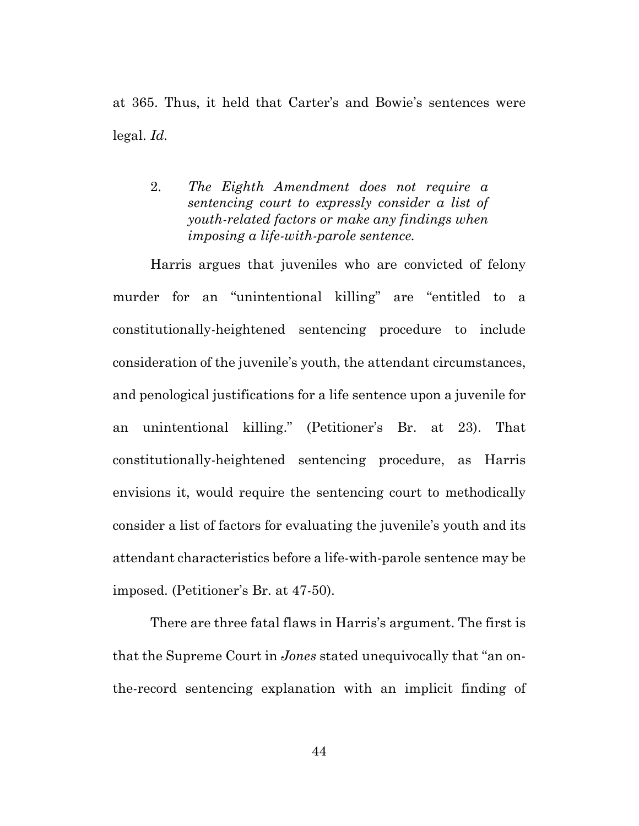at 365. Thus, it held that Carter's and Bowie's sentences were legal. *Id.*

2. *The Eighth Amendment does not require a sentencing court to expressly consider a list of youth-related factors or make any findings when imposing a life-with-parole sentence.*

Harris argues that juveniles who are convicted of felony murder for an "unintentional killing" are "entitled to a constitutionally-heightened sentencing procedure to include consideration of the juvenile's youth, the attendant circumstances, and penological justifications for a life sentence upon a juvenile for an unintentional killing." (Petitioner's Br. at 23). That constitutionally-heightened sentencing procedure, as Harris envisions it, would require the sentencing court to methodically consider a list of factors for evaluating the juvenile's youth and its attendant characteristics before a life-with-parole sentence may be imposed. (Petitioner's Br. at 47-50).

There are three fatal flaws in Harris's argument. The first is that the Supreme Court in *Jones* stated unequivocally that "an onthe-record sentencing explanation with an implicit finding of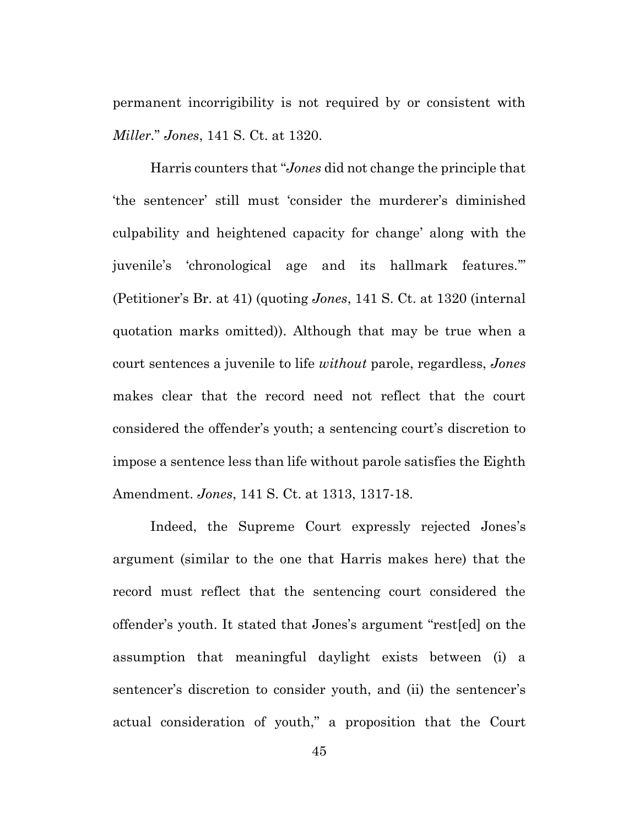permanent incorrigibility is not required by or consistent with *Miller.*" *Jones*, 141 S. Ct. at 1320.

Harris counters that "*Jones* did not change the principle that 'the sentencer' still must 'consider the murderer's diminished culpability and heightened capacity for change' along with the juvenile's 'chronological age and its hallmark features.'" (Petitioner's Br. at 41) (quoting *Jones*, 141 S. Ct. at 1320 (internal quotation marks omitted)). Although that may be true when a court sentences a juvenile to life *without* parole, regardless, *Jones* makes clear that the record need not reflect that the court considered the offender's youth; a sentencing court's discretion to impose a sentence less than life without parole satisfies the Eighth Amendment. *Jones*, 141 S. Ct. at 1313, 1317-18.

Indeed, the Supreme Court expressly rejected Jones's argument (similar to the one that Harris makes here) that the record must reflect that the sentencing court considered the offender's youth. It stated that Jones's argument "rest[ed] on the assumption that meaningful daylight exists between (i) a sentencer's discretion to consider youth, and (ii) the sentencer's actual consideration of youth," a proposition that the Court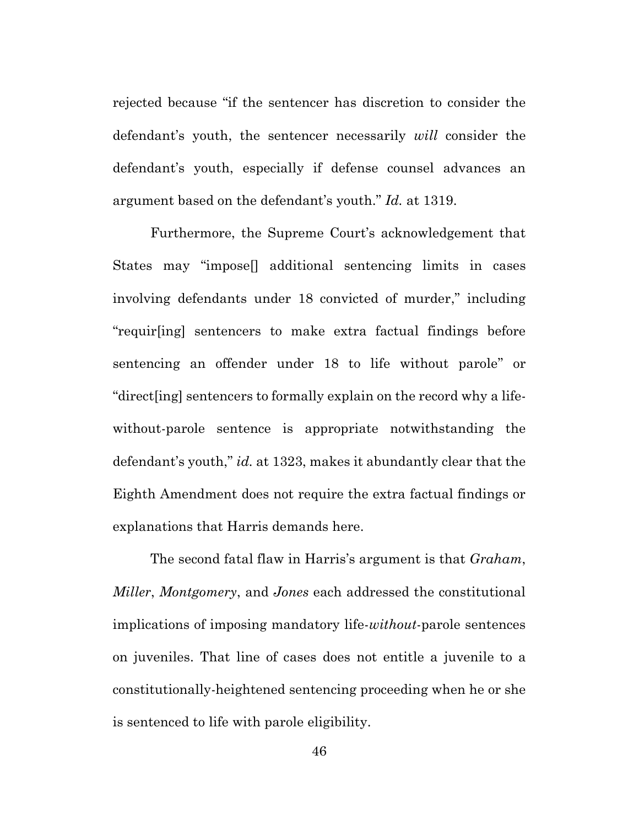rejected because "if the sentencer has discretion to consider the defendant's youth, the sentencer necessarily *will* consider the defendant's youth, especially if defense counsel advances an argument based on the defendant's youth." *Id.* at 1319.

Furthermore, the Supreme Court's acknowledgement that States may "impose[] additional sentencing limits in cases involving defendants under 18 convicted of murder," including "requir[ing] sentencers to make extra factual findings before sentencing an offender under 18 to life without parole" or "direct[ing] sentencers to formally explain on the record why a lifewithout-parole sentence is appropriate notwithstanding the defendant's youth," *id.* at 1323, makes it abundantly clear that the Eighth Amendment does not require the extra factual findings or explanations that Harris demands here.

The second fatal flaw in Harris's argument is that *Graham*, *Miller*, *Montgomery*, and *Jones* each addressed the constitutional implications of imposing mandatory life-*without*-parole sentences on juveniles. That line of cases does not entitle a juvenile to a constitutionally-heightened sentencing proceeding when he or she is sentenced to life with parole eligibility.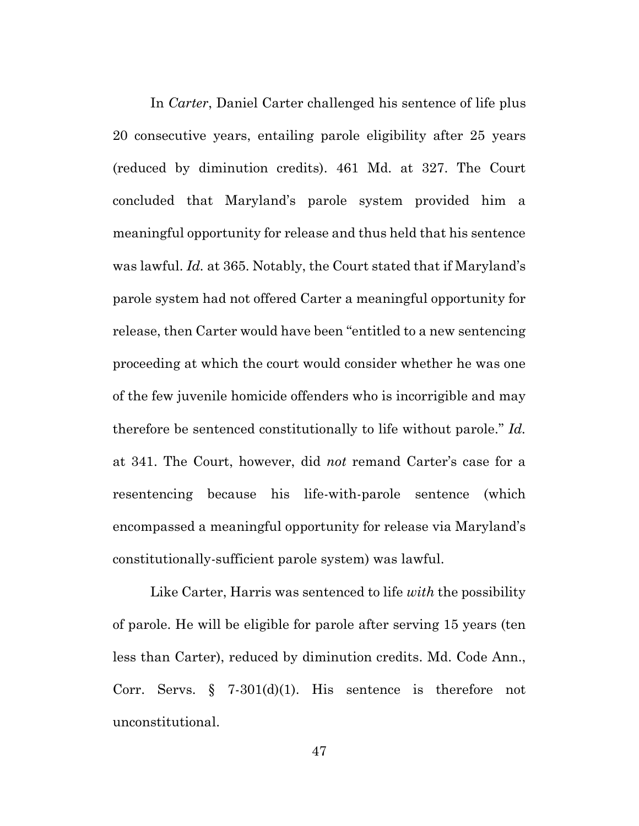In *Carter*, Daniel Carter challenged his sentence of life plus 20 consecutive years, entailing parole eligibility after 25 years (reduced by diminution credits). 461 Md. at 327. The Court concluded that Maryland's parole system provided him a meaningful opportunity for release and thus held that his sentence was lawful. *Id.* at 365. Notably, the Court stated that if Maryland's parole system had not offered Carter a meaningful opportunity for release, then Carter would have been "entitled to a new sentencing proceeding at which the court would consider whether he was one of the few juvenile homicide offenders who is incorrigible and may therefore be sentenced constitutionally to life without parole." *Id.* at 341. The Court, however, did *not* remand Carter's case for a resentencing because his life-with-parole sentence (which encompassed a meaningful opportunity for release via Maryland's constitutionally-sufficient parole system) was lawful.

Like Carter, Harris was sentenced to life *with* the possibility of parole. He will be eligible for parole after serving 15 years (ten less than Carter), reduced by diminution credits. Md. Code Ann., Corr. Servs. § 7-301(d)(1). His sentence is therefore not unconstitutional.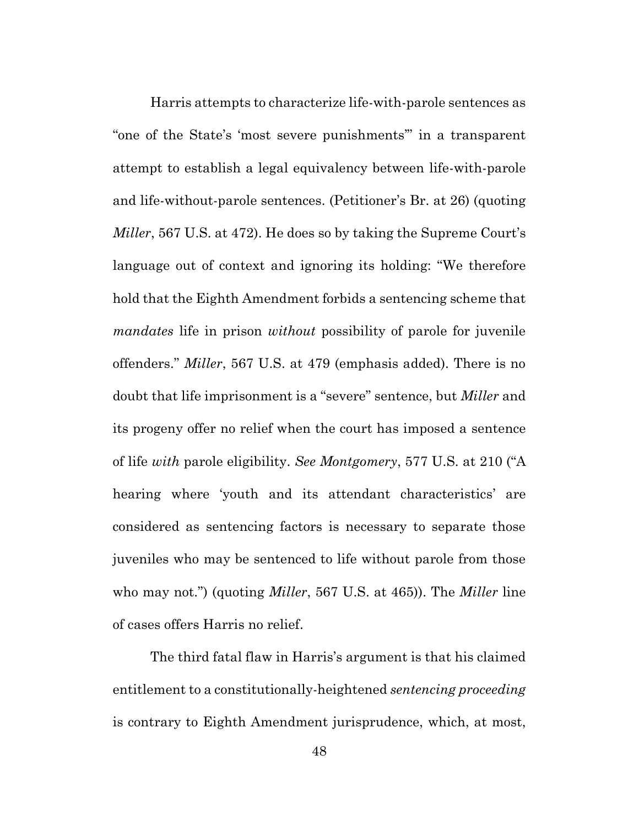Harris attempts to characterize life-with-parole sentences as "one of the State's 'most severe punishments'" in a transparent attempt to establish a legal equivalency between life-with-parole and life-without-parole sentences. (Petitioner's Br. at 26) (quoting *Miller*, 567 U.S. at 472). He does so by taking the Supreme Court's language out of context and ignoring its holding: "We therefore hold that the Eighth Amendment forbids a sentencing scheme that *mandates* life in prison *without* possibility of parole for juvenile offenders." *Miller*, 567 U.S. at 479 (emphasis added). There is no doubt that life imprisonment is a "severe" sentence, but *Miller* and its progeny offer no relief when the court has imposed a sentence of life *with* parole eligibility. *See Montgomery*, 577 U.S. at 210 ("A hearing where 'youth and its attendant characteristics' are considered as sentencing factors is necessary to separate those juveniles who may be sentenced to life without parole from those who may not.") (quoting *Miller*, 567 U.S. at 465)). The *Miller* line of cases offers Harris no relief.

The third fatal flaw in Harris's argument is that his claimed entitlement to a constitutionally-heightened *sentencing proceeding*  is contrary to Eighth Amendment jurisprudence, which, at most,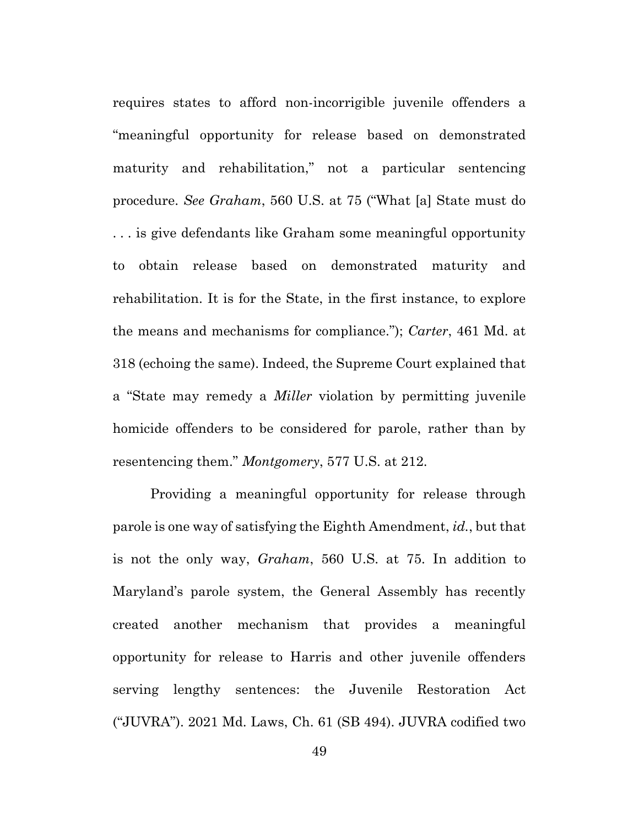requires states to afford non-incorrigible juvenile offenders a "meaningful opportunity for release based on demonstrated maturity and rehabilitation," not a particular sentencing procedure. *See Graham*, 560 U.S. at 75 ("What [a] State must do . . . is give defendants like Graham some meaningful opportunity to obtain release based on demonstrated maturity and rehabilitation. It is for the State, in the first instance, to explore the means and mechanisms for compliance."); *Carter*, 461 Md. at 318 (echoing the same). Indeed, the Supreme Court explained that a "State may remedy a *Miller* violation by permitting juvenile homicide offenders to be considered for parole, rather than by resentencing them." *Montgomery*, 577 U.S. at 212.

Providing a meaningful opportunity for release through parole is one way of satisfying the Eighth Amendment, *id.*, but that is not the only way, *Graham*, 560 U.S. at 75. In addition to Maryland's parole system, the General Assembly has recently created another mechanism that provides a meaningful opportunity for release to Harris and other juvenile offenders serving lengthy sentences: the Juvenile Restoration Act ("JUVRA"). 2021 Md. Laws, Ch. 61 (SB 494). JUVRA codified two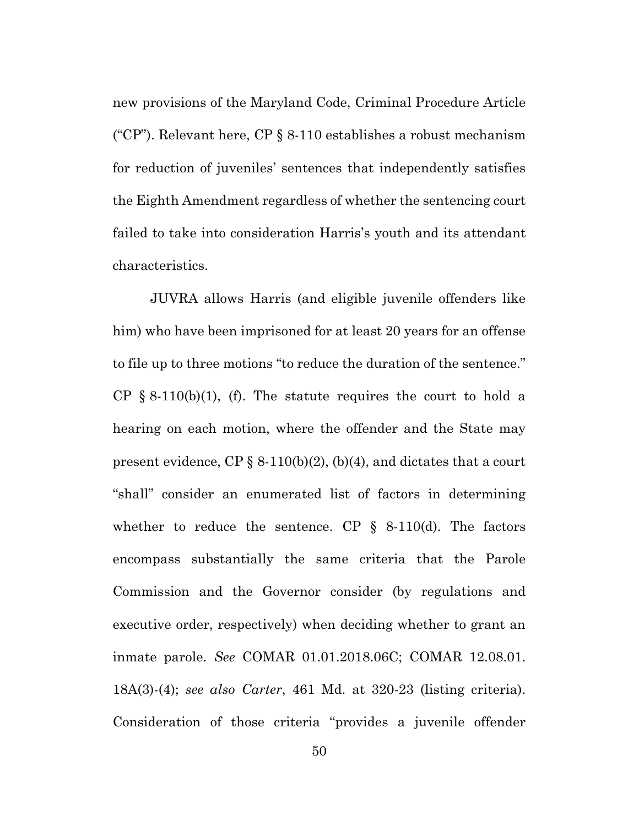new provisions of the Maryland Code, Criminal Procedure Article ("CP"). Relevant here, CP  $\S$  8-110 establishes a robust mechanism for reduction of juveniles' sentences that independently satisfies the Eighth Amendment regardless of whether the sentencing court failed to take into consideration Harris's youth and its attendant characteristics.

JUVRA allows Harris (and eligible juvenile offenders like him) who have been imprisoned for at least 20 years for an offense to file up to three motions "to reduce the duration of the sentence." CP  $\S$  8-110(b)(1), (f). The statute requires the court to hold a hearing on each motion, where the offender and the State may present evidence,  $\text{CP} \S 8-110(b)(2)$ , (b)(4), and dictates that a court "shall" consider an enumerated list of factors in determining whether to reduce the sentence. CP  $\S$  8-110(d). The factors encompass substantially the same criteria that the Parole Commission and the Governor consider (by regulations and executive order, respectively) when deciding whether to grant an inmate parole. *See* COMAR 01.01.2018.06C; COMAR 12.08.01. 18A(3)-(4); *see also Carter*, 461 Md. at 320-23 (listing criteria). Consideration of those criteria "provides a juvenile offender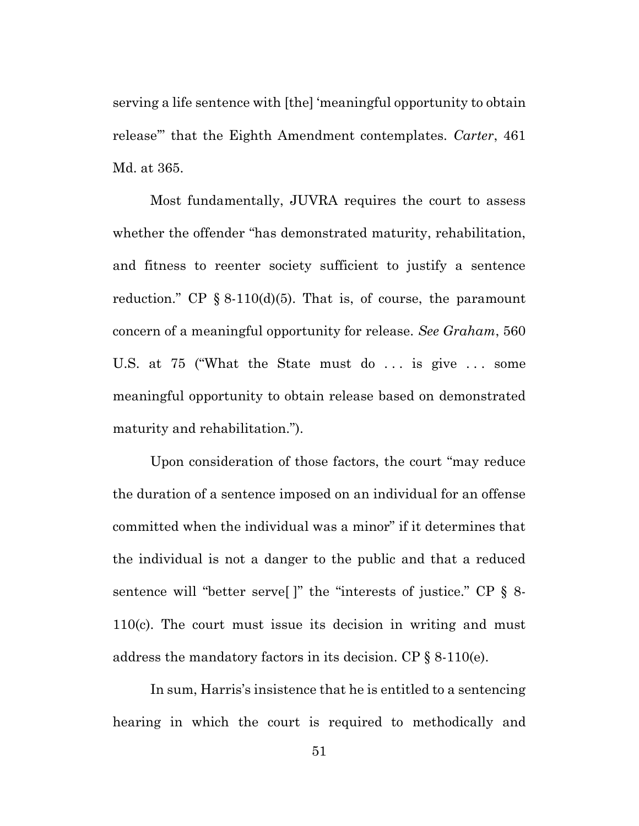serving a life sentence with [the] 'meaningful opportunity to obtain release'" that the Eighth Amendment contemplates. *Carter*, 461 Md. at 365.

Most fundamentally, JUVRA requires the court to assess whether the offender "has demonstrated maturity, rehabilitation, and fitness to reenter society sufficient to justify a sentence reduction." CP  $\S$  8-110(d)(5). That is, of course, the paramount concern of a meaningful opportunity for release. *See Graham*, 560 U.S. at 75 ("What the State must do ... is give ... some meaningful opportunity to obtain release based on demonstrated maturity and rehabilitation.").

Upon consideration of those factors, the court "may reduce the duration of a sentence imposed on an individual for an offense committed when the individual was a minor" if it determines that the individual is not a danger to the public and that a reduced sentence will "better serve[ ]" the "interests of justice." CP § 8- 110(c). The court must issue its decision in writing and must address the mandatory factors in its decision. CP § 8-110(e).

In sum, Harris's insistence that he is entitled to a sentencing hearing in which the court is required to methodically and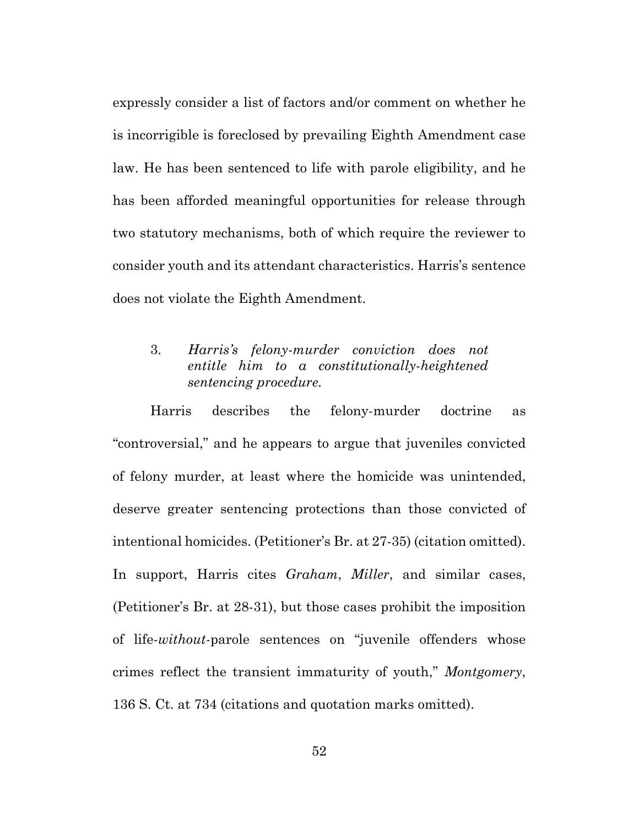expressly consider a list of factors and/or comment on whether he is incorrigible is foreclosed by prevailing Eighth Amendment case law. He has been sentenced to life with parole eligibility, and he has been afforded meaningful opportunities for release through two statutory mechanisms, both of which require the reviewer to consider youth and its attendant characteristics. Harris's sentence does not violate the Eighth Amendment.

# 3. *Harris's felony-murder conviction does not entitle him to a constitutionally-heightened sentencing procedure.*

Harris describes the felony-murder doctrine as "controversial," and he appears to argue that juveniles convicted of felony murder, at least where the homicide was unintended, deserve greater sentencing protections than those convicted of intentional homicides. (Petitioner's Br. at 27-35) (citation omitted). In support, Harris cites *Graham*, *Miller*, and similar cases, (Petitioner's Br. at 28-31), but those cases prohibit the imposition of life-*without-*parole sentences on "juvenile offenders whose crimes reflect the transient immaturity of youth," *Montgomery*, 136 S. Ct. at 734 (citations and quotation marks omitted).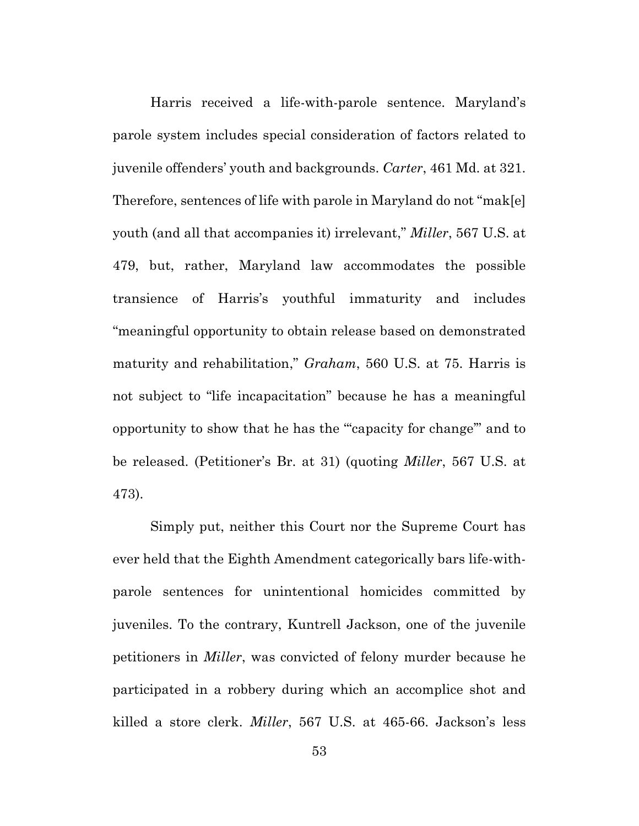Harris received a life-with-parole sentence. Maryland's parole system includes special consideration of factors related to juvenile offenders' youth and backgrounds. *Carter*, 461 Md. at 321. Therefore, sentences of life with parole in Maryland do not "mak[e] youth (and all that accompanies it) irrelevant," *Miller*, 567 U.S. at 479, but, rather, Maryland law accommodates the possible transience of Harris's youthful immaturity and includes "meaningful opportunity to obtain release based on demonstrated maturity and rehabilitation," *Graham*, 560 U.S. at 75. Harris is not subject to "life incapacitation" because he has a meaningful opportunity to show that he has the "'capacity for change'" and to be released. (Petitioner's Br. at 31) (quoting *Miller*, 567 U.S. at 473).

Simply put, neither this Court nor the Supreme Court has ever held that the Eighth Amendment categorically bars life-withparole sentences for unintentional homicides committed by juveniles. To the contrary, Kuntrell Jackson, one of the juvenile petitioners in *Miller*, was convicted of felony murder because he participated in a robbery during which an accomplice shot and killed a store clerk. *Miller*, 567 U.S. at 465-66. Jackson's less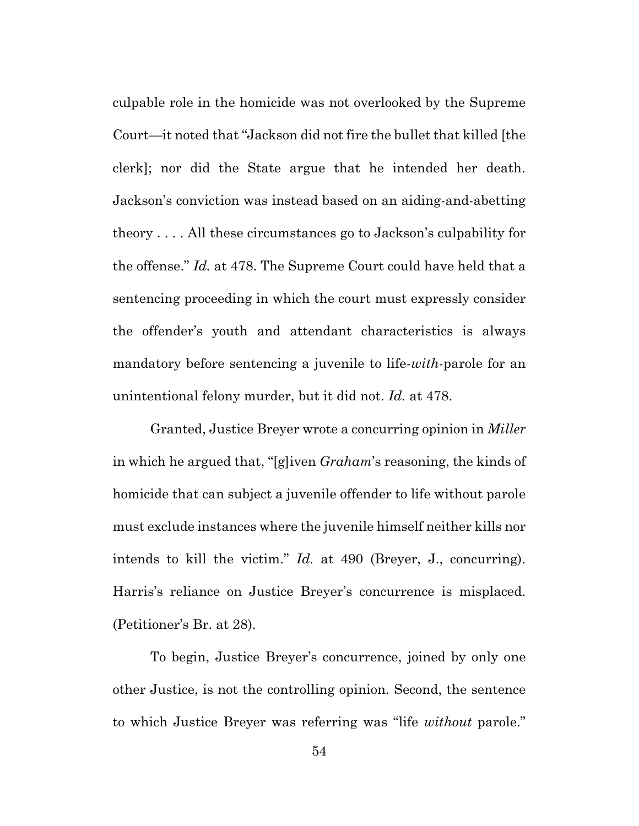culpable role in the homicide was not overlooked by the Supreme Court—it noted that "Jackson did not fire the bullet that killed [the clerk]; nor did the State argue that he intended her death. Jackson's conviction was instead based on an aiding-and-abetting theory . . . . All these circumstances go to Jackson's culpability for the offense." *Id.* at 478. The Supreme Court could have held that a sentencing proceeding in which the court must expressly consider the offender's youth and attendant characteristics is always mandatory before sentencing a juvenile to life-*with*-parole for an unintentional felony murder, but it did not. *Id.* at 478.

Granted, Justice Breyer wrote a concurring opinion in *Miller* in which he argued that, "[g]iven *Graham*'s reasoning, the kinds of homicide that can subject a juvenile offender to life without parole must exclude instances where the juvenile himself neither kills nor intends to kill the victim." *Id.* at 490 (Breyer, J., concurring). Harris's reliance on Justice Breyer's concurrence is misplaced. (Petitioner's Br. at 28).

To begin, Justice Breyer's concurrence, joined by only one other Justice, is not the controlling opinion. Second, the sentence to which Justice Breyer was referring was "life *without* parole."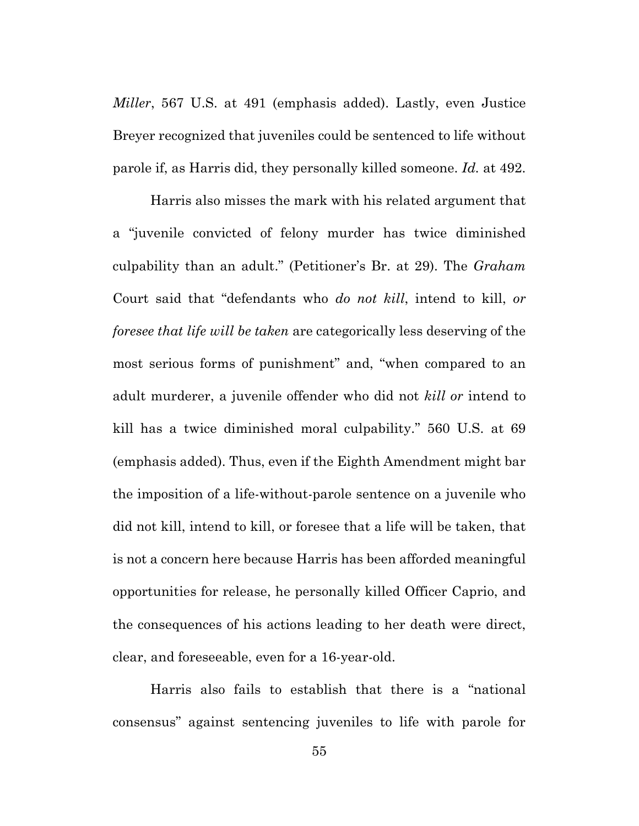*Miller*, 567 U.S. at 491 (emphasis added). Lastly, even Justice Breyer recognized that juveniles could be sentenced to life without parole if, as Harris did, they personally killed someone. *Id.* at 492.

Harris also misses the mark with his related argument that a "juvenile convicted of felony murder has twice diminished culpability than an adult." (Petitioner's Br. at 29). The *Graham* Court said that "defendants who *do not kill*, intend to kill, *or foresee that life will be taken* are categorically less deserving of the most serious forms of punishment" and, "when compared to an adult murderer, a juvenile offender who did not *kill or* intend to kill has a twice diminished moral culpability." 560 U.S. at 69 (emphasis added). Thus, even if the Eighth Amendment might bar the imposition of a life-without*-*parole sentence on a juvenile who did not kill, intend to kill, or foresee that a life will be taken, that is not a concern here because Harris has been afforded meaningful opportunities for release, he personally killed Officer Caprio, and the consequences of his actions leading to her death were direct, clear, and foreseeable, even for a 16-year-old.

Harris also fails to establish that there is a "national consensus" against sentencing juveniles to life with parole for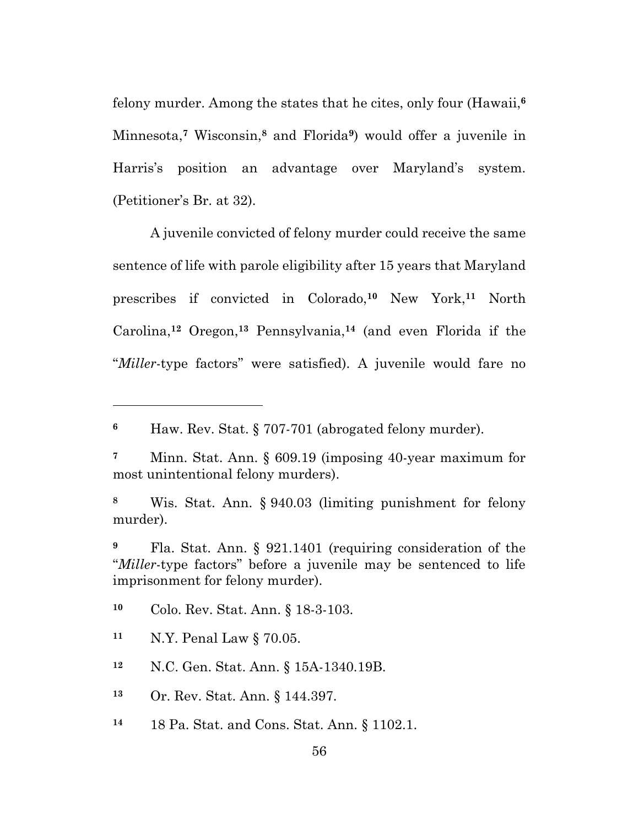felony murder. Among the states that he cites, only four (Hawaii,**<sup>6</sup>** Minnesota,**<sup>7</sup>** Wisconsin,**<sup>8</sup>** and Florida**9**) would offer a juvenile in Harris's position an advantage over Maryland's system. (Petitioner's Br. at 32).

A juvenile convicted of felony murder could receive the same sentence of life with parole eligibility after 15 years that Maryland prescribes if convicted in Colorado,**<sup>10</sup>** New York, **<sup>11</sup>** North Carolina,**<sup>12</sup>** Oregon, **<sup>13</sup>** Pennsylvania,**<sup>14</sup>** (and even Florida if the "*Miller*-type factors" were satisfied). A juvenile would fare no

**<sup>6</sup>** Haw. Rev. Stat. § 707-701 (abrogated felony murder).

**<sup>7</sup>** Minn. Stat. Ann. § 609.19 (imposing 40-year maximum for most unintentional felony murders).

**<sup>8</sup>** Wis. Stat. Ann. § 940.03 (limiting punishment for felony murder).

**<sup>9</sup>** Fla. Stat. Ann. § 921.1401 (requiring consideration of the "*Miller*-type factors" before a juvenile may be sentenced to life imprisonment for felony murder).

**<sup>10</sup>** Colo. Rev. Stat. Ann. § 18-3-103.

**<sup>11</sup>** N.Y. Penal Law § 70.05.

**<sup>12</sup>** N.C. Gen. Stat. Ann. § 15A-1340.19B.

**<sup>13</sup>** Or. Rev. Stat. Ann. § 144.397.

**<sup>14</sup>** 18 Pa. Stat. and Cons. Stat. Ann. § 1102.1.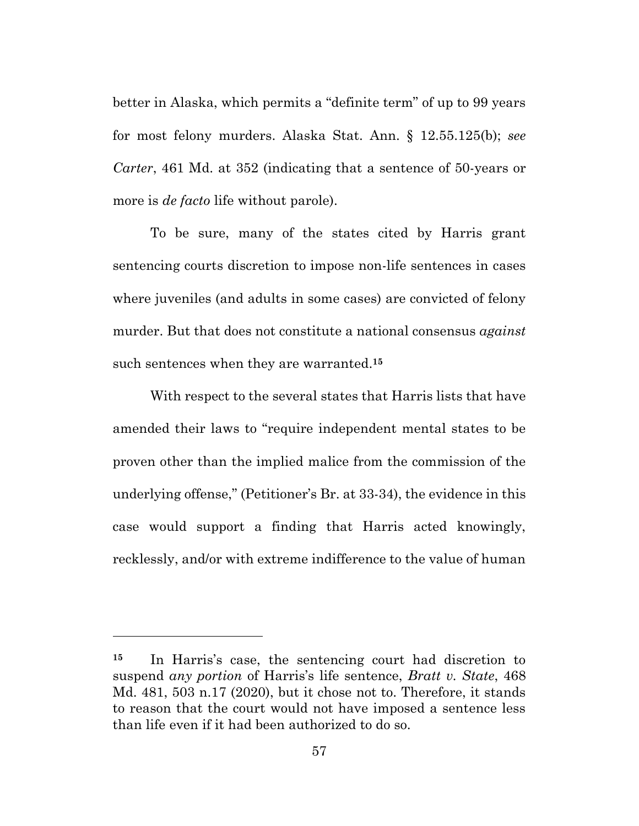better in Alaska, which permits a "definite term" of up to 99 years for most felony murders. Alaska Stat. Ann. § 12.55.125(b); *see Carter*, 461 Md. at 352 (indicating that a sentence of 50-years or more is *de facto* life without parole).

To be sure, many of the states cited by Harris grant sentencing courts discretion to impose non-life sentences in cases where juveniles (and adults in some cases) are convicted of felony murder. But that does not constitute a national consensus *against* such sentences when they are warranted. **15**

With respect to the several states that Harris lists that have amended their laws to "require independent mental states to be proven other than the implied malice from the commission of the underlying offense," (Petitioner's Br. at 33-34), the evidence in this case would support a finding that Harris acted knowingly, recklessly, and/or with extreme indifference to the value of human

**<sup>15</sup>** In Harris's case, the sentencing court had discretion to suspend *any portion* of Harris's life sentence, *Bratt v. State*, 468 Md. 481, 503 n.17 (2020), but it chose not to. Therefore, it stands to reason that the court would not have imposed a sentence less than life even if it had been authorized to do so.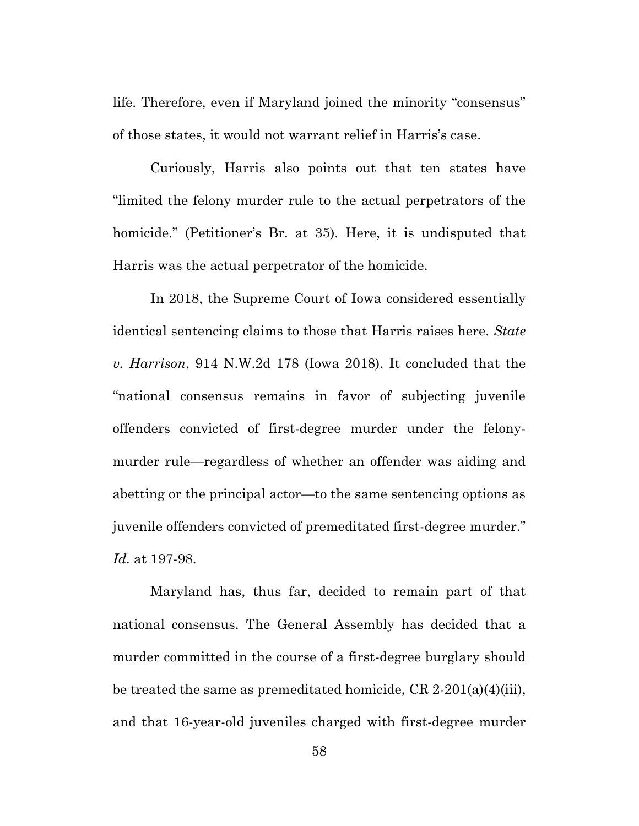life. Therefore, even if Maryland joined the minority "consensus" of those states, it would not warrant relief in Harris's case.

Curiously, Harris also points out that ten states have "limited the felony murder rule to the actual perpetrators of the homicide." (Petitioner's Br. at 35). Here, it is undisputed that Harris was the actual perpetrator of the homicide.

In 2018, the Supreme Court of Iowa considered essentially identical sentencing claims to those that Harris raises here. *State v. Harrison*, 914 N.W.2d 178 (Iowa 2018). It concluded that the "national consensus remains in favor of subjecting juvenile offenders convicted of first-degree murder under the felonymurder rule—regardless of whether an offender was aiding and abetting or the principal actor—to the same sentencing options as juvenile offenders convicted of premeditated first-degree murder." *Id.* at 197-98.

Maryland has, thus far, decided to remain part of that national consensus. The General Assembly has decided that a murder committed in the course of a first-degree burglary should be treated the same as premeditated homicide, CR 2-201(a)(4)(iii), and that 16-year-old juveniles charged with first-degree murder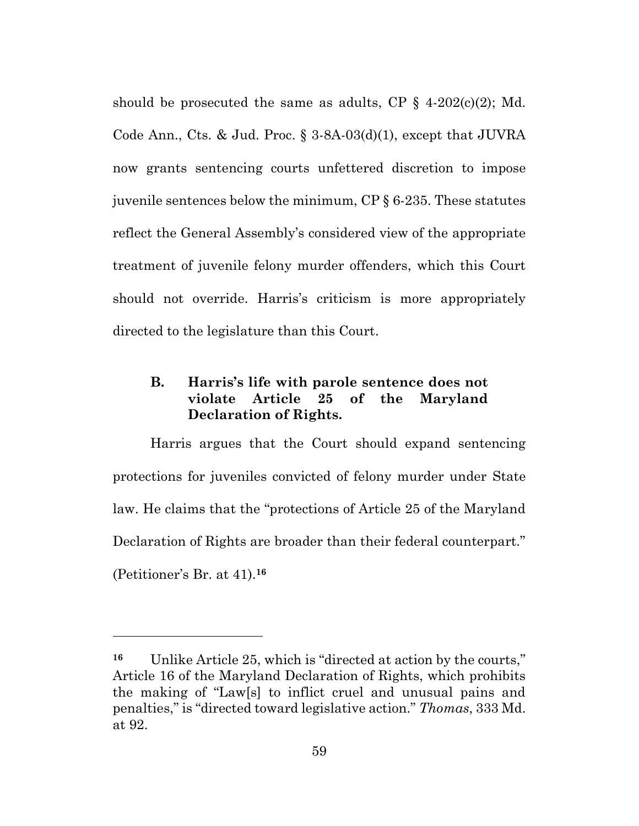should be prosecuted the same as adults, CP  $\S$  4-202(c)(2); Md. Code Ann., Cts. & Jud. Proc. § 3-8A-03(d)(1), except that JUVRA now grants sentencing courts unfettered discretion to impose juvenile sentences below the minimum, CP § 6-235. These statutes reflect the General Assembly's considered view of the appropriate treatment of juvenile felony murder offenders, which this Court should not override. Harris's criticism is more appropriately directed to the legislature than this Court.

## **B. Harris's life with parole sentence does not violate Article 25 of the Maryland Declaration of Rights.**

Harris argues that the Court should expand sentencing protections for juveniles convicted of felony murder under State law. He claims that the "protections of Article 25 of the Maryland Declaration of Rights are broader than their federal counterpart." (Petitioner's Br. at 41).**<sup>16</sup>**

**<sup>16</sup>** Unlike Article 25, which is "directed at action by the courts," Article 16 of the Maryland Declaration of Rights, which prohibits the making of "Law[s] to inflict cruel and unusual pains and penalties," is "directed toward legislative action." *Thomas*, 333 Md. at 92.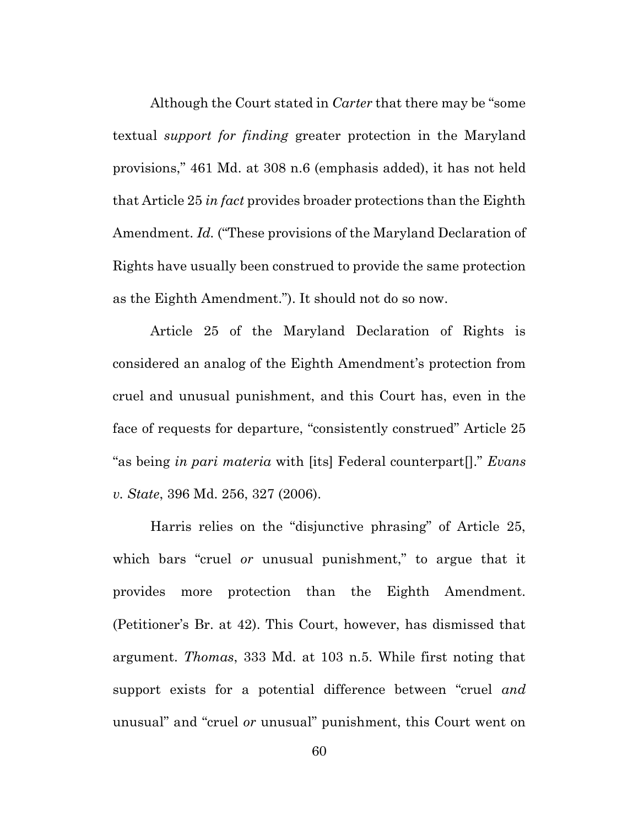Although the Court stated in *Carter* that there may be "some textual *support for finding* greater protection in the Maryland provisions," 461 Md. at 308 n.6 (emphasis added), it has not held that Article 25 *in fact* provides broader protections than the Eighth Amendment. *Id.* ("These provisions of the Maryland Declaration of Rights have usually been construed to provide the same protection as the Eighth Amendment."). It should not do so now.

Article 25 of the Maryland Declaration of Rights is considered an analog of the Eighth Amendment's protection from cruel and unusual punishment, and this Court has, even in the face of requests for departure, "consistently construed" Article 25 "as being *in pari materia* with [its] Federal counterpart[]." *Evans v. State*, 396 Md. 256, 327 (2006).

Harris relies on the "disjunctive phrasing" of Article 25, which bars "cruel *or* unusual punishment," to argue that it provides more protection than the Eighth Amendment. (Petitioner's Br. at 42). This Court, however, has dismissed that argument. *Thomas*, 333 Md. at 103 n.5. While first noting that support exists for a potential difference between "cruel *and*  unusual" and "cruel *or* unusual" punishment, this Court went on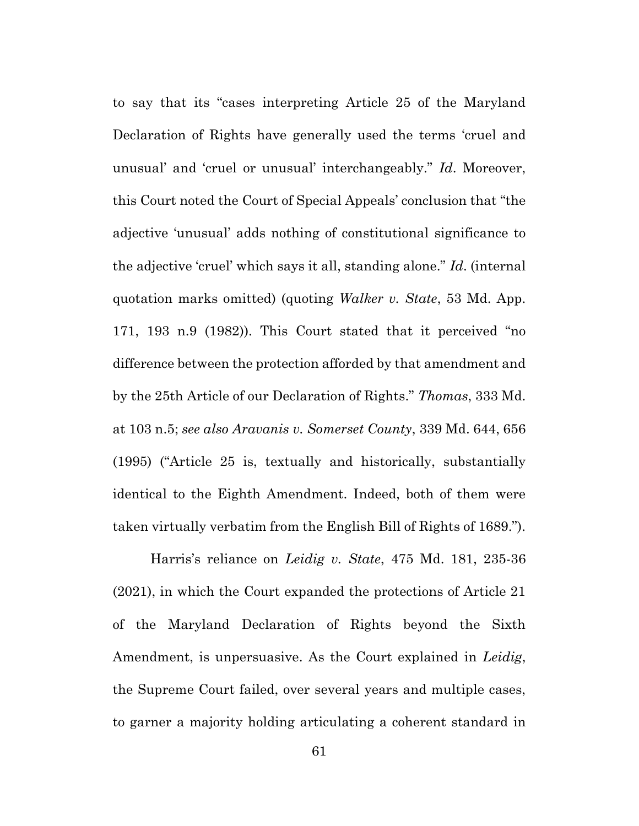to say that its "cases interpreting Article 25 of the Maryland Declaration of Rights have generally used the terms 'cruel and unusual' and 'cruel or unusual' interchangeably." *Id*. Moreover, this Court noted the Court of Special Appeals' conclusion that "the adjective 'unusual' adds nothing of constitutional significance to the adjective 'cruel' which says it all, standing alone." *Id*. (internal quotation marks omitted) (quoting *Walker v. State*, 53 Md. App. 171, 193 n.9 (1982)). This Court stated that it perceived "no difference between the protection afforded by that amendment and by the 25th Article of our Declaration of Rights." *Thomas*, 333 Md. at 103 n.5; *see also Aravanis v. Somerset County*, 339 Md. 644, 656 (1995) ("Article 25 is, textually and historically, substantially identical to the Eighth Amendment. Indeed, both of them were taken virtually verbatim from the English Bill of Rights of 1689.").

Harris's reliance on *Leidig v. State*, 475 Md. 181, 235-36 (2021), in which the Court expanded the protections of Article 21 of the Maryland Declaration of Rights beyond the Sixth Amendment, is unpersuasive. As the Court explained in *Leidig*, the Supreme Court failed, over several years and multiple cases, to garner a majority holding articulating a coherent standard in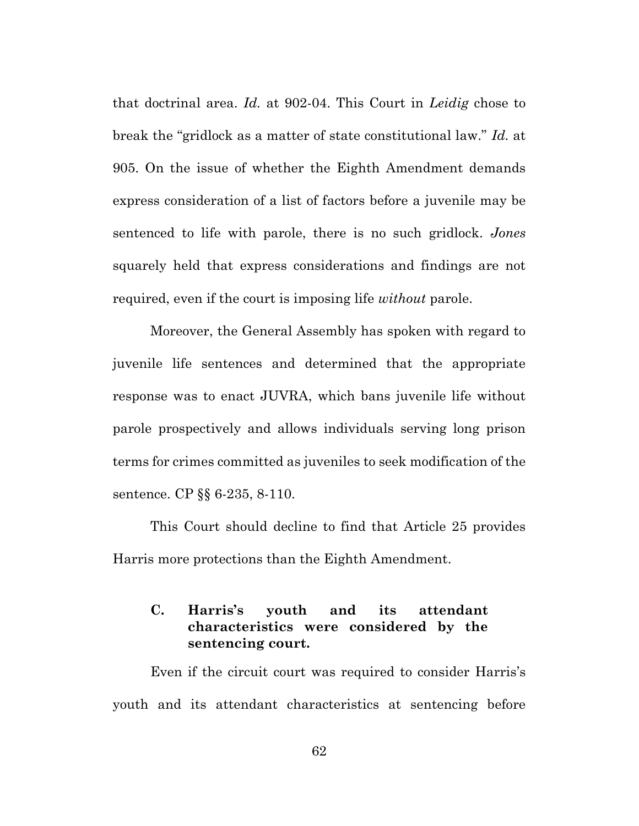that doctrinal area. *Id.* at 902-04. This Court in *Leidig* chose to break the "gridlock as a matter of state constitutional law." *Id.* at 905. On the issue of whether the Eighth Amendment demands express consideration of a list of factors before a juvenile may be sentenced to life with parole, there is no such gridlock. *Jones*  squarely held that express considerations and findings are not required, even if the court is imposing life *without* parole.

Moreover, the General Assembly has spoken with regard to juvenile life sentences and determined that the appropriate response was to enact JUVRA, which bans juvenile life without parole prospectively and allows individuals serving long prison terms for crimes committed as juveniles to seek modification of the sentence. CP §§ 6-235, 8-110.

This Court should decline to find that Article 25 provides Harris more protections than the Eighth Amendment.

# **C. Harris's youth and its attendant characteristics were considered by the sentencing court.**

Even if the circuit court was required to consider Harris's youth and its attendant characteristics at sentencing before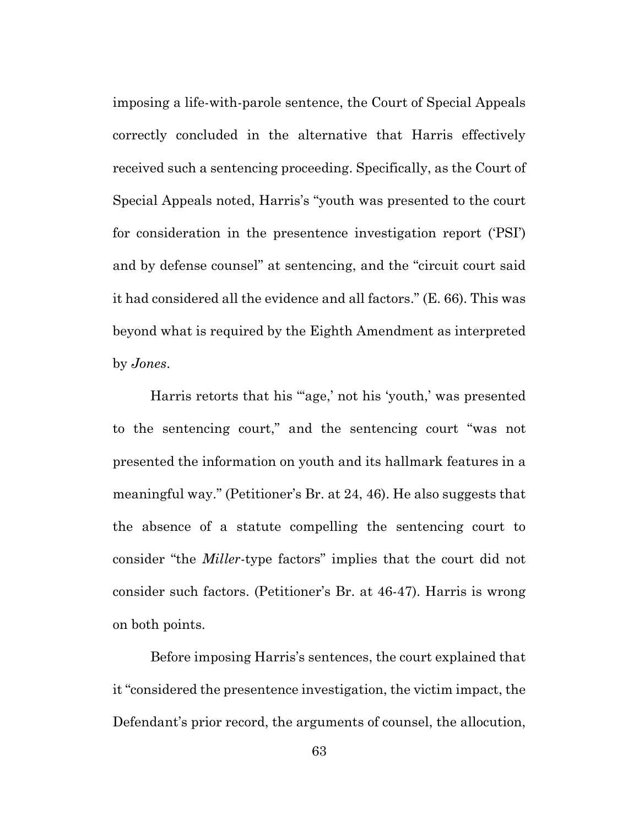imposing a life-with-parole sentence, the Court of Special Appeals correctly concluded in the alternative that Harris effectively received such a sentencing proceeding. Specifically, as the Court of Special Appeals noted, Harris's "youth was presented to the court for consideration in the presentence investigation report ('PSI') and by defense counsel" at sentencing, and the "circuit court said it had considered all the evidence and all factors." (E. 66). This was beyond what is required by the Eighth Amendment as interpreted by *Jones*.

Harris retorts that his ""age,' not his 'youth,' was presented to the sentencing court," and the sentencing court "was not presented the information on youth and its hallmark features in a meaningful way." (Petitioner's Br. at 24, 46). He also suggests that the absence of a statute compelling the sentencing court to consider "the *Miller*-type factors" implies that the court did not consider such factors. (Petitioner's Br. at 46-47). Harris is wrong on both points.

Before imposing Harris's sentences, the court explained that it "considered the presentence investigation, the victim impact, the Defendant's prior record, the arguments of counsel, the allocution,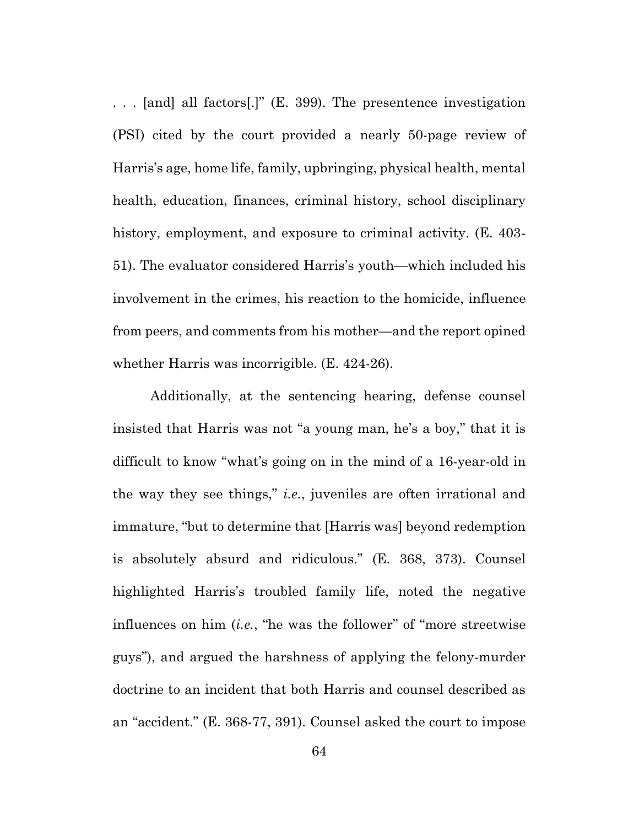. . . [and] all factors[.]" (E. 399). The presentence investigation (PSI) cited by the court provided a nearly 50-page review of Harris's age, home life, family, upbringing, physical health, mental health, education, finances, criminal history, school disciplinary history, employment, and exposure to criminal activity. (E. 403- 51). The evaluator considered Harris's youth—which included his involvement in the crimes, his reaction to the homicide, influence from peers, and comments from his mother—and the report opined whether Harris was incorrigible. (E. 424-26).

Additionally, at the sentencing hearing, defense counsel insisted that Harris was not "a young man, he's a boy," that it is difficult to know "what's going on in the mind of a 16-year-old in the way they see things," *i.e.*, juveniles are often irrational and immature, "but to determine that [Harris was] beyond redemption is absolutely absurd and ridiculous." (E. 368, 373). Counsel highlighted Harris's troubled family life, noted the negative influences on him (*i.e.*, "he was the follower" of "more streetwise guys"), and argued the harshness of applying the felony-murder doctrine to an incident that both Harris and counsel described as an "accident." (E. 368-77, 391). Counsel asked the court to impose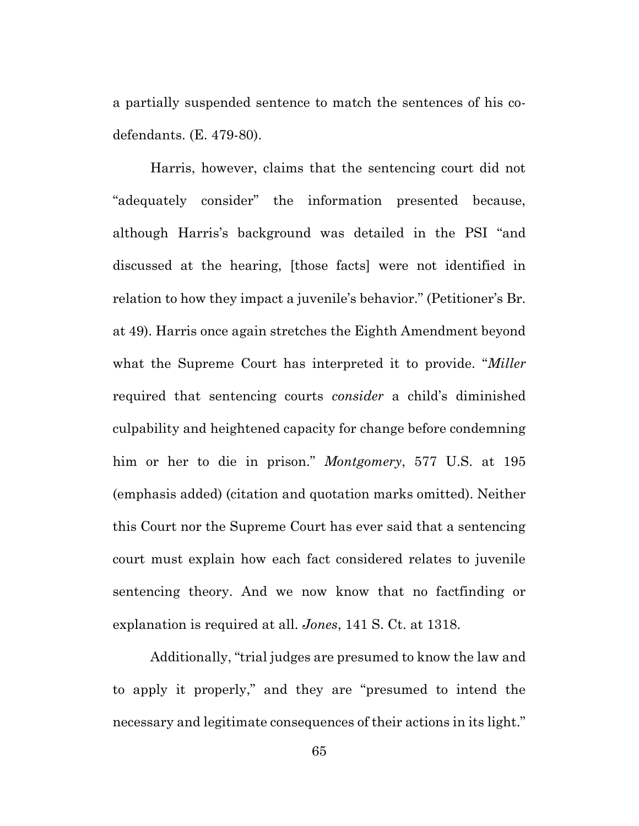a partially suspended sentence to match the sentences of his codefendants. (E. 479-80).

Harris, however, claims that the sentencing court did not "adequately consider" the information presented because, although Harris's background was detailed in the PSI "and discussed at the hearing, [those facts] were not identified in relation to how they impact a juvenile's behavior." (Petitioner's Br. at 49). Harris once again stretches the Eighth Amendment beyond what the Supreme Court has interpreted it to provide. "*Miller* required that sentencing courts *consider* a child's diminished culpability and heightened capacity for change before condemning him or her to die in prison." *Montgomery*, 577 U.S. at 195 (emphasis added) (citation and quotation marks omitted). Neither this Court nor the Supreme Court has ever said that a sentencing court must explain how each fact considered relates to juvenile sentencing theory. And we now know that no factfinding or explanation is required at all. *Jones*, 141 S. Ct. at 1318.

Additionally, "trial judges are presumed to know the law and to apply it properly," and they are "presumed to intend the necessary and legitimate consequences of their actions in its light."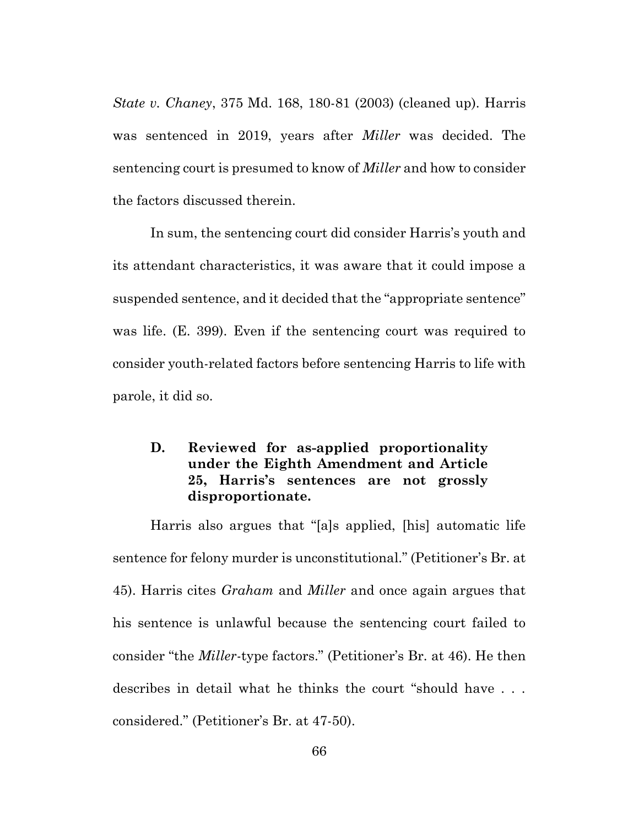*State v. Chaney*, 375 Md. 168, 180-81 (2003) (cleaned up). Harris was sentenced in 2019, years after *Miller* was decided. The sentencing court is presumed to know of *Miller* and how to consider the factors discussed therein.

In sum, the sentencing court did consider Harris's youth and its attendant characteristics, it was aware that it could impose a suspended sentence, and it decided that the "appropriate sentence" was life. (E. 399). Even if the sentencing court was required to consider youth-related factors before sentencing Harris to life with parole, it did so.

## **D. Reviewed for as-applied proportionality under the Eighth Amendment and Article 25, Harris's sentences are not grossly disproportionate.**

Harris also argues that "[a]s applied, [his] automatic life sentence for felony murder is unconstitutional." (Petitioner's Br. at 45). Harris cites *Graham* and *Miller* and once again argues that his sentence is unlawful because the sentencing court failed to consider "the *Miller*-type factors." (Petitioner's Br. at 46). He then describes in detail what he thinks the court "should have . . . considered." (Petitioner's Br. at 47-50).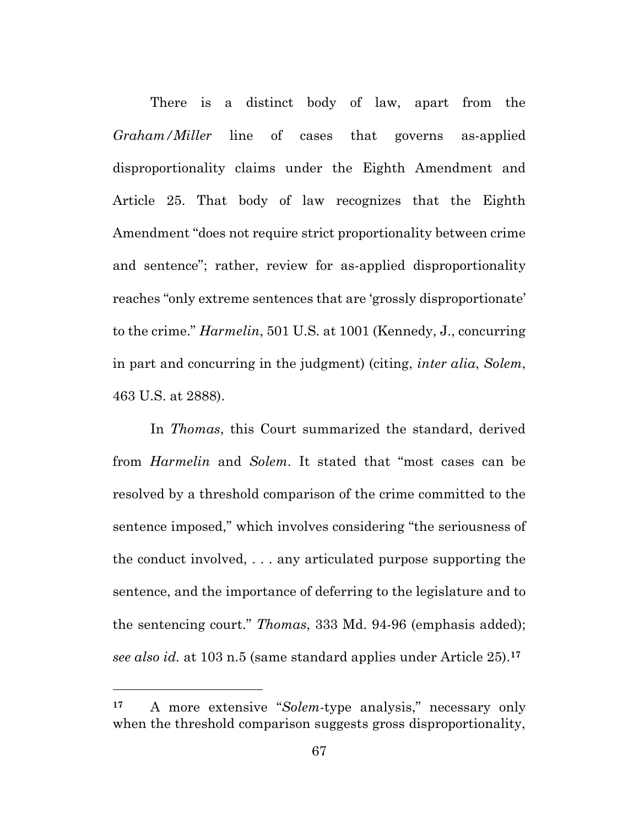There is a distinct body of law, apart from the *Graham/Miller* line of cases that governs as-applied disproportionality claims under the Eighth Amendment and Article 25. That body of law recognizes that the Eighth Amendment "does not require strict proportionality between crime and sentence"; rather, review for as-applied disproportionality reaches "only extreme sentences that are 'grossly disproportionate' to the crime." *Harmelin*, 501 U.S. at 1001 (Kennedy, J., concurring in part and concurring in the judgment) (citing, *inter alia*, *Solem*, 463 U.S. at 2888).

In *Thomas*, this Court summarized the standard, derived from *Harmelin* and *Solem*. It stated that "most cases can be resolved by a threshold comparison of the crime committed to the sentence imposed," which involves considering "the seriousness of the conduct involved, . . . any articulated purpose supporting the sentence, and the importance of deferring to the legislature and to the sentencing court." *Thomas*, 333 Md. 94-96 (emphasis added); *see also id.* at 103 n.5 (same standard applies under Article 25).**<sup>17</sup>**

**<sup>17</sup>** A more extensive "*Solem*-type analysis," necessary only when the threshold comparison suggests gross disproportionality,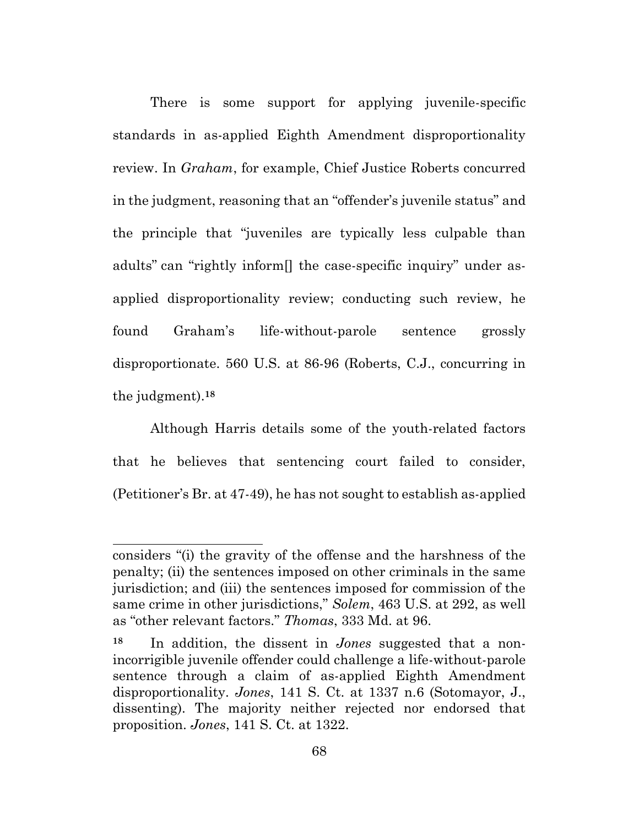There is some support for applying juvenile-specific standards in as-applied Eighth Amendment disproportionality review. In *Graham*, for example, Chief Justice Roberts concurred in the judgment, reasoning that an "offender's juvenile status" and the principle that "juveniles are typically less culpable than adults" can "rightly inform[] the case-specific inquiry" under asapplied disproportionality review; conducting such review, he found Graham's life-without-parole sentence grossly disproportionate. 560 U.S. at 86-96 (Roberts, C.J., concurring in the judgment).**<sup>18</sup>**

Although Harris details some of the youth-related factors that he believes that sentencing court failed to consider, (Petitioner's Br. at 47-49), he has not sought to establish as-applied

considers "(i) the gravity of the offense and the harshness of the penalty; (ii) the sentences imposed on other criminals in the same jurisdiction; and (iii) the sentences imposed for commission of the same crime in other jurisdictions," *Solem*, 463 U.S. at 292, as well as "other relevant factors." *Thomas*, 333 Md. at 96.

**<sup>18</sup>** In addition, the dissent in *Jones* suggested that a nonincorrigible juvenile offender could challenge a life-without-parole sentence through a claim of as-applied Eighth Amendment disproportionality. *Jones*, 141 S. Ct. at 1337 n.6 (Sotomayor, J., dissenting). The majority neither rejected nor endorsed that proposition. *Jones*, 141 S. Ct. at 1322.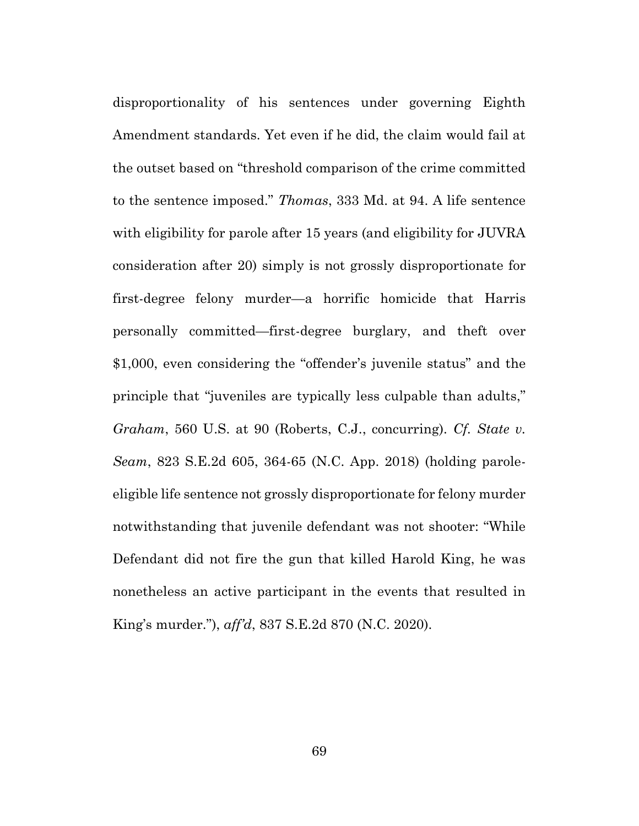disproportionality of his sentences under governing Eighth Amendment standards. Yet even if he did, the claim would fail at the outset based on "threshold comparison of the crime committed to the sentence imposed." *Thomas*, 333 Md. at 94. A life sentence with eligibility for parole after 15 years (and eligibility for JUVRA consideration after 20) simply is not grossly disproportionate for first-degree felony murder—a horrific homicide that Harris personally committed—first-degree burglary, and theft over \$1,000, even considering the "offender's juvenile status" and the principle that "juveniles are typically less culpable than adults," *Graham*, 560 U.S. at 90 (Roberts, C.J., concurring). *Cf. State v. Seam*, 823 S.E.2d 605, 364-65 (N.C. App. 2018) (holding paroleeligible life sentence not grossly disproportionate for felony murder notwithstanding that juvenile defendant was not shooter: "While Defendant did not fire the gun that killed Harold King, he was nonetheless an active participant in the events that resulted in King's murder."), *aff'd*, 837 S.E.2d 870 (N.C. 2020).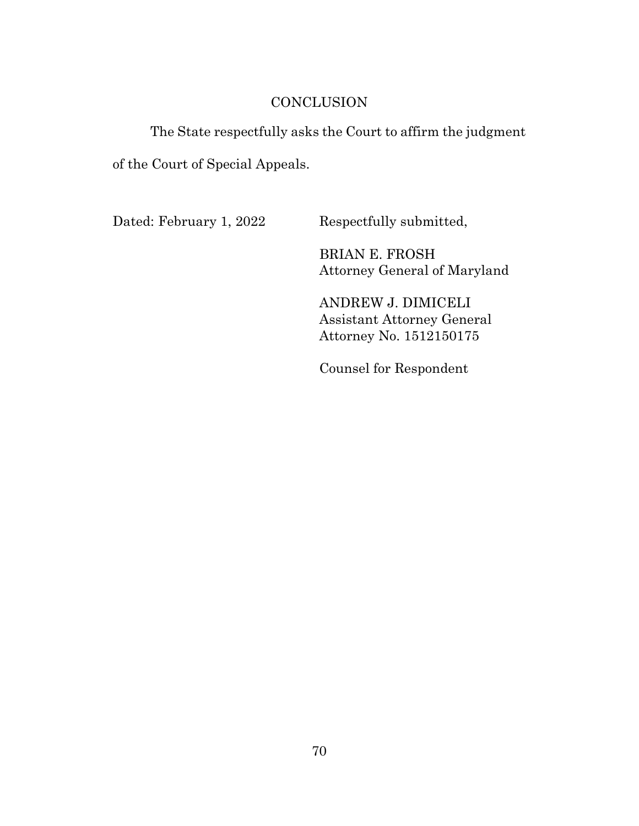### **CONCLUSION**

### The State respectfully asks the Court to affirm the judgment

of the Court of Special Appeals.

Dated: February 1, 2022 Respectfully submitted,

BRIAN E. FROSH Attorney General of Maryland

ANDREW J. DIMICELI Assistant Attorney General Attorney No. 1512150175

Counsel for Respondent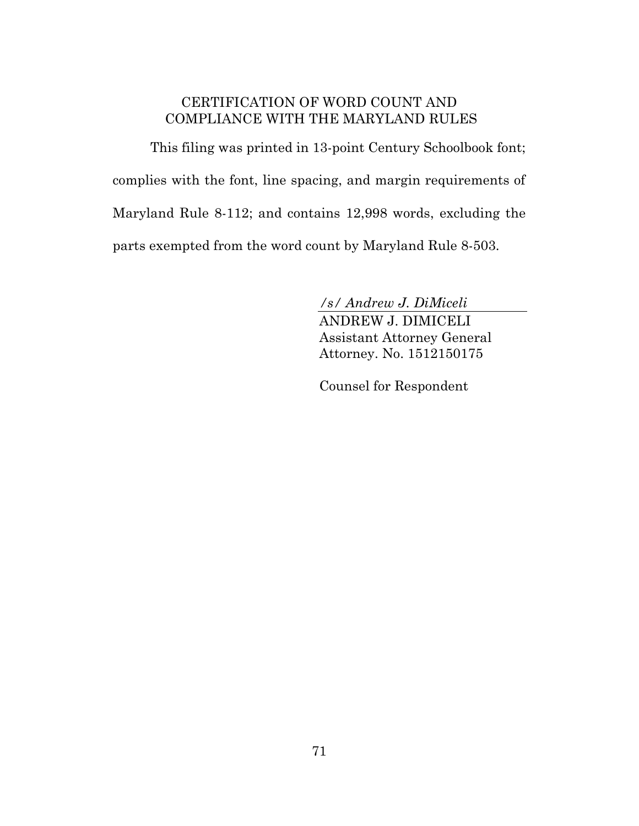## CERTIFICATION OF WORD COUNT AND COMPLIANCE WITH THE MARYLAND RULES

This filing was printed in 13-point Century Schoolbook font; complies with the font, line spacing, and margin requirements of Maryland Rule 8-112; and contains 12,998 words, excluding the parts exempted from the word count by Maryland Rule 8-503.

*/s/ Andrew J. DiMiceli*

ANDREW J. DIMICELI Assistant Attorney General Attorney. No. 1512150175

Counsel for Respondent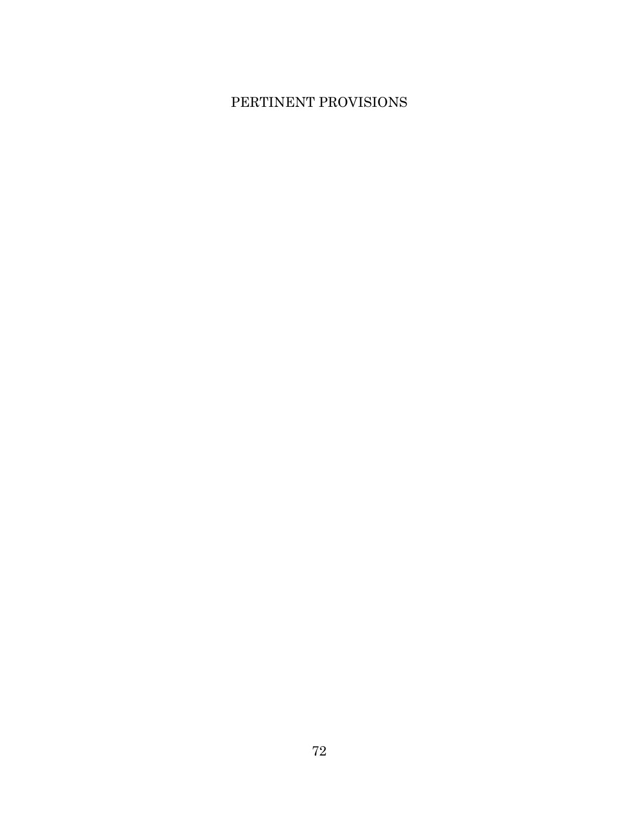# PERTINENT PROVISIONS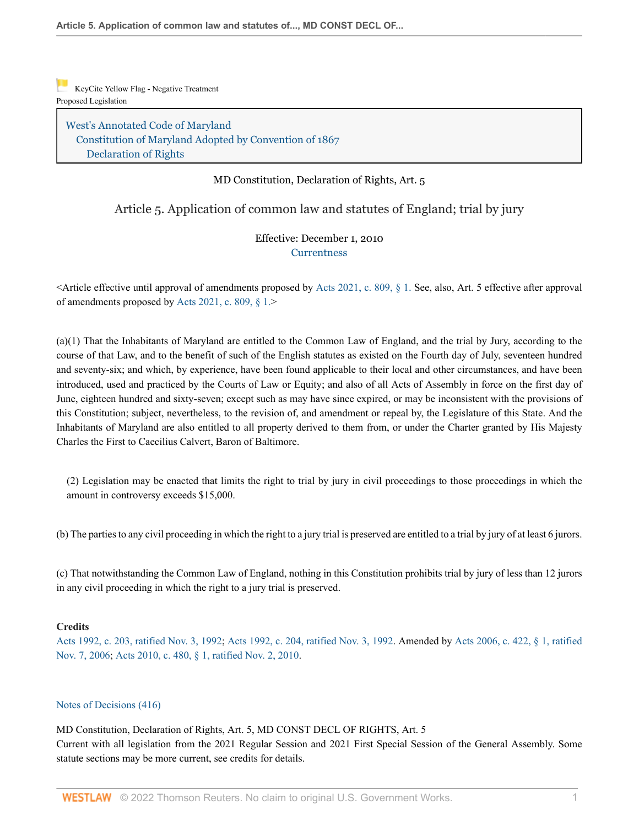KeyCite Yellow Flag - Negative Treatment Proposed Legislation

West's Annotated Code of Maryland Constitution of Maryland Adopted by Convention of 1867 Declaration of Rights

#### MD Constitution, Declaration of Rights, Art. 5

### Article 5. Application of common law and statutes of England; trial by jury

#### Effective: December 1, 2010 **Currentness**

<Article effective until approval of amendments proposed by Acts 2021, c. 809, § 1. See, also, Art. 5 effective after approval of amendments proposed by Acts 2021, c. 809, § 1.>

(a)(1) That the Inhabitants of Maryland are entitled to the Common Law of England, and the trial by Jury, according to the course of that Law, and to the benefit of such of the English statutes as existed on the Fourth day of July, seventeen hundred and seventy-six; and which, by experience, have been found applicable to their local and other circumstances, and have been introduced, used and practiced by the Courts of Law or Equity; and also of all Acts of Assembly in force on the first day of June, eighteen hundred and sixty-seven; except such as may have since expired, or may be inconsistent with the provisions of this Constitution; subject, nevertheless, to the revision of, and amendment or repeal by, the Legislature of this State. And the Inhabitants of Maryland are also entitled to all property derived to them from, or under the Charter granted by His Majesty Charles the First to Caecilius Calvert, Baron of Baltimore.

(2) Legislation may be enacted that limits the right to trial by jury in civil proceedings to those proceedings in which the amount in controversy exceeds \$15,000.

(b) The parties to any civil proceeding in which the right to a jury trial is preserved are entitled to a trial by jury of at least 6 jurors.

(c) That notwithstanding the Common Law of England, nothing in this Constitution prohibits trial by jury of less than 12 jurors in any civil proceeding in which the right to a jury trial is preserved.

#### **Credits**

Acts 1992, c. 203, ratified Nov. 3, 1992; Acts 1992, c. 204, ratified Nov. 3, 1992. Amended by Acts 2006, c. 422, § 1, ratified Nov. 7, 2006; Acts 2010, c. 480, § 1, ratified Nov. 2, 2010.

#### Notes of Decisions (416)

MD Constitution, Declaration of Rights, Art. 5, MD CONST DECL OF RIGHTS, Art. 5 Current with all legislation from the 2021 Regular Session and 2021 First Special Session of the General Assembly. Some statute sections may be more current, see credits for details.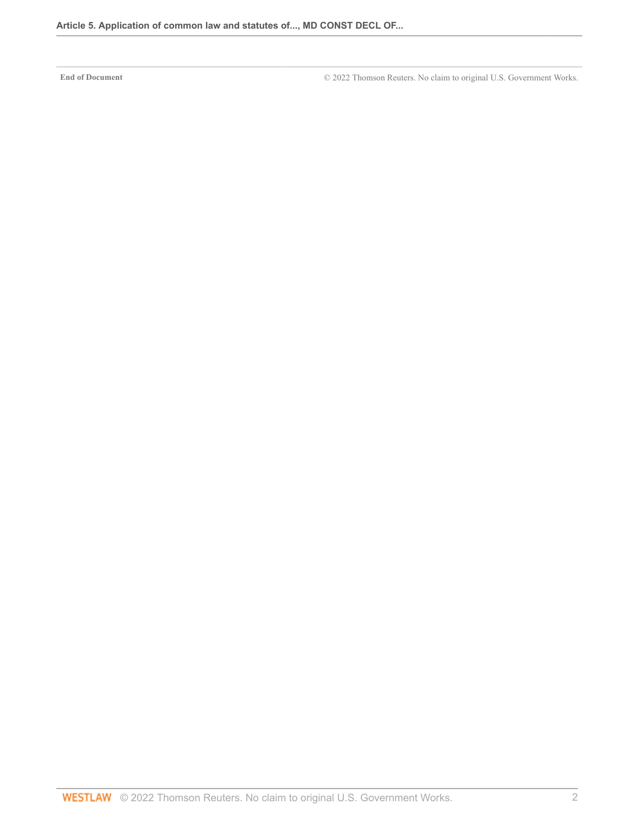**End of Document** © 2022 Thomson Reuters. No claim to original U.S. Government Works.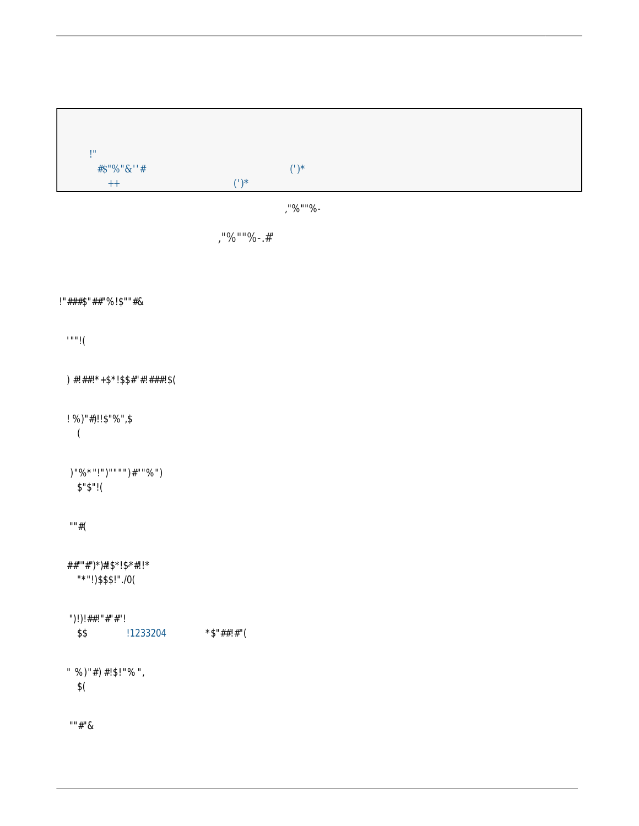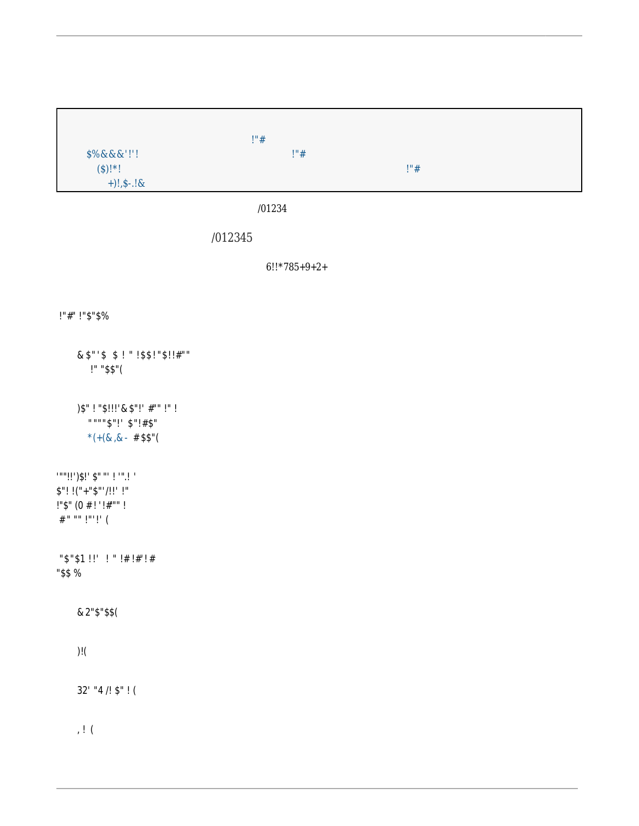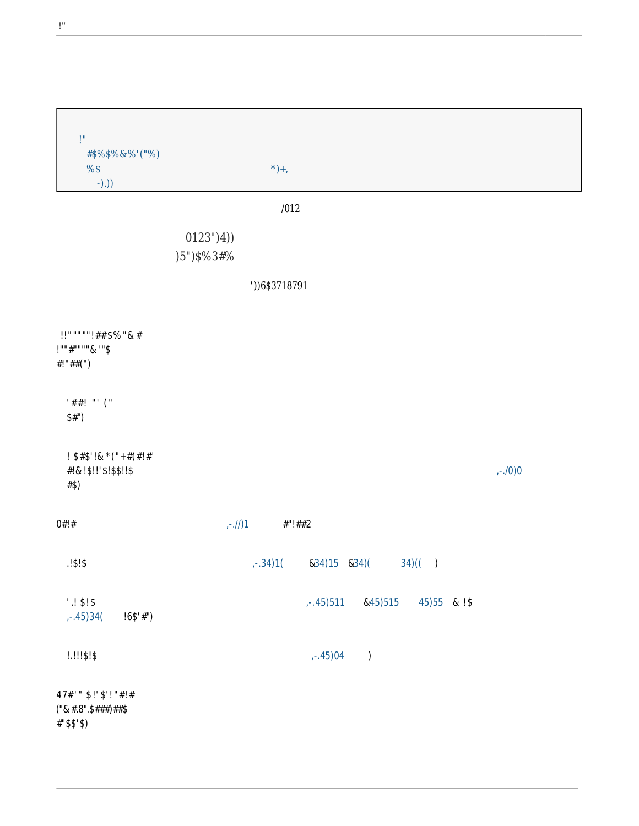